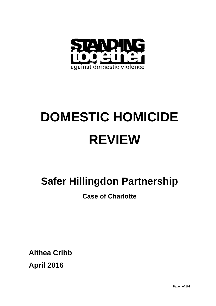

# **DOMESTIC HOMICIDE REVIEW**

## **Safer Hillingdon Partnership**

## **Case of Charlotte**

**Althea Cribb April 2016**

Page **i** of **102**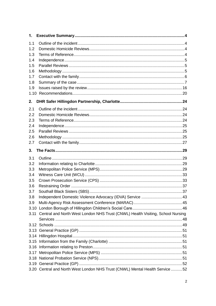| 1.  |                                                                                     |  |  |
|-----|-------------------------------------------------------------------------------------|--|--|
| 1.1 |                                                                                     |  |  |
| 1.2 |                                                                                     |  |  |
| 1.3 |                                                                                     |  |  |
| 1.4 |                                                                                     |  |  |
| 1.5 |                                                                                     |  |  |
| 1.6 |                                                                                     |  |  |
| 1.7 |                                                                                     |  |  |
| 1.8 |                                                                                     |  |  |
| 1.9 |                                                                                     |  |  |
|     |                                                                                     |  |  |
| 2.  |                                                                                     |  |  |
| 2.1 |                                                                                     |  |  |
| 2.2 |                                                                                     |  |  |
| 2.3 |                                                                                     |  |  |
| 2.4 |                                                                                     |  |  |
| 2.5 |                                                                                     |  |  |
| 2.6 |                                                                                     |  |  |
| 2.7 |                                                                                     |  |  |
| 3.  |                                                                                     |  |  |
| 3.1 |                                                                                     |  |  |
| 3.2 |                                                                                     |  |  |
| 3.3 |                                                                                     |  |  |
| 3.4 |                                                                                     |  |  |
| 3.5 |                                                                                     |  |  |
| 3.6 |                                                                                     |  |  |
| 3.7 |                                                                                     |  |  |
| 3.8 |                                                                                     |  |  |
| 3.9 |                                                                                     |  |  |
|     |                                                                                     |  |  |
|     | 3.11 Central and North West London NHS Trust (CNWL) Health Visiting, School Nursing |  |  |
|     |                                                                                     |  |  |
|     |                                                                                     |  |  |
|     |                                                                                     |  |  |
|     |                                                                                     |  |  |
|     |                                                                                     |  |  |
|     |                                                                                     |  |  |
|     |                                                                                     |  |  |
|     |                                                                                     |  |  |
|     | 3.20 Central and North West London NHS Trust (CNWL) Mental Health Service 52        |  |  |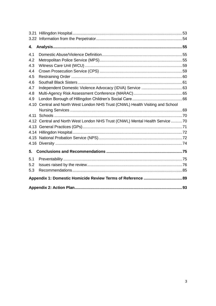| 4.   |                                                                              |  |  |
|------|------------------------------------------------------------------------------|--|--|
| 4.1  |                                                                              |  |  |
| 4.2  |                                                                              |  |  |
| 4.3  |                                                                              |  |  |
| 4.4  |                                                                              |  |  |
| 4.5  |                                                                              |  |  |
| 4.6  |                                                                              |  |  |
| 4.7  |                                                                              |  |  |
| 4.8  |                                                                              |  |  |
| 4.9  |                                                                              |  |  |
| 4.10 | Central and North West London NHS Trust (CNWL) Health Visiting and School    |  |  |
|      |                                                                              |  |  |
| 4.11 |                                                                              |  |  |
|      | 4.12 Central and North West London NHS Trust (CNWL) Mental Health Service 70 |  |  |
|      |                                                                              |  |  |
|      |                                                                              |  |  |
|      |                                                                              |  |  |
|      |                                                                              |  |  |
| 5.   |                                                                              |  |  |
| 5.1  |                                                                              |  |  |
| 5.2  |                                                                              |  |  |
| 5.3  |                                                                              |  |  |
|      |                                                                              |  |  |
|      |                                                                              |  |  |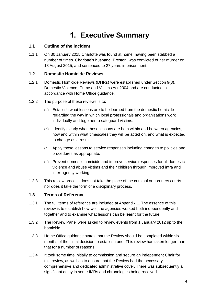## **1. Executive Summary**

#### **1.1 Outline of the incident**

1.1.1 On 30 January 2015 Charlotte was found at home, having been stabbed a number of times. Charlotte's husband, Preston, was convicted of her murder on 18 August 2015, and sentenced to 27 years imprisonment.

#### **1.2 Domestic Homicide Reviews**

- 1.2.1 Domestic Homicide Reviews (DHRs) were established under Section 9(3), Domestic Violence, Crime and Victims Act 2004 and are conducted in accordance with Home Office guidance.
- 1.2.2 The purpose of these reviews is to:
	- (a) Establish what lessons are to be learned from the domestic homicide regarding the way in which local professionals and organisations work individually and together to safeguard victims.
	- (b) Identify clearly what those lessons are both within and between agencies, how and within what timescales they will be acted on, and what is expected to change as a result.
	- (c) Apply those lessons to service responses including changes to policies and procedures as appropriate.
	- (d) Prevent domestic homicide and improve service responses for all domestic violence and abuse victims and their children through improved intra and inter-agency working.
- 1.2.3 This review process does not take the place of the criminal or coroners courts nor does it take the form of a disciplinary process.

#### **1.3 Terms of Reference**

- 1.3.1 The full terms of reference are included at Appendix 1. The essence of this review is to establish how well the agencies worked both independently and together and to examine what lessons can be learnt for the future.
- 1.3.2 The Review Panel were asked to review events from 1 January 2012 up to the homicide.
- 1.3.3 Home Office guidance states that the Review should be completed within six months of the initial decision to establish one. This review has taken longer than that for a number of reasons.
- 1.3.4 It took some time initially to commission and secure an independent Chair for this review, as well as to ensure that the Review had the necessary comprehensive and dedicated administrative cover. There was subsequently a significant delay in some IMRs and chronologies being received.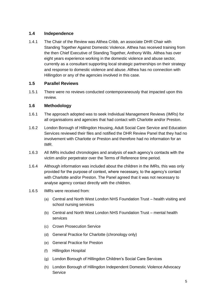#### **1.4 Independence**

1.4.1 The Chair of the Review was Althea Cribb, an associate DHR Chair with Standing Together Against Domestic Violence. Althea has received training from the then Chief Executive of Standing Together, Anthony Wills. Althea has over eight years experience working in the domestic violence and abuse sector, currently as a consultant supporting local strategic partnerships on their strategy and response to domestic violence and abuse. Althea has no connection with Hillingdon or any of the agencies involved in this case.

#### **1.5 Parallel Reviews**

1.5.1 There were no reviews conducted contemporaneously that impacted upon this review.

#### **1.6 Methodology**

- 1.6.1 The approach adopted was to seek Individual Management Reviews (IMRs) for all organisations and agencies that had contact with Charlotte and/or Preston.
- 1.6.2 London Borough of Hillingdon Housing, Adult Social Care Service and Education Services reviewed their files and notified the DHR Review Panel that they had no involvement with Charlotte or Preston and therefore had no information for an IMR.
- 1.6.3 All IMRs included chronologies and analysis of each agency's contacts with the victim and/or perpetrator over the Terms of Reference time period.
- 1.6.4 Although information was included about the children in the IMRs, this was only provided for the purpose of context, where necessary, to the agency's contact with Charlotte and/or Preston. The Panel agreed that it was not necessary to analyse agency contact directly with the children.
- 1.6.5 IMRs were received from:
	- (a) Central and North West London NHS Foundation Trust health visiting and school nursing services
	- (b) Central and North West London NHS Foundation Trust mental health services
	- (c) Crown Prosecution Service
	- (d) General Practice for Charlotte (chronology only)
	- (e) General Practice for Preston
	- (f) Hillingdon Hospital
	- (g) London Borough of Hillingdon Children's Social Care Services
	- (h) London Borough of Hillingdon Independent Domestic Violence Advocacy **Service**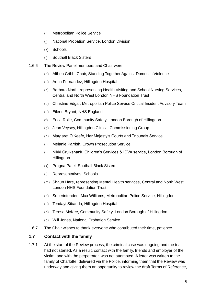- (i) Metropolitan Police Service
- (j) National Probation Service, London Division
- (k) Schools
- (l) Southall Black Sisters
- 1.6.6 The Review Panel members and Chair were:
	- (a) Althea Cribb, Chair, Standing Together Against Domestic Violence
	- (b) Anna Fernandez, Hillingdon Hospital
	- (c) Barbara North, representing Health Visiting and School Nursing Services, Central and North West London NHS Foundation Trust
	- (d) Christine Edgar, Metropolitan Police Service Critical Incident Advisory Team
	- (e) Eileen Bryant, NHS England
	- (f) Erica Rolle, Community Safety, London Borough of Hillingdon
	- (g) Jean Veysey, Hillingdon Clinical Commissioning Group
	- (h) Margaret O'Keefe, Her Majesty's Courts and Tribunals Service
	- (i) Melanie Parrish, Crown Prosecution Service
	- (j) Nikki Cruikshank, Children's Services & IDVA service, London Borough of **Hillingdon**
	- (k) Pragna Patel, Southall Black Sisters
	- (l) Representatives, Schools
	- (m) Shaun Hare, representing Mental Health services, Central and North West London NHS Foundation Trust
	- (n) Superintendent Max Williams, Metropolitan Police Service, Hillingdon
	- (o) Tendayi Sibanda, Hillingdon Hospital
	- (p) Teresa McKee, Community Safety, London Borough of Hillingdon
	- (q) Will Jones, National Probation Service
- 1.6.7 The Chair wishes to thank everyone who contributed their time, patience

#### **1.7 Contact with the family**

1.7.1 At the start of the Review process, the criminal case was ongoing and the trial had not started. As a result, contact with the family, friends and employer of the victim, and with the perpetrator, was not attempted. A letter was written to the family of Charlotte, delivered via the Police, informing them that the Review was underway and giving them an opportunity to review the draft Terms of Reference,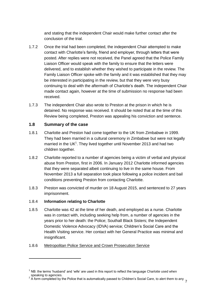and stating that the independent Chair would make further contact after the conclusion of the trial.

- 1.7.2 Once the trial had been completed, the independent Chair attempted to make contact with Charlotte's family, friend and employer, through letters that were posted. After replies were not received, the Panel agreed that the Police Family Liaison Officer would speak with the family to ensure that the letters were delivered, and to establish whether they wished to participate in the review. The Family Liaison Officer spoke with the family and it was established that they may be interested in participating in the review, but that they were very busy continuing to deal with the aftermath of Charlotte's death. The independent Chair made contact again, however at the time of submission no response had been received.
- 1.7.3 The independent Chair also wrote to Preston at the prison in which he is detained. No response was received. It should be noted that at the time of this Review being completed, Preston was appealing his conviction and sentence.

#### **1.8 Summary of the case**

- 1.8.1 Charlotte and Preston had come together to the UK from Zimbabwe in 1999. They had been married in a cultural ceremony in Zimbabwe but were not legally married in the UK $1$ . They lived together until November 2013 and had two children together.
- 1.8.2 Charlotte reported to a number of agencies being a victim of verbal and physical abuse from Preston, first in 2006. In January 2012 Charlotte informed agencies that they were separated albeit continuing to live in the same house. From November 2013 a full separation took place following a police incident and bail conditions preventing Preston from contacting Charlotte.
- 1.8.3 Preston was convicted of murder on 18 August 2015, and sentenced to 27 years imprisonment.

#### 1.8.4 **Information relating to Charlotte**

1

1.8.5 Charlotte was 42 at the time of her death, and employed as a nurse. Charlotte was in contact with, including seeking help from, a number of agencies in the years prior to her death: the Police; Southall Black Sisters; the Independent Domestic Violence Advocacy (IDVA) service; Children's Social Care and the Health Visiting service. Her contact with her General Practice was minimal and insignificant.

#### 1.8.6 Metropolitan Police Service and Crown Prosecution Service

 $<sup>1</sup>$  NB: the terms 'husband' and 'wife' are used in this report to reflect the language Charlotte used when</sup>

<sup>7</sup> speaking to agencies.<br><sup>2</sup> A form completed by the Police that is automatically passed to Children's Social Care, to alert them to any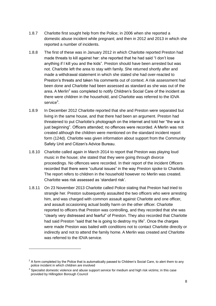- 1.8.7 Charlotte first sought help from the Police; in 2006 when she reported a domestic abuse incident while pregnant; and then in 2012 and 2013 in which she reported a number of incidents.
- 1.8.8 The first of these was in January 2012 in which Charlotte reported Preston had made threats to kill against her: she reported that he had said "I don't lose anything if I kill you and the kids". Preston should have been arrested but was not. Charlotte left the area to stay with family. She returned shortly after and made a withdrawal statement in which she stated she had over-reacted to Preston's threats and taken his comments out of context. A risk assessment had been done and Charlotte had been assessed as standard as she was out of the area. A Merlin<sup>2</sup> was completed to notify Children's Social Care of the incident as there were children in the household, and Charlotte was referred to the IDVA service<sup>3</sup>.
- 1.8.9 In December 2012 Charlotte reported that she and Preston were separated but living in the same house, and that there had been an argument. Preston had threatened to put Charlotte's photograph on the internet and told her "the war is just beginning". Officers attended; no offences were recorded. A Merlin was not created although the children were mentioned on the standard incident report form (124d). Charlotte was given information about support from the Community Safety Unit and Citizen's Advice Bureau.
- 1.8.10 Charlotte called again in March 2014 to report that Preston was playing loud music in the house; she stated that they were going through divorce proceedings. No offences were recorded. In their report of the incident Officers recorded that there were "cultural issues" in the way Preston spoke to Charlotte. The report refers to children in the household however no Merlin was created. Charlotte was risk assessed as 'standard risk'.
- 1.8.11 On 23 November 2013 Charlotte called Police stating that Preston had tried to strangle her. Preston subsequently assaulted the two officers who were arresting him, and was charged with common assault against Charlotte and one officer, and assault occasioning actual bodily harm on the other officer. Charlotte reported to officers that Preston was controlling, and they recorded that she was "clearly very distressed and fearful" of Preston. They also recorded that Charlotte had said Preston "said that he is going to destroy my life". Once the charges were made Preston was bailed with conditions not to contact Charlotte directly or indirectly and not to attend the family home. A Merlin was created and Charlotte was referred to the IDVA service.

1

 $2$  A form completed by the Police that is automatically passed to Children's Social Care, to alert them to any police incident in which children are involved

 $3$  Specialist domestic violence and abuse support service for medium and high risk victims; in this case provided by Hillingdon Borough Council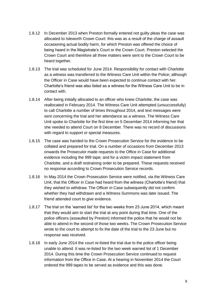- 1.8.12 In December 2013 when Preston formally entered not guilty pleas the case was allocated to Isleworth Crown Court: this was as a result of the charge of assault occasioning actual bodily harm, for which Preston was offered the choice of being heard in the Magistrate's Court or the Crown Court. Preston selected the Crown Court and therefore all three matters were sent to the Crown Court to be heard together.
- 1.8.13 The trial was scheduled for June 2014. Responsibility for contact with Charlotte as a witness was transferred to the Witness Care Unit within the Police; although the Officer in Case would have been expected to continue contact with her. Charlotte's friend was also listed as a witness for the Witness Care Unit to be in contact with.
- 1.8.14 After being initially allocated to an officer who knew Charlotte, the case was reallocated in February 2014. The Witness Care Unit attempted (unsuccessfully) to call Charlotte a number of times throughout 2014, and text messages were sent concerning the trial and her attendance as a witness. The Witness Care Unit spoke to Charlotte for the first time on 5 December 2014 informing her that she needed to attend Court on 8 December. There was no record of discussions with regard to support or special measures.
- 1.8.15 The case was handed to the Crown Prosecution Service for the evidence to be collated and prepared for trial. On a number of occasions from December 2013 onwards the Prosecutor made requests to the Office in Case for additional evidence including the 999 tape; and for a victim impact statement from Charlotte, and a draft restraining order to be prepared. These requests received no response according to Crown Prosecution Service records.
- 1.8.16 In May 2014 the Crown Prosecution Service were notified, via the Witness Care Unit, that the Officer in Case had heard from the witness (Charlotte's friend) that they wished to withdraw. The Officer in Case subsequently did not confirm whether they had withdrawn and a Witness Summons was later issued. The friend attended court to give evidence.
- 1.8.17 The trial on the 'warned list' for the two weeks from 23 June 2014, which meant that they would aim to start the trial at any point during that time. One of the police officers (assaulted by Preston) informed the police that he would not be able to attend in the second of those two weeks. The Crown Prosecution Service wrote to the court to attempt to fix the date of the trial to the 23 June but no response was received.
- 1.8.18 In early June 2014 the court re-listed the trial due to the police officer being unable to attend. It was re-listed for the two week warned list of 1 December 2014. During this time the Crown Prosecution Service continued to request information from the Office in Case. At a hearing in November 2014 the Court ordered the 999 tapes to be served as evidence and this was done.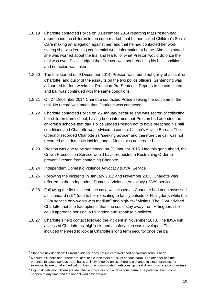- 1.8.19 Charlotte contacted Police on 3 December 2014 reporting that Preston had approached the children in the supermarket; that he had called Children's Social Care making an allegation against her; and that he had contacted her work stating she was keeping confidential work information at home. She also stated she was worried about the trial and fearful of what Preston would do once the trial was over. Police judged that Preston was not breaching his bail conditions and no action was taken.
- 1.8.20 The trial started on 9 December 2014. Preston was found not guilty of assault on Charlotte, and guilty of the assaults on the two police officers. Sentencing was adjourned for four weeks for Probation Pre-Sentence Reports to be completed, and bail was continued with the same conditions.
- 1.8.21 On 27 December 2014 Charlotte contacted Police seeking the outcome of the trial. No record was made that Charlotte was contacted.
- 1.8.22 Charlotte contacted Police on 26 January because she was scared of collecting her children from school, having been informed that Preston had attended the children's schools that day. Police judged Preston not to have breached his bail conditions and Charlotte was advised to contact Citizen's Advice Bureau. The Operator recorded Charlotte as "seeking advice" and therefore the call was not recorded as a domestic incident and a Merlin was not created.
- 1.8.23 Preston was due to be sentenced on 30 January 2015. Had this gone ahead, the Crown Prosecution Service would have requested a Restraining Order to prevent Preston from contacting Charlotte.
- 1.8.24 Independent Domestic Violence Advocacy (IDVA) Service
- 1.8.25 Following the incidents in January 2012 and November 2013, Charlotte was referred to the Independent Domestic Violence Advocacy (IDVA) service.
- 1.8.26 Following the first incident, the case was closed as Charlotte had been assessed as 'standard risk'<sup>4</sup> (due to her relocating to family outside of Hillingdon), while the IDVA service only works with medium $5$  and high-risk $6$  victims. The IDVA advised Charlotte that she had options: that she could stay away from Hillingdon; she could approach housing in Hillingdon and speak to a solicitor.
- 1.8.27 Charlotte's next contact followed the incident in November 2013. The IDVA risk assessed Charlotte as 'high' risk, and a safety plan was developed. This included the need to look at Charlotte's long term security once the bail

-

<sup>&</sup>lt;sup>4</sup> Standard risk definition: Current evidence does not indicate likelihood of causing serious harm

<sup>5</sup> Medium risk definition: There are identifiable indicators of risk of serious harm. The offender has the potential to cause serious harm but is unlikely to do so unless there is a change in circumstances, for example, failure to take medication, loss of accommodation, relationship breakdown, drug or alcohol misuse

 $6$  High risk definition: There are identifiable indicators of risk of serious harm. The potential event could happen at any time and the impact would be serious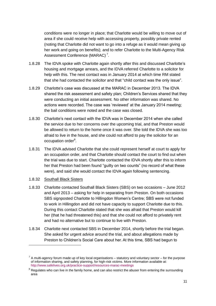conditions were no longer in place; that Charlotte would be willing to move out of area if she could receive help with accessing property, possibly private rented (noting that Charlotte did not want to go into a refuge as it would mean giving up her work and going on benefits); and to refer Charlotte to the Multi-Agency Risk Assessment Conference (MARAC)<sup>7</sup>.

- 1.8.28 The IDVA spoke with Charlotte again shortly after this and discussed Charlotte's housing and mortgage arrears, and the IDVA referred Charlotte to a solicitor for help with this. The next contact was in January 2014 at which time RM stated that she had contacted the solicitor and that "child contact was the only issue".
- 1.8.29 Charlotte's case was discussed at the MARAC in December 2013. The IDVA shared the risk assessment and safety plan; Children's Services shared that they were conducting an initial assessment. No other information was shared. No actions were recorded. The case was 'reviewed' at the January 2014 meeting; the bail conditions were noted and the case was closed.
- 1.8.30 Charlotte's next contact with the IDVA was in December 2014 when she called the service due to her concerns over the upcoming trial, and that Preston would be allowed to return to the home once it was over. She told the IDVA she was too afraid to live in the house, and she could not afford to pay the solicitor for an occupation order<sup>8</sup>.
- 1.8.31 The IDVA advised Charlotte that she could represent herself at court to apply for an occupation order, and that Charlotte should contact the court to find out when the trial was due to start. Charlotte contacted the IDVA shortly after this to inform her that Preston had been found "guilty on two counts" (no record of what these were), and said she would contact the IDVA again following sentencing.
- 1.8.32 Southall Black Sisters

-

- 1.8.33 Charlotte contacted Southall Black Sisters (SBS) on two occasions June 2012 and April 2013 – asking for help in separating from Preston. On both occasions SBS signposted Charlotte to Hillingdon Women's Centre; SBS were not funded to work in Hillingdon and did not have capacity to support Charlotte due to this. During this contact Charlotte stated that she was afraid that Preston would kill her (that he had threatened this) and that she could not afford to privately rent and had no alternative but to continue to live with Preston.
- 1.8.34 Charlotte next contacted SBS in December 2014, shortly before the trial began. She asked for urgent advice around the trial, and about allegations made by Preston to Children's Social Care about her. At this time, SBS had begun to

 $7$  A multi-agency forum made up of key local organisations – statutory and voluntary sector – for the purpose of information sharing, and safety planning, for high-risk victims. More information available at: <http://www.safelives.org.uk/practice-support/resources-marac-meetings>

 $8$  Regulates who can live in the family home, and can also restrict the abuser from entering the surrounding area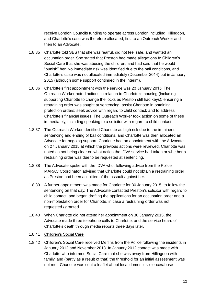receive London Councils funding to operate across London including Hillingdon, and Charlotte's case was therefore allocated, first to an Outreach Worker and then to an Advocate.

- 1.8.35 Charlotte told SBS that she was fearful, did not feel safe, and wanted an occupation order. She stated that Preston had made allegations to Children's Social Care that she was abusing the children, and had said that he would "punish" her. No immediate risk was identified due to the bail conditions, and Charlotte's case was not allocated immediately (December 2014) but in January 2015 (although some support continued in the interim).
- 1.8.36 Charlotte's first appointment with the service was 23 January 2015. The Outreach Worker noted actions in relation to Charlotte's housing (including supporting Charlotte to change the locks as Preston still had keys); ensuring a restraining order was sought at sentencing; assist Charlotte in obtaining protection orders; seek advice with regard to child contact; and to address Charlotte's financial issues. The Outreach Worker took action on some of these immediately, including speaking to a solicitor with regard to child contact.
- 1.8.37 The Outreach Worker identified Charlotte as high risk due to the imminent sentencing and ending of bail conditions, and Charlotte was then allocated an Advocate for ongoing support. Charlotte had an appointment with the Advocate on 27 January 2015 at which the previous actions were reviewed. Charlotte was noted as not being clear on what action the IDVA service had taken or whether a restraining order was due to be requested at sentencing.
- 1.8.38 The Advocate spoke with the IDVA who, following advice from the Police MARAC Coordinator, advised that Charlotte could not obtain a restraining order as Preston had been acquitted of the assault against her.
- 1.8.39 A further appointment was made for Charlotte for 30 January 2015, to follow the sentencing on that day. The Advocate contacted Preston's solicitor with regard to child contact, and began drafting the applications for an occupation order and a non-molestation order for Charlotte, in case a restraining order was not requested / granted.
- 1.8.40 When Charlotte did not attend her appointment on 30 January 2015, the Advocate made three telephone calls to Charlotte, and the service heard of Charlotte's death through media reports three days later.
- 1.8.41 Children's Social Care
- 1.8.42 Children's Social Care received Merlins from the Police following the incidents in January 2012 and November 2013. In January 2012 contact was made with Charlotte who informed Social Care that she was away from Hillingdon with family, and (partly as a result of that) the threshold for an initial assessment was not met; Charlotte was sent a leaflet about local domestic violence/abuse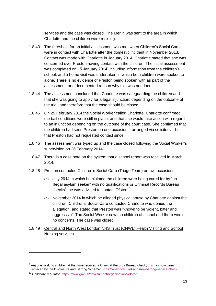services and the case was closed. The Merlin was sent to the area in which Charlotte and the children were residing.

- 1.8.43 The threshold for an initial assessment was met when Children's Social Care were in contact with Charlotte after the domestic incident in November 2013. Contact was made with Charlotte in January 2014. Charlotte stated that she was concerned over Preston having contact with the children. The initial assessment was completed on 15 January 2014, including information from the children's school, and a home visit was undertaken in which both children were spoken to alone. There is no evidence of Preston being spoken with as part of the assessment, or a documented reason why this was not done.
- 1.8.44 The assessment concluded that Charlotte was safeguarding the children and that she was going to apply for a legal injunction, depending on the outcome of the trial, and therefore that the case should be closed.
- 1.8.45 On 25 February 2014 the Social Worker called Charlotte. Charlotte confirmed the bail conditions were still in place, and that she would take action with regard to an injunction depending on the outcome of the court case. She confirmed that the children had seen Preston on one occasion – arranged via solicitors – but that Preston had not requested contact since.
- 1.8.46 The assessment was typed up and the case closed following the Social Worker's supervision on 26 February 2014.
- 1.8.47 There is a case note on the system that a school report was received in March 2014.
- 1.8.48 Preston contacted Children's Social Care (Triage Team) on two occasions:
	- (a) July 2014 in which he claimed the children were being cared for by "an illegal asylum seeker" with no qualifications or Criminal Records Bureau checks<sup>9</sup>; he was advised to contact Ofsted<sup>10</sup>.
	- (b) November 2014 in which he alleged physical abuse by Charlotte against the children. Children's Social Care contacted Charlotte who denied the allegation, and stated that Preston was "known to be violent, bitter and aggressive". The Social Worker saw the children at school and there were no concerns. The case was closed.
- 1.8.49 Central and North West London NHS Trust (CNWL) Health Visiting and School Nursing services

-

 $9$  Anyone working children at that time required a Criminal Records Bureau check; this has now been replaced by the Disclosure and Barring Scheme[: https://www.gov.uk/disclosure-barring-service-check](https://www.gov.uk/disclosure-barring-service-check)

<sup>&</sup>lt;sup>10</sup> Childcare regulator[: https://www.gov.uk/government/organisations/ofsted](https://www.gov.uk/government/organisations/ofsted)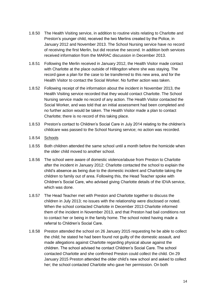- 1.8.50 The Health Visiting service, in addition to routine visits relating to Charlotte and Preston's younger child, received the two Merlins created by the Police, in January 2012 and November 2013. The School Nursing service have no record of receiving the first Merlin, but did receive the second. In addition both services received information from the MARAC discussion in December 2013.
- 1.8.51 Following the Merlin received in January 2012, the Health Visitor made contact with Charlotte at the place outside of Hillingdon where she was staying. The record gave a plan for the case to be transferred to this new area, and for the Health Visitor to contact the Social Worker. No further action was taken.
- 1.8.52 Following receipt of the information about the incident in November 2013, the Health Visiting service recorded that they would contact Charlotte. The School Nursing service made no record of any action. The Health Visitor contacted the Social Worker, and was told that an initial assessment had been completed and no further action would be taken. The Health Visitor made a plan to contact Charlotte; there is no record of this taking place.
- 1.8.53 Preston's contact to Children's Social Care in July 2014 relating to the children's childcare was passed to the School Nursing service; no action was recorded.
- 1.8.54 Schools
- 1.8.55 Both children attended the same school until a month before the homicide when the older child moved to another school.
- 1.8.56 The school were aware of domestic violence/abuse from Preston to Charlotte after the incident in January 2012: Charlotte contacted the school to explain the child's absence as being due to the domestic incident and Charlotte taking the children to family out of area. Following this, the Head Teacher spoke with Children's Social Care, who advised giving Charlotte details of the IDVA service, which was done.
- 1.8.57 The Head Teacher met with Preston and Charlotte together to discuss the children in July 2013; no issues with the relationship were disclosed or noted. When the school contacted Charlotte in December 2013 Charlotte informed them of the incident in November 2013, and that Preston had bail conditions not to contact her or being in the family home. The school noted having made a referral to Children's Social Care.
- 1.8.58 Preston attended the school on 26 January 2015 requesting he be able to collect the child; he stated he had been found not guilty of the domestic assault, and made allegations against Charlotte regarding physical abuse against the children. The school advised he contact Children's Social Care. The school contacted Charlotte and she confirmed Preston could collect the child. On 29 January 2015 Preston attended the older child's new school and asked to collect her; the school contacted Charlotte who gave her permission. On both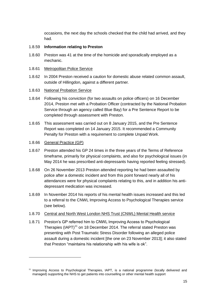occasions, the next day the schools checked that the child had arrived, and they had.

- 1.8.59 **Information relating to Preston**
- 1.8.60 Preston was 41 at the time of the homicide and sporadically employed as a mechanic.

#### 1.8.61 Metropolitan Police Service

1.8.62 In 2004 Preston received a caution for domestic abuse related common assault, outside of Hillingdon, against a different partner.

#### 1.8.63 National Probation Service

- 1.8.64 Following his conviction (for two assaults on police officers) on 16 December 2014, Preston met with a Probation Officer (contracted by the National Probation Service through an agency called Blue Bay) for a Pre Sentence Report to be completed through assessment with Preston.
- 1.8.65 This assessment was carried out on 8 January 2015, and the Pre Sentence Report was completed on 14 January 2015. It recommended a Community Penalty for Preston with a requirement to complete Unpaid Work.
- 1.8.66 General Practice (GP)

1

- 1.8.67 Preston attended his GP 24 times in the three years of the Terms of Reference timeframe, primarily for physical complaints, and also for psychological issues (in May 2014 he was prescribed anti-depressants having reported feeling stressed).
- 1.8.68 On 26 November 2013 Preston attended reporting he had been assaulted by police after a domestic incident and from this point forward nearly all of his attendances were for physical complaints relating to this, and in addition his antidepressant medication was increased.
- 1.8.69 In November 2014 his reports of his mental health issues increased and this led to a referral to the CNWL Improving Access to Psychological Therapies service (see below).
- 1.8.70 Central and North West London NHS Trust (CNWL) Mental Health service
- 1.8.71 Preston's GP referred him to CNWL Improving Access to Psychological Therapies (IAPT)<sup>11</sup> on 18 December 2014. The referral stated Preston was presenting with Post Traumatic Stress Disorder following an alleged police assault during a domestic incident [the one on 23 November 2013]; it also stated that Preston "maintains his relationship with his wife is ok".

<sup>&</sup>lt;sup>11</sup> Improving Access to Psychological Therapies, IAPT, is a national programme (locally delivered and managed) supporting the NHS to get patients into counselling or other mental health support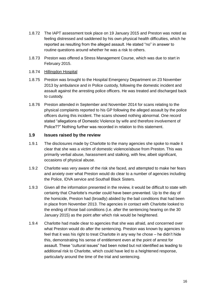- 1.8.72 The IAPT assessment took place on 19 January 2015 and Preston was noted as feeling distressed and saddened by his own physical health difficulties, which he reported as resulting from the alleged assault. He stated "no" in answer to routine questions around whether he was a risk to others.
- 1.8.73 Preston was offered a Stress Management Course, which was due to start in February 2015.
- 1.8.74 Hillingdon Hospital
- 1.8.75 Preston was brought to the Hospital Emergency Department on 23 November 2013 by ambulance and in Police custody, following the domestic incident and assault against the arresting police officers. He was treated and discharged back to custody.
- 1.8.76 Preston attended in September and November 2014 for scans relating to the physical complaints reported to his GP following the alleged assault by the police officers during this incident. The scans showed nothing abnormal. One record stated "allegations of Domestic Violence by wife and therefore involvement of Police??" Nothing further was recorded in relation to this statement.

#### **1.9 Issues raised by the review**

- 1.9.1 The disclosures made by Charlotte to the many agencies she spoke to made it clear that she was a victim of domestic violence/abuse from Preston. This was primarily verbal abuse, harassment and stalking, with few, albeit significant, occasions of physical abuse.
- 1.9.2 Charlotte was very aware of the risk she faced, and attempted to make her fears and anxiety over what Preston would do clear to a number of agencies including the Police, IDVA service and Southall Black Sisters.
- 1.9.3 Given all the information presented in the review, it would be difficult to state with certainty that Charlotte's murder could have been prevented. Up to the day of the homicide, Preston had (broadly) abided by the bail conditions that had been in place from November 2013. The agencies in contact with Charlotte looked to the ending of those bail conditions (i.e. after the sentencing hearing on the 30 January 2015) as the point after which risk would be heightened.
- 1.9.4 Charlotte had made clear to agencies that she was afraid, and concerned over what Preston would do after the sentencing. Preston was known by agencies to feel that it was his right to treat Charlotte in any way he chose – he didn't hide this, demonstrating his sense of entitlement even at the point of arrest for assault. These "cultural issues" had been noted but not identified as leading to additional risk to Charlotte, which could have led to a heightened response, particularly around the time of the trial and sentencing.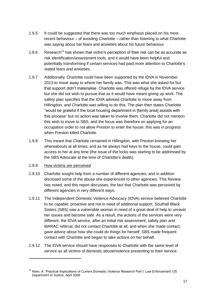- 1.9.5 It could be suggested that there was too much emphasis placed on his most recent behaviour – of avoiding Charlotte – rather than listening to what Charlotte was saying about her fears and anxieties about his future behaviour.
- 1.9.6 Research<sup>12</sup> has shown that victim's perception of their risk can be as accurate as risk identification/assessment tools, and it would have been helpful and potentially transforming if certain services had paid more attention to Charlotte's stated fears and anxieties.
- 1.9.7 Additionally, Charlotte could have been supported by the IDVA in November 2013 to move away to where her family was. This was what she asked for but that support didn't materialise. Charlotte was offered refuge by the IDVA service but she did not wish to pursue that as it would have meant giving up work. The safety plan specifies that the IDVA advised Charlotte to move away from Hillingdon, and Charlotte was willing to do this. The plan then states Charlotte "would be grateful if the local housing department in [family area] assists with this process" but no action was taken to involve them. Charlotte did not mention this wish to move to SBS, and the focus was therefore on applying for an occupation order to not allow Preston to enter the house; this was in progress when Preston killed Charlotte.
- 1.9.8 This meant that Charlotte remained in Hillingdon, with Preston knowing her whereabouts at all times; and as he always had keys to the house, could gain access to her at any time (the issue of the locks was starting to be addressed by the SBS Advocate at the time of Charlotte's death).
- 1.9.9 How victims are perceived

1

- 1.9.10 Charlotte sought help from a number of different agencies, and in addition disclosed some of the abuse she experienced to other agencies. This Review has noted, and this report discusses, the fact that Charlotte was perceived by different agencies in very different ways.
- 1.9.11 The Independent Domestic Violence Advocacy (IDVA) service believed Charlotte to be capable, proactive and not in need of additional support. Southall Black Sisters (SBS) saw a vulnerable woman in need of a great deal of help to unravel her issues and become safe. As a result, the actions of the services were very different: the IDVA service, after an initial risk assessment, safety plan and MARAC referral, did not contact Charlotte at all, and when she made contact, gave advice about how she could do things for herself; SBS made frequent contact with Charlotte and began to take actions on her behalf.
- 1.9.12 The IDVA service should have responses to Charlotte with the same level of service as all victims of domestic abuse/violence presenting to their service.

<sup>&</sup>lt;sup>12</sup> Klein, A. 'Practical Implications of Current Domestic Violence Research Part I: Law Enforcement' US Department of Justice, April 2008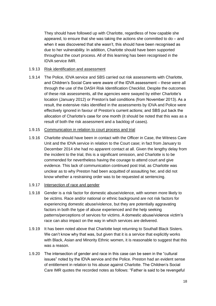They should have followed up with Charlotte, regardless of how capable she appeared, to ensure that she was taking the actions she committed to do – and when it was discovered that she wasn't, this should have been recognised as due to her vulnerability. In addition, Charlotte should have been supported throughout the court process. All of this learning has been recognised in the IDVA service IMR.

#### 1.9.13 Risk identification and assessment

1.9.14 The Police, IDVA service and SBS carried out risk assessments with Charlotte, and Children's Social Care were aware of the IDVA assessment – these were all through the use of the DASH Risk Identification Checklist. Despite the outcomes of these risk assessments, all the agencies were swayed by either Charlotte's location (January 2012) or Preston's bail conditions (from November 2013). As a result, the extensive risks identified in the assessments by IDVA and Police were effectively ignored in favour of Preston's current actions; and SBS put back the allocation of Charlotte's case for one month (it should be noted that this was as a result of both the risk assessment and a backlog of cases).

#### 1.9.15 Communication in relation to court process and trial

1.9.16 Charlotte should have been in contact with the Officer in Case, the Witness Care Unit and the IDVA service in relation to the Court case; in fact from January to December 2014 she had no apparent contact at all. Given the lengthy delay from the incident to the trial, this is a significant omission, and Charlotte is to be commended for nevertheless having the courage to attend court and give evidence. This lack of communication continued post trial, as Charlotte was unclear as to why Preston had been acquitted of assaulting her, and did not know whether a restraining order was to be requested at sentencing.

#### 1.9.17 Intersection of race and gender

- 1.9.18 Gender is a risk factor for domestic abuse/violence, with women more likely to be victims. Race and/or national or ethnic background are not risk factors for experiencing domestic abuse/violence, but they are potentially aggravating factors in both the type of abuse experienced and the help seeking patterns/perceptions of services for victims. A domestic abuse/violence victim's race can also impact on the way in which services are delivered.
- 1.9.19 It has been noted above that Charlotte kept returning to Southall Black Sisters. We can't know why that was, but given that it is a service that explicitly works with Black, Asian and Minority Ethnic women, it is reasonable to suggest that this was a reason.
- 1.9.20 The intersection of gender and race in this case can be seen in the "cultural issues" noted by the IDVA service and the Police. Preston had an evident sense of entitlement in relation to his abuse against Charlotte. The Children's Social Care IMR quotes the recorded notes as follows: "Father is said to be revengeful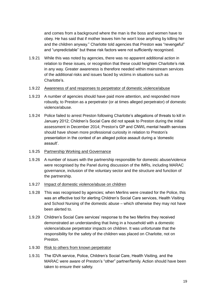and comes from a background where the man is the boss and women have to obey. He has said that if mother leaves him he won't lose anything by killing her and the children anyway." Charlotte told agencies that Preston was "revengeful" and "unpredictable" but these risk factors were not sufficiently recognised.

- 1.9.21 While this was noted by agencies, there was no apparent additional action in relation to these issues, or recognition that these could heighten Charlotte's risk in any way. Greater awareness is therefore needed within mainstream services of the additional risks and issues faced by victims in situations such as Charlotte's.
- 1.9.22 Awareness of and responses to perpetrator of domestic violence/abuse
- 1.9.23 A number of agencies should have paid more attention, and responded more robustly, to Preston as a perpetrator (or at times alleged perpetrator) of domestic violence/abuse.
- 1.9.24 Police failed to arrest Preston following Charlotte's allegations of threats to kill in January 2012; Children's Social Care did not speak to Preston during the initial assessment in December 2014; Preston's GP and CNWL mental health services should have shown more professional curiosity in relation to Preston's presentation in the context of an alleged police assault during a 'domestic assault'.
- 1.9.25 Partnership Working and Governance
- 1.9.26 A number of issues with the partnership responsible for domestic abuse/violence were recognised by the Panel during discussion of the IMRs, including MARAC governance, inclusion of the voluntary sector and the structure and function of the partnership.
- 1.9.27 Impact of domestic violence/abuse on children
- 1.9.28 This was recognised by agencies; when Merlins were created for the Police, this was an effective tool for alerting Children's Social Care services, Health Visiting and School Nursing of the domestic abuse – which otherwise they may not have been alerted to.
- 1.9.29 Children's Social Care services' response to the two Merlins they received demonstrated an understanding that living in a household with a domestic violence/abuse perpetrator impacts on children. It was unfortunate that the responsibility for the safety of the children was placed on Charlotte, not on Preston.
- 1.9.30 Risk to others from known perpetrator
- 1.9.31 The IDVA service, Police, Children's Social Care, Health Visiting, and the MARAC were aware of Preston's "other" partner/family. Action should have been taken to ensure their safety.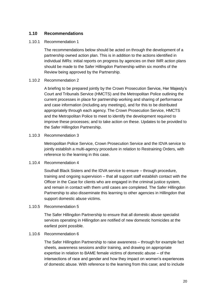#### **1.10 Recommendations**

#### 1.10.1 Recommendation 1

The recommendations below should be acted on through the development of a partnership owned action plan. This is in addition to the actions identified in individual IMRs: initial reports on progress by agencies on their IMR action plans should be made to the Safer Hillingdon Partnership within six months of the Review being approved by the Partnership.

#### 1.10.2 Recommendation 2

A briefing to be prepared jointly by the Crown Prosecution Service, Her Majesty's Court and Tribunals Service (HMCTS) and the Metropolitan Police outlining the current processes in place for partnership working and sharing of performance and case information (including any meetings), and for this to be distributed appropriately through each agency. The Crown Prosecution Service, HMCTS and the Metropolitan Police to meet to identify the development required to improve these processes; and to take action on these. Updates to be provided to the Safer Hillingdon Partnership.

#### 1.10.3 Recommendation 3

Metropolitan Police Service, Crown Prosecution Service and the IDVA service to jointly establish a multi-agency procedure in relation to Restraining Orders, with reference to the learning in this case.

#### 1.10.4 Recommendation 4

Southall Black Sisters and the IDVA service to ensure – through procedure, training and ongoing supervision – that all support staff establish contact with the Officer in the Case for clients who are engaged in the criminal justice system, and remain in contact with them until cases are completed. The Safer Hillingdon Partnership to also disseminate this learning to other agencies in Hillingdon that support domestic abuse victims.

#### 1.10.5 Recommendation 5

The Safer Hillingdon Partnership to ensure that all domestic abuse specialist services operating in Hillingdon are notified of new domestic homicides at the earliest point possible.

#### 1.10.6 Recommendation 6

The Safer Hillingdon Partnership to raise awareness – through for example fact sheets, awareness sessions and/or training, and drawing on appropriate expertise in relation to BAME female victims of domestic abuse – of the intersections of race and gender and how they impact on women's experiences of domestic abuse. With reference to the learning from this case; and to include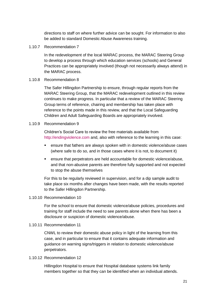directions to staff on where further advice can be sought. For information to also be added to standard Domestic Abuse Awareness training.

1.10.7 Recommendation 7

In the redevelopment of the local MARAC process, the MARAC Steering Group to develop a process through which education services (schools) and General Practices can be appropriately involved (though not necessarily always attend) in the MARAC process.

#### 1.10.8 Recommendation 8

The Safer Hillingdon Partnership to ensure, through regular reports from the MARAC Steering Group, that the MARAC redevelopment outlined in this review continues to make progress. In particular that a review of the MARAC Steering Group terms of reference, chairing and membership has taken place with reference to the points made in this review, and that the Local Safeguarding Children and Adult Safeguarding Boards are appropriately involved.

#### 1.10.9 Recommendation 9

Children's Social Care to review the free materials available from [http://endingviolence.com](http://endingviolence.com/) and, also with reference to the learning in this case:

- ensure that fathers are always spoken with in domestic violence/abuse cases (where safe to do so, and in those cases where it is not, to document it)
- ensure that perpetrators are held accountable for domestic violence/abuse, and that non-abusive parents are therefore fully supported and not expected to stop the abuse themselves

For this to be regularly reviewed in supervision, and for a dip sample audit to take place six months after changes have been made, with the results reported to the Safer Hillingdon Partnership.

#### 1.10.10 Recommendation 10

For the school to ensure that domestic violence/abuse policies, procedures and training for staff include the need to see parents alone when there has been a disclosure or suspicion of domestic violence/abuse.

1.10.11 Recommendation 11

CNWL to review their domestic abuse policy in light of the learning from this case, and in particular to ensure that it contains adequate information and guidance on warning signs/triggers in relation to domestic violence/abuse perpetrators.

#### 1.10.12 Recommendation 12

Hillingdon Hospital to ensure that Hospital database systems link family members together so that they can be identified when an individual attends.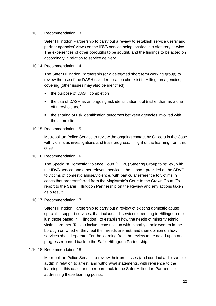#### 1.10.13 Recommendation 13

Safer Hillingdon Partnership to carry out a review to establish service users' and partner agencies' views on the IDVA service being located in a statutory service. The experiences of other boroughs to be sought, and the findings to be acted on accordingly in relation to service delivery.

#### 1.10.14 Recommendation 14

The Safer Hillingdon Partnership (or a delegated short term working group) to review the use of the DASH risk identification checklist in Hillingdon agencies, covering (other issues may also be identified):

- the purpose of DASH completion
- the use of DASH as an ongoing risk identification tool (rather than as a one off threshold tool)
- the sharing of risk identification outcomes between agencies involved with the same client

#### 1.10.15 Recommendation 15

Metropolitan Police Service to review the ongoing contact by Officers in the Case with victims as investigations and trials progress, in light of the learning from this case.

#### 1.10.16 Recommendation 16

The Specialist Domestic Violence Court (SDVC) Steering Group to review, with the IDVA service and other relevant services, the support provided at the SDVC to victims of domestic abuse/violence, with particular reference to victims in cases that are transferred from the Magistrate's Court to the Crown Court. To report to the Safer Hillingdon Partnership on the Review and any actions taken as a result.

#### 1.10.17 Recommendation 17

Safer Hillingdon Partnership to carry out a review of existing domestic abuse specialist support services, that includes all services operating in Hillingdon (not just those based in Hillingdon), to establish how the needs of minority ethnic victims are met. To also include consultation with minority ethnic women in the borough on whether they feel their needs are met, and their opinion on how services should operate. For the learning from the review to be acted upon and progress reported back to the Safer Hillingdon Partnership.

#### 1.10.18 Recommendation 18

Metropolitan Police Service to review their processes (and conduct a dip sample audit) in relation to arrest, and withdrawal statements, with reference to the learning in this case, and to report back to the Safer Hillingdon Partnership addressing these learning points.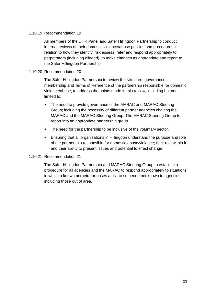#### 1.10.19 Recommendation 19

All members of the DHR Panel and Safer Hillingdon Partnership to conduct internal reviews of their domestic violence/abuse policies and procedures in relation to how they identify, risk assess, refer and respond appropriately to perpetrators (including alleged), to make changes as appropriate and report to the Safer Hillingdon Partnership.

#### 1.10.20 Recommendation 20

The Safer Hillingdon Partnership to review the structure, governance, membership and Terms of Reference of the partnership responsible for domestic violence/abuse, to address the points made in this review, including but not limited to:

- The need to provide governance of the MARAC and MARAC Steering Group; including the necessity of different partner agencies chairing the MARAC and the MARAC Steering Group. The MARAC Steering Group to report into an appropriate partnership group.
- The need for the partnership to be inclusive of the voluntary sector.
- Ensuring that all organisations in Hillingdon understand the purpose and role of the partnership responsible for domestic abuse/violence; their role within it and their ability to present issues and potential to effect change.

#### 1.10.21 Recommendation 21

The Safer Hillingdon Partnership and MARAC Steering Group to establish a procedure for all agencies and the MARAC to respond appropriately to situations in which a known perpetrator poses a risk to someone not known to agencies, including those out of area.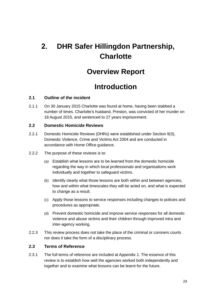## **2. DHR Safer Hillingdon Partnership, Charlotte**

### **Overview Report**

## **Introduction**

#### **2.1 Outline of the incident**

2.1.1 On 30 January 2015 Charlotte was found at home, having been stabbed a number of times. Charlotte's husband, Preston, was convicted of her murder on 18 August 2015, and sentenced to 27 years imprisonment.

#### **2.2 Domestic Homicide Reviews**

- 2.2.1 Domestic Homicide Reviews (DHRs) were established under Section 9(3), Domestic Violence, Crime and Victims Act 2004 and are conducted in accordance with Home Office guidance.
- 2.2.2 The purpose of these reviews is to:
	- (a) Establish what lessons are to be learned from the domestic homicide regarding the way in which local professionals and organisations work individually and together to safeguard victims.
	- (b) Identify clearly what those lessons are both within and between agencies, how and within what timescales they will be acted on, and what is expected to change as a result.
	- (c) Apply those lessons to service responses including changes to policies and procedures as appropriate.
	- (d) Prevent domestic homicide and improve service responses for all domestic violence and abuse victims and their children through improved intra and inter-agency working.
- 2.2.3 This review process does not take the place of the criminal or coroners courts nor does it take the form of a disciplinary process.

#### **2.3 Terms of Reference**

2.3.1 The full terms of reference are included at Appendix 1. The essence of this review is to establish how well the agencies worked both independently and together and to examine what lessons can be learnt for the future.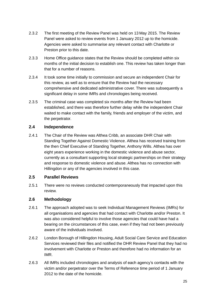- 2.3.2 The first meeting of the Review Panel was held on 13 May 2015. The Review Panel were asked to review events from 1 January 2012 up to the homicide. Agencies were asked to summarise any relevant contact with Charlotte or Preston prior to this date.
- 2.3.3 Home Office guidance states that the Review should be completed within six months of the initial decision to establish one. This review has taken longer than that for a number of reasons.
- 2.3.4 It took some time initially to commission and secure an independent Chair for this review, as well as to ensure that the Review had the necessary comprehensive and dedicated administrative cover. There was subsequently a significant delay in some IMRs and chronologies being received.
- 2.3.5 The criminal case was completed six months after the Review had been established, and there was therefore further delay while the independent Chair waited to make contact with the family, friends and employer of the victim, and the perpetrator.

#### **2.4 Independence**

2.4.1 The Chair of the Review was Althea Cribb, an associate DHR Chair with Standing Together Against Domestic Violence. Althea has received training from the then Chief Executive of Standing Together, Anthony Wills. Althea has over eight years experience working in the domestic violence and abuse sector, currently as a consultant supporting local strategic partnerships on their strategy and response to domestic violence and abuse. Althea has no connection with Hillingdon or any of the agencies involved in this case.

#### **2.5 Parallel Reviews**

2.5.1 There were no reviews conducted contemporaneously that impacted upon this review.

#### **2.6 Methodology**

- 2.6.1 The approach adopted was to seek Individual Management Reviews (IMRs) for all organisations and agencies that had contact with Charlotte and/or Preston. It was also considered helpful to involve those agencies that could have had a bearing on the circumstances of this case, even if they had not been previously aware of the individuals involved.
- 2.6.2 London Borough of Hillingdon Housing, Adult Social Care Service and Education Services reviewed their files and notified the DHR Review Panel that they had no involvement with Charlotte or Preston and therefore had no information for an IMR.
- 2.6.3 All IMRs included chronologies and analysis of each agency's contacts with the victim and/or perpetrator over the Terms of Reference time period of 1 January 2012 to the date of the homicide.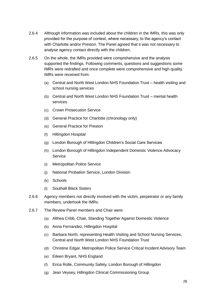- 2.6.4 Although information was included about the children in the IMRs, this was only provided for the purpose of context, where necessary, to the agency's contact with Charlotte and/or Preston. The Panel agreed that it was not necessary to analyse agency contact directly with the children.
- 2.6.5 On the whole, the IMRs provided were comprehensive and the analysis supported the findings. Following comments, questions and suggestions some IMRs were redrafted and once complete were comprehensive and high quality. IMRs were received from:
	- (a) Central and North West London NHS Foundation Trust health visiting and school nursing services
	- (b) Central and North West London NHS Foundation Trust mental health services
	- (c) Crown Prosecution Service
	- (d) General Practice for Charlotte (chronology only)
	- (e) General Practice for Preston
	- (f) Hillingdon Hospital
	- (g) London Borough of Hillingdon Children's Social Care Services
	- (h) London Borough of Hillingdon Independent Domestic Violence Advocacy **Service**
	- (i) Metropolitan Police Service
	- (j) National Probation Service, London Division
	- (k) Schools
	- (l) Southall Black Sisters
- 2.6.6 Agency members not directly involved with the victim, perpetrator or any family members, undertook the IMRs.
- 2.6.7 The Review Panel members and Chair were:
	- (a) Althea Cribb, Chair, Standing Together Against Domestic Violence
	- (b) Anna Fernandez, Hillingdon Hospital
	- (c) Barbara North, representing Health Visiting and School Nursing Services, Central and North West London NHS Foundation Trust
	- (d) Christine Edgar, Metropolitan Police Service Critical Incident Advisory Team
	- (e) Eileen Bryant, NHS England
	- (f) Erica Rolle, Community Safety, London Borough of Hillingdon
	- (g) Jean Veysey, Hillingdon Clinical Commissioning Group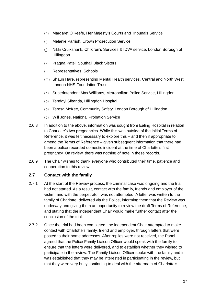- (h) Margaret O'Keefe, Her Majesty's Courts and Tribunals Service
- (i) Melanie Parrish, Crown Prosecution Service
- (j) Nikki Cruikshank, Children's Services & IDVA service, London Borough of **Hillingdon**
- (k) Pragna Patel, Southall Black Sisters
- (l) Representatives, Schools
- (m) Shaun Hare, representing Mental Health services, Central and North West London NHS Foundation Trust
- (n) Superintendent Max Williams, Metropolitan Police Service, Hillingdon
- (o) Tendayi Sibanda, Hillingdon Hospital
- (p) Teresa McKee, Community Safety, London Borough of Hillingdon
- (q) Will Jones, National Probation Service
- 2.6.8 In addition to the above, information was sought from Ealing Hospital in relation to Charlotte's two pregnancies. While this was outside of the initial Terms of Reference, it was felt necessary to explore this – and then if appropriate to amend the Terms of Reference – given subsequent information that there had been a police-recorded domestic incident at the time of Charlotte's first pregnancy. On review, there was nothing of note in these records.
- 2.6.9 The Chair wishes to thank everyone who contributed their time, patience and cooperation to this review.

#### **2.7 Contact with the family**

- 2.7.1 At the start of the Review process, the criminal case was ongoing and the trial had not started. As a result, contact with the family, friends and employer of the victim, and with the perpetrator, was not attempted. A letter was written to the family of Charlotte, delivered via the Police, informing them that the Review was underway and giving them an opportunity to review the draft Terms of Reference, and stating that the independent Chair would make further contact after the conclusion of the trial.
- 2.7.2 Once the trial had been completed, the independent Chair attempted to make contact with Charlotte's family, friend and employer, through letters that were posted to their home addresses. After replies were not received, the Panel agreed that the Police Family Liaison Officer would speak with the family to ensure that the letters were delivered, and to establish whether they wished to participate in the review. The Family Liaison Officer spoke with the family and it was established that they may be interested in participating in the review, but that they were very busy continuing to deal with the aftermath of Charlotte's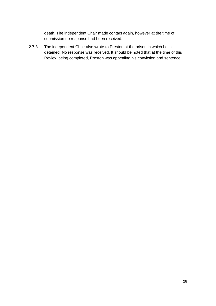death. The independent Chair made contact again, however at the time of submission no response had been received.

2.7.3 The independent Chair also wrote to Preston at the prison in which he is detained. No response was received. It should be noted that at the time of this Review being completed, Preston was appealing his conviction and sentence.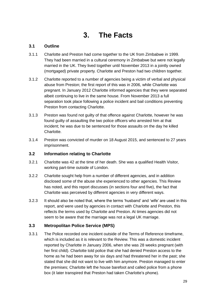## **3. The Facts**

#### **3.1 Outline**

- 3.1.1 Charlotte and Preston had come together to the UK from Zimbabwe in 1999. They had been married in a cultural ceremony in Zimbabwe but were not legally married in the UK. They lived together until November 2013 in a jointly owned (mortgaged) private property. Charlotte and Preston had two children together.
- 3.1.2 Charlotte reported to a number of agencies being a victim of verbal and physical abuse from Preston; the first report of this was in 2006, while Charlotte was pregnant. In January 2012 Charlotte informed agencies that they were separated albeit continuing to live in the same house. From November 2013 a full separation took place following a police incident and bail conditions preventing Preston from contacting Charlotte.
- 3.1.3 Preston was found not guilty of that offence against Charlotte, however he was found guilty of assaulting the two police officers who arrested him at that incident; he was due to be sentenced for those assaults on the day he killed Charlotte.
- 3.1.4 Preston was convicted of murder on 18 August 2015, and sentenced to 27 years imprisonment.

#### **3.2 Information relating to Charlotte**

- 3.2.1 Charlotte was 42 at the time of her death. She was a qualified Health Visitor, working part-time outside of London.
- 3.2.2 Charlotte sought help from a number of different agencies, and in addition disclosed some of the abuse she experienced to other agencies. This Review has noted, and this report discusses (in sections four and five), the fact that Charlotte was perceived by different agencies in very different ways.
- 3.2.3 It should also be noted that, where the terms 'husband' and 'wife' are used in this report, and were used by agencies in contact with Charlotte and Preston, this reflects the terms used by Charlotte and Preston. At times agencies did not seem to be aware that the marriage was not a legal UK marriage.

#### **3.3 Metropolitan Police Service (MPS)**

3.3.1 The Police recorded one incident outside of the Terms of Reference timeframe, which is included as it is relevant to the Review. This was a domestic incident reported by Charlotte in January 2006, when she was 28 weeks pregnant (with her first child). Charlotte told police that she had denied Preston access to the home as he had been away for six days and had threatened her in the past; she stated that she did not want to live with him anymore. Preston managed to enter the premises; Charlotte left the house barefoot and called police from a phone box (it later transpired that Preston had taken Charlotte's phone).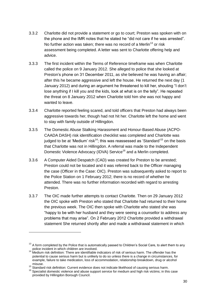- 3.3.2 Charlotte did not provide a statement or go to court; Preston was spoken with on the phone and the IMR notes that he stated he "did not care if he was arrested". No further action was taken; there was no record of a Merlin<sup>13</sup> or risk assessment being completed. A letter was sent to Charlotte offering help and advice.
- 3.3.3 The first incident within the Terms of Reference timeframe was when Charlotte called the police on 9 January 2012. She alleged to police that she looked at Preston's phone on 31 December 2011, as she believed he was having an affair; after this he became aggressive and left the house. He returned the next day (1 January 2012) and during an argument he threatened to kill her, shouting "I don't lose anything if I kill you and the kids, look at what is on the telly". He repeated the threat on 8 January 2012 when Charlotte told him she was not happy and wanted to leave.
- 3.3.4 Charlotte reported feeling scared, and told officers that Preston had always been aggressive towards her, though had not hit her. Charlotte left the home and went to stay with family outside of Hillingdon.
- 3.3.5 The Domestic Abuse Stalking Harassment and Honour-Based Abuse (ACPO-CAADA DASH) risk identification checklist was completed and Charlotte was judged to be at 'Medium' risk<sup>14</sup>; this was reassessed as 'Standard'<sup>15</sup> on the basis that Charlotte was not in Hillingdon. A referral was made to the Independent Domestic Violence Advocacy (IDVA) Service<sup>16</sup> and a Merlin completed.
- 3.3.6 A Computer Aided Despatch (CAD) was created for Preston to be arrested; Preston could not be located and it was referred back to the Officer managing the case (Officer in the Case: OIC). Preston was subsequently asked to report to the Police Station on 1 February 2012; there is no record of whether he attended. There was no further information recorded with regard to arresting Preston.
- 3.3.7 The OIC made further attempts to contact Charlotte. Then on 29 January 2012 the OIC spoke with Preston who stated that Charlotte had returned to their home the previous week. The OIC then spoke with Charlotte who stated she was "happy to be with her husband and they were seeing a counsellor to address any problems that may arise". On 2 February 2012 Charlotte provided a withdrawal statement She returned shortly after and made a withdrawal statement in which

1

<sup>&</sup>lt;sup>13</sup> A form completed by the Police that is automatically passed to Children's Social Care, to alert them to any police incident in which children are involved.

<sup>&</sup>lt;sup>14</sup> Medium risk definition: There are identifiable indicators of risk of serious harm. The offender has the potential to cause serious harm but is unlikely to do so unless there is a change in circumstances, for example, failure to take medication, loss of accommodation, relationship breakdown, drug or alcohol misuse.

<sup>&</sup>lt;sup>15</sup> Standard risk definition: Current evidence does not indicate likelihood of causing serious harm.

<sup>&</sup>lt;sup>16</sup> Specialist domestic violence and abuse support service for medium and high risk victims; in this case provided by Hillingdon Borough Council.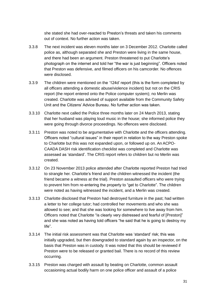she stated she had over-reacted to Preston's threats and taken his comments out of context. No further action was taken.

- 3.3.8 The next incident was eleven months later on 3 December 2012. Charlotte called police as, although separated she and Preston were living in the same house, and there had been an argument. Preston threatened to put Charlotte's photograph on the internet and told her "the war is just beginning". Officers noted that Preston was defensive, and filmed officers on his camcorder. No offences were disclosed.
- 3.3.9 The children were mentioned on the '124d' report (this is the form completed by all officers attending a domestic abuse/violence incident) but not on the CRIS report (the report entered onto the Police computer system); no Merlin was created. Charlotte was advised of support available from the Community Safety Unit and the Citizens' Advice Bureau. No further action was taken.
- 3.3.10 Charlotte next called the Police three months later on 24 March 2013, stating that her husband was playing loud music in the house; she informed police they were going through divorce proceedings. No offences were disclosed.
- 3.3.11 Preston was noted to be argumentative with Charlotte and the officers attending. Officers noted "cultural issues" in their report in relation to the way Preston spoke to Charlotte but this was not expanded upon, or followed up on. An ACPO-CAADA DASH risk identification checklist was completed and Charlotte was assessed as 'standard'. The CRIS report refers to children but no Merlin was created.
- 3.3.12 On 23 November 2013 police attended after Charlotte reported Preston had tried to strangle her. Charlotte's friend and the children witnessed the incident (the friend became a witness at the trial). Preston assaulted officers who were trying to prevent him from re-entering the property to "get to Charlotte". The children were noted as having witnessed the incident, and a Merlin was created.
- 3.3.13 Charlotte disclosed that Preston had destroyed furniture in the past; had written a letter to her college tutor; had controlled her movements and who she was allowed to see; and that she was looking for somewhere to live away from him. Officers noted that Charlotte "is clearly very distressed and fearful of [Preston]" and she was noted as having told officers "he said that he is going to destroy my life".
- 3.3.14 The initial risk assessment was that Charlotte was 'standard' risk; this was initially upgraded, but then downgraded to standard again by an inspector, on the basis that Preston was in custody. It was noted that this should be reviewed if Preston were to be released or granted bail. There is no record of this review occurring.
- 3.3.15 Preston was charged with assault by beating on Charlotte, common assault occasioning actual bodily harm on one police officer and assault of a police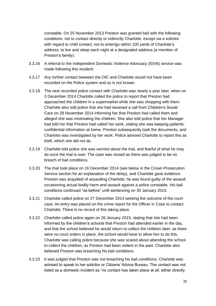constable. On 25 November 2013 Preston was granted bail with the following conditions: not to contact directly or indirectly Charlotte, except via a solicitor with regard to child contact; not to enter/go within 100 yards of Charlotte's address; to live and sleep each night at a designated address (a member of Preston's family).

- 3.3.16 A referral to the Independent Domestic Violence Advocacy (IDVA) service was made following this incident.
- 3.3.17 Any further contact between the OIC and Charlotte would not have been recorded on the Police system and so is not known.
- 3.3.18 The next recorded police contact with Charlotte was nearly a year later, when on 3 December 2014 Charlotte called the police to report that Preston had approached the children in a supermarket while she was shopping with them. Charlotte also told police that she had received a call from Children's Social Care on 28 November 2014 informing her that Preston had called them and alleged she was mistreating the children. She also told police that her Manager had told her that Preston had called her work, stating she was keeping patients' confidential information at home. Preston subsequently took the documents, and Charlotte was investigated by her work. Police advised Charlotte to report this as theft, which she did not do.
- 3.3.19 Charlotte told police she was worried about the trial, and fearful of what he may do once the trial is over. The case was closed as there was judged to be no breach of bail conditions.
- 3.3.20 The trial took place on 16 December 2014 (see below in the Crown Prosecution Service section for an explanation of the delay), and Charlotte gave evidence. Preston was acquitted of assaulting Charlotte; he was found guilty of the assault occasioning actual bodily harm and assault against a police constable. His bail conditions continued "as before" until sentencing on 30 January 2015.
- 3.3.21 Charlotte called police on 27 December 2014 seeking the outcome of the court case. An entry was placed on the crime report for the Officer in Case to contact Charlotte. There is no record of this taking place.
- 3.3.22 Charlotte called police again on 26 January 2015, stating that she had been informed by the children's schools that Preston had attended earlier in the day, and that the school believed he would return to collect the children later; as there were no court orders in place, the school would have to allow him to do this. Charlotte was calling police because she was scared about attending the school to collect the children, as Preston had been violent in the past. Charlotte also believed Preston was breaching his bail conditions.
- 3.3.23 It was judged that Preston was not breaching his bail conditions; Charlotte was advised to speak to her solicitor or Citizens' Advice Bureau. The contact was not listed as a domestic incident as "no contact has taken place at all, either directly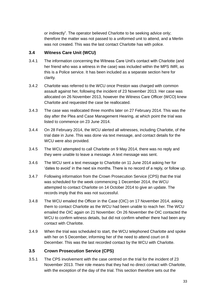or indirectly". The operator believed Charlotte to be seeking advice only; therefore the matter was not passed to a uniformed unit to attend, and a Merlin was not created. This was the last contact Charlotte has with police.

#### **3.4 Witness Care Unit (WCU)**

- 3.4.1 The information concerning the Witness Care Unit's contact with Charlotte (and her friend who was a witness in the case) was included within the MPS IMR, as this is a Police service. It has been included as a separate section here for clarity.
- 3.4.2 Charlotte was referred to the WCU once Preston was charged with common assault against her, following the incident of 23 November 2013. Her case was allocated on 26 November 2013, however the Witness Care Officer (WCO) knew Charlotte and requested the case be reallocated.
- 3.4.3 The case was reallocated three months later on 27 February 2014. This was the day after the Plea and Case Management Hearing, at which point the trial was listed to commence on 23 June 2014.
- 3.4.4 On 28 February 2014, the WCU alerted all witnesses, including Charlotte, of the trial date in June. This was done via text message, and contact details for the WCU were also provided.
- 3.4.5 The WCU attempted to call Charlotte on 9 May 2014, there was no reply and they were unable to leave a message. A text message was sent.
- 3.4.6 The WCU sent a text message to Charlotte on 11 June 2014 asking her for 'dates to avoid' in the next six months. There is no record of a reply, or follow up.
- 3.4.7 Following information from the Crown Prosecution Service (CPS) that the trial was scheduled for the week commencing 1 December 2014, the WCU attempted to contact Charlotte on 14 October 2014 to give an update. The records imply that this was not successful.
- 3.4.8 The WCU emailed the Officer in the Case (OIC) on 17 November 2014, asking them to contact Charlotte as the WCU had been unable to reach her. The WCU emailed the OIC again on 21 November. On 26 November the OIC contacted the WCU to confirm witness details, but did not confirm whether there had been any contact with Charlotte.
- 3.4.9 When the trial was scheduled to start, the WCU telephoned Charlotte and spoke with her on 5 December, informing her of the need to attend court on 8 December. This was the last recorded contact by the WCU with Charlotte.

#### **3.5 Crown Prosecution Service (CPS)**

3.5.1 The CPS involvement with the case centred on the trial for the incident of 23 November 2013. Their role means that they had no direct contact with Charlotte, with the exception of the day of the trial. This section therefore sets out the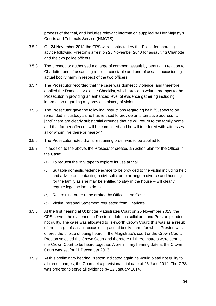process of the trial, and includes relevant information supplied by Her Majesty's Courts and Tribunals Service (HMCTS).

- 3.5.2 On 24 November 2013 the CPS were contacted by the Police for charging advice following Preston's arrest on 23 November 2013 for assaulting Charlotte and the two police officers.
- 3.5.3 The prosecutor authorised a charge of common assault by beating in relation to Charlotte, one of assaulting a police constable and one of assault occasioning actual bodily harm in respect of the two officers.
- 3.5.4 The Prosecutor recorded that the case was domestic violence, and therefore applied the Domestic Violence Checklist, which provides written prompts to the Prosecutor in providing an enhanced level of evidence gathering including information regarding any previous history of violence.
- 3.5.5 The Prosecutor gave the following instructions regarding bail: "Suspect to be remanded in custody as he has refused to provide an alternative address … [and] there are clearly substantial grounds that he will return to the family home and that further offences will be committed and he will interfered with witnesses all of whom live there or nearby."
- 3.5.6 The Prosecutor noted that a restraining order was to be applied for.
- 3.5.7 In addition to the above, the Prosecutor created an action plan for the Officer in the Case:
	- (a) To request the 999 tape to explore its use at trial.
	- (b) Suitable domestic violence advice to be provided to the victim including help and advice on contacting a civil solicitor to arrange a divorce and housing for the family as she may be entitled to stay in the house – will clearly require legal action to do this.
	- (c) Restraining order to be drafted by Office in the Case.
	- (d) Victim Personal Statement requested from Charlotte.
- 3.5.8 At the first hearing at Uxbridge Magistrates Court on 25 November 2013, the CPS served the evidence on Preston's defence solicitors, and Preston pleaded not guilty. The case was allocated to Isleworth Crown Court: this was as a result of the charge of assault occasioning actual bodily harm, for which Preston was offered the choice of being heard in the Magistrate's court or the Crown Court. Preston selected the Crown Court and therefore all three matters were sent to the Crown Court to be heard together. A preliminary hearing date at the Crown Court was set for 11 December 2013.
- 3.5.9 At this preliminary hearing Preston indicated again he would plead not guilty to all three charges; the Court set a provisional trial date of 26 June 2014. The CPS was ordered to serve all evidence by 22 January 2014.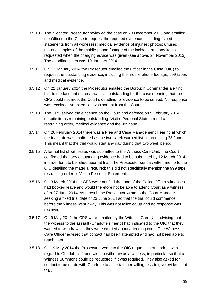- 3.5.10 The allocated Prosecutor reviewed the case on 23 December 2013 and emailed the Officer in the Case to request the required evidence, including: typed statements from all witnesses; medical evidence of injuries; photos; unused material; copies of the mobile phone footage of the incident; and any items requested when the charging advice was given (see above, 24 November 2013). The deadline given was 10 January 2014.
- 3.5.11 On 13 January 2014 the Prosecutor emailed the Officer in the Case (OIC) to request the outstanding evidence, including the mobile phone footage, 999 tapes and medical evidence.
- 3.5.12 On 22 January 2014 the Prosecutor emailed the Borough Commander alerting him to the fact that material was still outstanding for the case meaning that the CPS could not meet the Court's deadline for evidence to be served. No response was received. An extension was sought from the Court.
- 3.5.13 The CPS served the evidence on the Court and defence on 5 February 2014, despite items remaining outstanding: Victim Personal Statement, draft restraining order, medical evidence and the 999 tape.
- 3.5.14 On 26 February 2014 there was a Plea and Case Management Hearing at which the trial date was confirmed as the two-week warned list commencing 23 June. This meant that the trial would start any day during that two week period.
- 3.5.15 A formal list of witnesses was submitted to the Witness Care Unit. The Court confirmed that any outstanding evidence had to be submitted by 12 March 2014 in order for it to be relied upon at trial. The Prosecutor sent a written memo to the OIC detailing the material required; this did not specifically mention the 999 tape, restraining order or Victim Personal Statement.
- 3.5.16 On 3 March 2014 the CPS were notified that one of the Police Officer witnesses had booked leave and would therefore not be able to attend Court as a witness after 27 June 2014. As a result the Prosecutor wrote to the Court Manager seeking a fixed trial date of 23 June 2014 so that the trial could commence before the witness went away. This was not followed up and no response was received.
- 3.5.17 On 9 May 2014 the CPS were emailed by the Witness Care Unit advising that the witness to the assault (Charlotte's friend) had indicated to the OIC that they wanted to withdraw, as they were worried about attending court. The Witness Care Officer advised that contact had been attempted and had not been able to reach them.
- 3.5.18 On 19 May 2014 the Prosecutor wrote to the OIC requesting an update with regard to Charlotte's friend wish to withdraw as a witness, in particular so that a Witness Summons could be requested if it was required. They also asked for contact to be made with Charlotte to ascertain her willingness to give evidence at trial.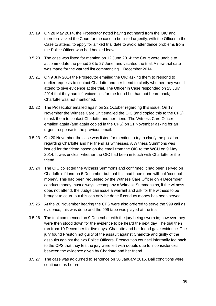- 3.5.19 On 28 May 2014, the Prosecutor noted having not heard from the OIC and therefore asked the Court for the case to be listed urgently, with the Officer in the Case to attend, to apply for a fixed trial date to avoid attendance problems from the Police Officer who had booked leave.
- 3.5.20 The case was listed for mention on 12 June 2014; the Court were unable to accommodate the period 23 to 27 June, and vacated the trial. A new trial date was made for the warned list commencing 1 December 2014.
- 3.5.21 On 9 July 2014 the Prosecutor emailed the OIC asking them to respond to earlier requests to contact Charlotte and her friend to clarify whether they would attend to give evidence at the trial. The Officer in Case responded on 23 July 2014 that they had left voicemails for the friend but had not heard back; Charlotte was not mentioned.
- 3.5.22 The Prosecutor emailed again on 22 October regarding this issue. On 17 November the Witness Care Unit emailed the OIC (and copied this to the CPS) to ask them to contact Charlotte and her friend. The Witness Care Officer emailed again (and again copied in the CPS) on 21 November asking for an urgent response to the previous email.
- 3.5.23 On 20 November the case was listed for mention to try to clarify the position regarding Charlotte and her friend as witnesses. A Witness Summons was issued for the friend based on the email from the OIC to the WCU on 9 May 2014. It was unclear whether the OIC had been in touch with Charlotte or the friend.
- 3.5.24 The OIC collected the Witness Summons and confirmed it had been served on Charlotte's friend on 5 December but that this had been done without 'conduct money'. This had been requested by the Witness Care Officer on 4 December; conduct money must always accompany a Witness Summons as, if the witness does not attend, the Judge can issue a warrant and ask for the witness to be brought to court, but this can only be done if conduct money has been served.
- 3.5.25 At the 20 November hearing the CPS were also ordered to serve the 999 call as evidence; this was done and the 999 tape was played at the trial.
- 3.5.26 The trial commenced on 9 December with the jury being sworn in; however they were then stood down for the evidence to be heard the next day. The trial then ran from 10 December for five days. Charlotte and her friend gave evidence. The jury found Preston not guilty of the assault against Charlotte and guilty of the assaults against the two Police Officers. Prosecution counsel informally fed back to the CPS that they felt the jury were left with doubts due to inconsistencies between the evidence given by Charlotte and her friend.
- 3.5.27 The case was adjourned to sentence on 30 January 2015. Bail conditions were continued as before.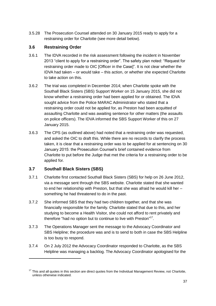3.5.28 The Prosecution Counsel attended on 30 January 2015 ready to apply for a restraining order for Charlotte (see more detail below).

## **3.6 Restraining Order**

- 3.6.1 The IDVA recorded in the risk assessment following the incident in November 2013 "client to apply for a restraining order". The safety plan noted: "Request for restraining order made to OIC [Officer in the Case]". It is not clear whether the IDVA had taken – or would take – this action, or whether she expected Charlotte to take action on this.
- 3.6.2 The trial was completed in December 2014; when Charlotte spoke with the Southall Black Sisters (SBS) Support Worker on 15 January 2015, she did not know whether a restraining order had been applied for or obtained. The IDVA sought advice from the Police MARAC Administrator who stated that a restraining order could not be applied for, as Preston had been acquitted of assaulting Charlotte and was awaiting sentence for other matters (the assaults on police officers). The IDVA informed the SBS Support Worker of this on 27 January 2015.
- 3.6.3 The CPS (as outlined above) had noted that a restraining order was requested, and asked the OIC to draft this. While there are no records to clarify the process taken, it is clear that a restraining order was to be applied for at sentencing on 30 January 2015: the Prosecution Counsel's brief contained evidence from Charlotte to put before the Judge that met the criteria for a restraining order to be applied for.

## **3.7 Southall Black Sisters (SBS)**

1

- 3.7.1 Charlotte first contacted Southall Black Sisters (SBS) for help on 26 June 2012, via a message sent through the SBS website. Charlotte stated that she wanted to end her relationship with Preston, but that she was afraid he would kill her – something he had threatened to do in the past.
- 3.7.2 She informed SBS that they had two children together, and that she was financially responsible for the family. Charlotte stated that due to this, and her studying to become a Health Visitor, she could not afford to rent privately and therefore "had no option but to continue to live with Preston"<sup>17</sup>.
- 3.7.3 The Operations Manager sent the message to the Advocacy Coordinator and SBS Helpline; the procedure was and is to send to both in case the SBS Helpline is too busy to respond.
- 3.7.4 On 2 July 2012 the Advocacy Coordinator responded to Charlotte, as the SBS Helpline was managing a backlog. The Advocacy Coordinator apologised for the

 $17$  This and all quotes in this section are direct quotes from the Individual Management Review, not Charlotte, unless otherwise indicated.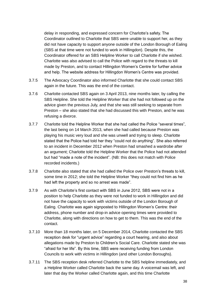delay in responding, and expressed concern for Charlotte's safety. The Coordinator outlined to Charlotte that SBS were unable to support her, as they did not have capacity to support anyone outside of the London Borough of Ealing (SBS at that time were not funded to work in Hillingdon). Despite this, the Coordinator offered for an SBS Helpline Worker to call Charlotte if she wished. Charlotte was also advised to call the Police with regard to the threats to kill made by Preston, and to contact Hillingdon Women's Centre for further advice and help. The website address for Hillingdon Women's Centre was provided.

- 3.7.5 The Advocacy Coordinator also informed Charlotte that she could contact SBS again in the future. This was the end of the contact.
- 3.7.6 Charlotte contacted SBS again on 3 April 2013, nine months later, by calling the SBS Helpline. She told the Helpline Worker that she had not followed up on the advice given the previous July, and that she was still seeking to separate from Preston – she also stated that she had discussed this with Preston, and he was refusing a divorce.
- 3.7.7 Charlotte told the Helpline Worker that she had called the Police "several times", the last being on 14 March 2013, when she had called because Preston was playing his music very loud and she was unwell and trying to sleep. Charlotte stated that the Police had told her they "could not do anything". She also referred to an incident in December 2012 when Preston had smashed a wardrobe after an argument; Charlotte told the Helpline Worker that the Police had not attended but had "made a note of the incident". (NB: this does not match with Police recorded incidents.)
- 3.7.8 Charlotte also stated that she had called the Police over Preston's threats to kill, some time in 2012; she told the Helpline Worker "they could not find him as he had left the property and so no arrest was made".
- 3.7.9 As with Charlotte's first contact with SBS in June 2012, SBS were not in a position to help Charlotte as they were not funded to work in Hillingdon and did not have the capacity to work with victims outside of the London Borough of Ealing. Charlotte was again signposted to Hillingdon Women's Centre: their address, phone number and drop-in advice opening times were provided to Charlotte, along with directions on how to get to them. This was the end of the contact.
- 3.7.10 More than 18 months later, on 5 December 2014, Charlotte contacted the SBS reception desk for "urgent advice" regarding a court hearing, and also about allegations made by Preston to Children's Social Care. Charlotte stated she was "afraid for her life". By this time, SBS were receiving funding from London Councils to work with victims in Hillingdon (and other London Boroughs).
- 3.7.11 The SBS reception desk referred Charlotte to the SBS helpline immediately, and a Helpline Worker called Charlotte back the same day. A voicemail was left, and later that day the Worker called Charlotte again, and this time Charlotte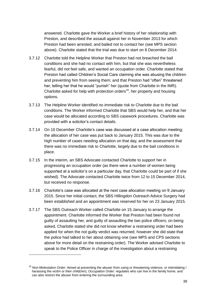answered. Charlotte gave the Worker a brief history of her relationship with Preston, and described the assault against her in November 2013 for which Preston had been arrested, and bailed not to contact her (see MPS section above). Charlotte stated that the trial was due to start on 8 December 2014.

- 3.7.12 Charlotte told the Helpline Worker that Preston had not breached the bail conditions and she had no contact with him, but that she was nevertheless fearful, did not feel safe, and wanted an occupation order. Charlotte stated that Preston had called Children's Social Care claiming she was abusing the children and preventing him from seeing them; and that Preston had "often" threatened her, telling her that he would "punish" her (quote from Charlotte in the IMR). Charlotte asked for help with protection orders<sup>18</sup>, her property and housing options.
- 3.7.13 The Helpline Worker identified no immediate risk to Charlotte due to the bail conditions. The Worker informed Charlotte that SBS would help her, and that her case would be allocated according to SBS casework procedures. Charlotte was provided with a solicitor's contact details.
- 3.7.14 On 10 December Charlotte's case was discussed at a case allocation meeting; the allocation of her case was put back to January 2015. This was due to the high number of cases needing allocation on that day, and the assessment that there was no immediate risk to Charlotte, largely due to the bail conditions in place.
- 3.7.15 In the interim, an SBS Advocate contacted Charlotte to support her in progressing an occupation order (as there were a number of women being supported at a solicitor's on a particular day, that Charlotte could be part of if she wished). The Advocate contacted Charlotte twice from 12 to 15 December 2014, but received no response.
- 3.7.16 Charlotte's case was allocated at the next case allocation meeting on 9 January 2015. Since her initial contact, the SBS Hillingdon Outreach Advice Surgery had been established and an appointment was reserved for her on 23 January 2015.
- 3.7.17 The SBS Outreach Worker called Charlotte on 15 January to arrange the appointment. Charlotte informed the Worker that Preston had been found not guilty of assaulting her, and guilty of assaulting the two police officers; on being asked, Charlotte stated she did not know whether a restraining order had been applied for when the not guilty verdict was returned; however she did state that the police had talked to her about obtaining one (see MPS and CPS sections above for more detail on the restraining order). The Worker advised Charlotte to speak to the Police Officer in charge of the investigation about a restraining

-

<sup>18</sup> *Non-Molestation Order*: Aimed at preventing the abuser from using or threatening violence, or intimidating / harassing the victim or their child(ren); *Occupation Order*: regulates who can live in the family home, and can also restrict the abuser from entering the surrounding area.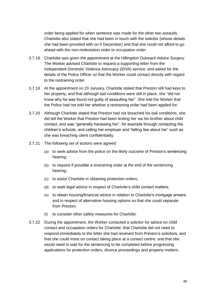order being applied for when sentence was made for the other two assaults. Charlotte also stated that she had been in touch with the solicitor (whose details she had been provided with on 5 December) and that she could not afford to go ahead with the non-molestation order or occupation order.

- 3.7.18 Charlotte was given the appointment at the Hillingdon Outreach Advice Surgery. The Worker advised Charlotte to request a supporting letter from the Independent Domestic Violence Advocacy (IDVA) service; and asked for the details of the Police Officer so that the Worker could contact directly with regard to the restraining order.
- 3.7.19 At the appointment on 23 January, Charlotte stated that Preston still had keys to her property; and that although bail conditions were still in place, she "did not know why he was found not guilty of assaulting her". She told the Worker that the Police had not told her whether a restraining order had been applied for.
- 3.7.20 Although Charlotte stated that Preston had not breached his bail conditions, she did tell the Worker that Preston had been texting her via his brother about child contact, and was "generally harassing her", for example through contacting the children's schools, and calling her employer and "telling lies about her" such as she was breaching client confidentiality.
- 3.7.21 The following set of actions were agreed:
	- (a) to seek advice from the police on the likely outcome of Preston's sentencing hearing;
	- (b) to request if possible a restraining order at the end of the sentencing hearing;
	- (c) to assist Charlotte in obtaining protection orders;
	- (d) to seek legal advice in respect of Charlotte's child contact matters;
	- (e) to obtain housing/financial advice in relation to Charlotte's mortgage arrears and in respect of alternative housing options so that she could separate from Preston;
	- (f) to consider other safety measures for Charlotte.
- 3.7.22 During the appointment, the Worker contacted a solicitor for advice on child contact and occupation orders for Charlotte: that Charlotte did not need to respond immediately to the letter she had received from Preston's solicitors, and that she could insist on contact taking place at a contact centre; and that she would need to wait for the sentencing to be completed before progressing applications for protection orders, divorce proceedings and property matters.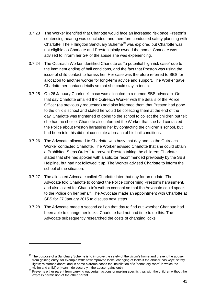- 3.7.23 The Worker identified that Charlotte would face an increased risk once Preston's sentencing hearing was concluded, and therefore conducted safety planning with Charlotte. The Hillingdon Sanctuary Scheme<sup>19</sup> was explored but Charlotte was not eligible as Charlotte and Preston jointly owned the home. Charlotte was advised to inform her GP of the abuse she was experiencing.
- 3.7.24 The Outreach Worker identified Charlotte as "a potential high risk case" due to the imminent ending of bail conditions, and the fact that Preston was using the issue of child contact to harass her. Her case was therefore referred to SBS for allocation to another worker for long-term advice and support. The Worker gave Charlotte her contact details so that she could stay in touch.
- 3.7.25 On 26 January Charlotte's case was allocated to a named SBS advocate. On that day Charlotte emailed the Outreach Worker with the details of the Police Officer (as previously requested) and also informed them that Preston had gone to the child's school and stated he would be collecting them at the end of the day. Charlotte was frightened of going to the school to collect the children but felt she had no choice. Charlotte also informed the Worker that she had contacted the Police about Preston harassing her by contacting the children's school, but had been told this did not constitute a breach of his bail conditions.
- 3.7.26 The Advocate allocated to Charlotte was busy that day and so the Outreach Worker contacted Charlotte. The Worker advised Charlotte that she could obtain a Prohibited Steps Order $^{20}$  to prevent Preston taking the children; Charlotte stated that she had spoken with a solicitor recommended previously by the SBS Helpline, but had not followed it up. The Worker advised Charlotte to inform the school of the situation.
- 3.7.27 The allocated Advocate called Charlotte later that day for an update. The Advocate told Charlotte to contact the Police concerning Preston's harassment, and also asked for Charlotte's written consent so that the Advocate could speak to the Police on her behalf. The Advocate made an appointment with Charlotte at SBS for 27 January 2015 to discuss next steps.
- 3.7.28 The Advocate made a second call on that day to find out whether Charlotte had been able to change her locks; Charlotte had not had time to do this. The Advocate subsequently researched the costs of changing locks.

-

 $19$  The purpose of a Sanctuary Scheme is to improve the safety of the victim's home and prevent the abuser from gaining entry, for example with: new/improved locks; changing of locks if the abuser has keys; safety lights; reinforced doors; and in some extreme cases the installation of a 'sanctuary room' in which the victim and child(ren) can hide securely if the abuser gains entry.

<sup>&</sup>lt;sup>20</sup> Prevents either parent from carrying out certain actions or making specific trips with the children without the express permission of the other parent.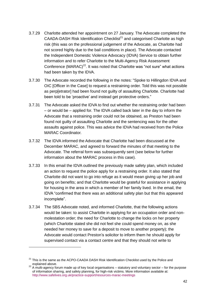- 3.7.29 Charlotte attended her appointment on 27 January. The Advocate completed the  $CAADA-DASH$  Risk Identification Checklist<sup>21</sup> and categorised Charlotte as high risk (this was on the professional judgement of the Advocate, as Charlotte had not scored highly due to the bail conditions in place). The Advocate contacted the Independent Domestic Violence Advocacy (IDVA) Service to obtain further information and to refer Charlotte to the Multi-Agency Risk Assessment Conference  $(MARAC)^{22}$ . It was noted that Charlotte was "not sure" what actions had been taken by the IDVA.
- 3.7.30 The Advocate recorded the following in the notes: "Spoke to Hillingdon IDVA and OIC [Officer in the Case] to request a restraining order. Told this was not possible as perp[etrator] had been found not guilty of assaulting Charlotte. Charlotte had been told to be 'proactive' and instead get protective orders."
- 3.7.31 The Advocate asked the IDVA to find out whether the restraining order had been – or would be – applied for. The IDVA called back later in the day to inform the Advocate that a restraining order could not be obtained, as Preston had been found not guilty of assaulting Charlotte and the sentencing was for the other assaults against police. This was advice the IDVA had received from the Police MARAC Coordinator.
- 3.7.32 The IDVA informed the Advocate that Charlotte had been discussed at the December MARAC, and agreed to forward the minutes of that meeting to the Advocate. The referral form was subsequently sent (see below for further information about the MARAC process in this case).
- 3.7.33 In this email the IDVA outlined the previously made safety plan, which included an action to request the police apply for a restraining order. It also stated that Charlotte did not want to go into refuge as it would mean giving up her job and going on benefits; and that Charlotte would be grateful for assistance in applying for housing in the area in which a member of her family lived. In the email, the IDVA "confirmed that there was an additional safety plan but that this appeared incomplete".
- 3.7.34 The SBS Advocate noted, and informed Charlotte, that the following actions would be taken: to assist Charlotte in applying for an occupation order and nonmolestation order; the need for Charlotte to change the locks on her property (which Charlotte stated she did not feel she could spend money on, as she needed her money to save for a deposit to move to another property); the Advocate would contact Preston's solicitor to inform them he should apply for supervised contact via a contact centre and that they should not write to

-

 $21$  This is the same as the ACPO-CAADA DASH Risk Identification Checklist used by the Police and explained above.

 $^{22}$  A multi-agency forum made up of key local organisations – statutory and voluntary sector – for the purpose of information sharing, and safety planning, for high-risk victims. More information available at: <http://www.safelives.org.uk/practice-support/resources-marac-meetings>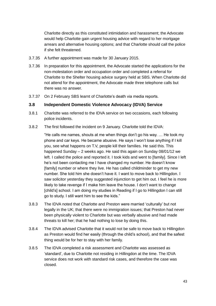Charlotte directly as this constituted intimidation and harassment; the Advocate would help Charlotte gain urgent housing advice with regard to her mortgage arrears and alternative housing options; and that Charlotte should call the police if she felt threatened.

- 3.7.35 A further appointment was made for 30 January 2015.
- 3.7.36 In preparation for this appointment, the Advocate started the applications for the non-molestation order and occupation order and completed a referral for Charlotte to the Shelter housing advice surgery held at SBS. When Charlotte did not attend for the appointment, the Advocate made three telephone calls but there was no answer.
- 3.7.37 On 2 February SBS learnt of Charlotte's death via media reports.

#### **3.8 Independent Domestic Violence Advocacy (IDVA) Service**

- 3.8.1 Charlotte was referred to the IDVA service on two occasions, each following police incidents.
- 3.8.2 The first followed the incident on 9 January. Charlotte told the IDVA:

"He calls me names, shouts at me when things don't go his way. … He took my phone and car keys. He became abusive. He says I won't lose anything if I kill you, see what happens on T.V, people kill their families. He said this. This happened Sunday – 2 weeks ago. He said this again on Sunday 08/01/12 we left. I called the police and reported it. I took kids and went to [family]. Since I left he's not been contacting me I have changed my number. He doesn't know [family] number or where they live. He has called childminder to get my new number. She told him she doesn't have it. I want to move back to Hillingdon. I saw solicitor yesterday they suggested injunction to get him out. I feel he is more likely to take revenge if I make him leave the house. I don't want to change [child's] school. I am doing my studies in Reading if I go to Hillingdon I can still go to study. I still want him to see the kids."

- 3.8.3 The IDVA noted that Charlotte and Preston were married 'culturally' but not legally in the UK; that there were no immigration issues; that Preston had never been physically violent to Charlotte but was verbally abusive and had made threats to kill her; that he had nothing to lose by doing this.
- 3.8.4 The IDVA advised Charlotte that it would not be safe to move back to Hillingdon as Preston would find her easily (through the child's school), and that the safest thing would be for her to stay with her family.
- 3.8.5 The IDVA completed a risk assessment and Charlotte was assessed as 'standard', due to Charlotte not residing in Hillingdon at the time. The IDVA service does not work with standard risk cases, and therefore the case was closed.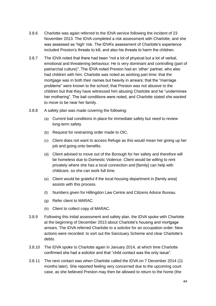- 3.8.6 Charlotte was again referred to the IDVA service following the incident of 23 November 2013. The IDVA completed a risk assessment with Charlotte, and she was assessed as 'high' risk. The IDVA's assessment of Charlotte's experience included Preston's threats to kill, and also his threats to harm the children.
- 3.8.7 The IDVA noted that there had been "not a lot of physical but a lot of verbal, emotional and threatening behaviour. He is very dominant and controlling (part of patriarchal culture)". The IDVA noted Preston had an 'other' partner, who also had children with him. Charlotte was noted as working part time; that the mortgage was in both their names but heavily in arrears; that the "marriage problems" were known to the school; that Preston was not abusive to the children but that they have witnessed him abusing Charlotte and he "undermines her mothering". The bail conditions were noted, and Charlotte stated she wanted to move to be near her family.
- 3.8.8 A safety plan was made covering the following:
	- (a) Current bail conditions in place for immediate safety but need to review long-term safety.
	- (b) Request for restraining order made to OIC.
	- (c) Client does not want to access Refuge as this would mean her giving up her job and going onto benefits.
	- (d) Client advised to move out of the Borough for her safety and therefore will be homeless due to Domestic Violence. Client would be willing to rent privately where she has a local connection and [family] can help with childcare, so she can work full time.
	- (e) Client would be grateful if the local housing department in [family area] assists with this process.
	- (f) Numbers given for Hillingdon Law Centre and Citizens Advice Bureau.
	- (g) Refer client to MARAC.
	- (h) Client to collect copy of MARAC.
- 3.8.9 Following this initial assessment and safety plan, the IDVA spoke with Charlotte at the beginning of December 2013 about Charlotte's housing and mortgage arrears. The IDVA referred Charlotte to a solicitor for an occupation order. New actions were recorded: to sort out the Sanctuary Scheme and clear Charlotte's debts.
- 3.8.10 The IDVA spoke to Charlotte again in January 2014, at which time Charlotte confirmed she had a solicitor and that "child contact was the only issue".
- 3.8.11 The next contact was when Charlotte called the IDVA on 7 December 2014 (11 months later). She reported feeling very concerned due to the upcoming court case, as she believed Preston may then be allowed to return to the home (the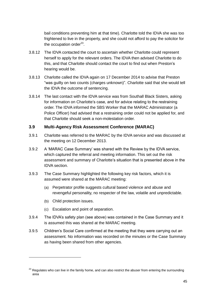bail conditions preventing him at that time). Charlotte told the IDVA she was too frightened to live in the property, and she could not afford to pay the solicitor for the occupation order<sup>23</sup>.

- 3.8.12 The IDVA contacted the court to ascertain whether Charlotte could represent herself to apply for the relevant orders. The IDVA then advised Charlotte to do this, and that Charlotte should contact the court to find out when Preston's hearing would be.
- 3.8.13 Charlotte called the IDVA again on 17 December 2014 to advise that Preston "was guilty on two counts (charges unknown)". Charlotte said that she would tell the IDVA the outcome of sentencing.
- 3.8.14 The last contact with the IDVA service was from Southall Black Sisters, asking for information on Charlotte's case, and for advice relating to the restraining order. The IDVA informed the SBS Worker that the MARAC Administrator (a Police Officer) had advised that a restraining order could not be applied for, and that Charlotte should seek a non-molestation order.

#### **3.9 Multi-Agency Risk Assessment Conference (MARAC)**

- 3.9.1 Charlotte was referred to the MARAC by the IDVA service and was discussed at the meeting on 12 December 2013.
- 3.9.2 A 'MARAC Case Summary' was shared with the Review by the IDVA service, which captured the referral and meeting information. This set out the risk assessment and summary of Charlotte's situation that is presented above in the IDVA section.
- 3.9.3 The Case Summary highlighted the following key risk factors, which it is assumed were shared at the MARAC meeting:
	- (a) Perpetrator profile suggests cultural based violence and abuse and revengeful personality, no respecter of the law, volatile and unpredictable.
	- (b) Child protection issues.

1

- (c) Escalation and point of separation.
- 3.9.4 The IDVA's safety plan (see above) was contained in the Case Summary and it is assumed this was shared at the MARAC meeting.
- 3.9.5 Children's Social Care confirmed at the meeting that they were carrying out an assessment. No information was recorded on the minutes or the Case Summary as having been shared from other agencies.

 $23$  Regulates who can live in the family home, and can also restrict the abuser from entering the surrounding area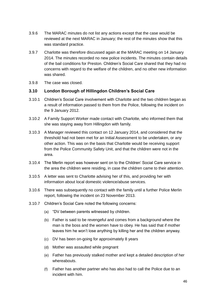- 3.9.6 The MARAC minutes do not list any actions except that the case would be reviewed at the next MARAC in January; the rest of the minutes show that this was standard practice.
- 3.9.7 Charlotte was therefore discussed again at the MARAC meeting on 14 January 2014. The minutes recorded no new police incidents. The minutes contain details of the bail conditions for Preston. Children's Social Care shared that they had no concerns with regard to the welfare of the children, and no other new information was shared.
- 3.9.8 The case was closed.

#### **3.10 London Borough of Hillingdon Children's Social Care**

- 3.10.1 Children's Social Care involvement with Charlotte and the two children began as a result of information passed to them from the Police, following the incident on the 9 January 2012.
- 3.10.2 A Family Support Worker made contact with Charlotte, who informed them that she was staying away from Hillingdon with family.
- 3.10.3 A Manager reviewed this contact on 12 January 2014, and considered that the threshold had not been met for an Initial Assessment to be undertaken, or any other action. This was on the basis that Charlotte would be receiving support from the Police Community Safety Unit, and that the children were not in the area.
- 3.10.4 The Merlin report was however sent on to the Children' Social Care service in the area the children were residing, in case the children came to their attention.
- 3.10.5 A letter was sent to Charlotte advising her of this, and providing her with information about local domestic violence/abuse services.
- 3.10.6 There was subsequently no contact with the family until a further Police Merlin report, following the incident on 23 November 2013.
- 3.10.7 Children's Social Care noted the following concerns:
	- (a) "DV between parents witnessed by children.
	- (b) Father is said to be revengeful and comes from a background where the man is the boss and the women have to obey. He has said that if mother leaves him he won't lose anything by killing her and the children anyway.
	- (c) DV has been on-going for approximately 8 years
	- (d) Mother was assaulted while pregnant
	- (e) Father has previously stalked mother and kept a detailed description of her whereabouts.
	- (f) Father has another partner who has also had to call the Police due to an incident with him.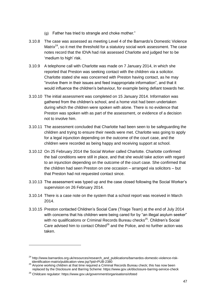- (g) Father has tried to strangle and choke mother."
- 3.10.8 The case was assessed as meeting Level 4 of the Barnardo's Domestic Violence Matrix $24$ , so it met the threshold for a statutory social work assessment. The case notes record that the IDVA had risk assessed Charlotte and judged her to be 'medium to high' risk.
- 3.10.9 A telephone call with Charlotte was made on 7 January 2014, in which she reported that Preston was seeking contact with the children via a solicitor. Charlotte stated she was concerned with Preston having contact, as he may "involve them in their issues and feed inappropriate information", and that it would influence the children's behaviour, for example being defiant towards her.
- 3.10.10 The initial assessment was completed on 15 January 2014. Information was gathered from the children's school, and a home visit had been undertaken during which the children were spoken with alone. There is no evidence that Preston was spoken with as part of the assessment, or evidence of a decision not to involve him.
- 3.10.11 The assessment concluded that Charlotte had been seen to be safeguarding the children and trying to ensure their needs were met. Charlotte was going to apply for a legal injunction depending on the outcome of the court case, and the children were recorded as being happy and receiving support at school.
- 3.10.12 On 25 February 2014 the Social Worker called Charlotte. Charlotte confirmed the bail conditions were still in place, and that she would take action with regard to an injunction depending on the outcome of the court case. She confirmed that the children had seen Preston on one occasion – arranged via solicitors – but that Preston had not requested contact since.
- 3.10.13 The assessment was typed up and the case closed following the Social Worker's supervision on 26 February 2014.
- 3.10.14 There is a case note on the system that a school report was received in March 2014.
- 3.10.15 Preston contacted Children's Social Care (Triage Team) at the end of July 2014 with concerns that his children were being cared for by "an illegal asylum seeker" with no qualifications or Criminal Records Bureau checks<sup>25</sup>. Children's Social Care advised him to contact Ofsted $^{26}$  and the Police, and no further action was taken.

-

<sup>&</sup>lt;sup>24</sup> http://www.barnardos.org.uk/resources/research\_and\_publications/barnardos-domestic-violence-riskidentification-matrix/publication-view.jsp?pid=PUB-2380

 $25$  Anyone working children at that time required a Criminal Records Bureau check; this has now been replaced by the Disclosure and Barring Scheme: https://www.gov.uk/disclosure-barring-service-check

<sup>&</sup>lt;sup>26</sup> Childcare regulator: https://www.gov.uk/government/organisations/ofsted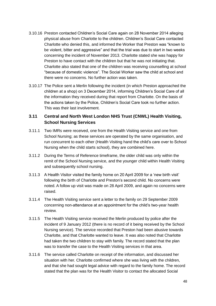- 3.10.16 Preston contacted Children's Social Care again on 28 November 2014 alleging physical abuse from Charlotte to the children. Children's Social Care contacted Charlotte who denied this, and informed the Worker that Preston was "known to be violent, bitter and aggressive" and that the trial was due to start in two weeks concerning the incident of November 2013. Charlotte stated she was happy for Preston to have contact with the children but that he was not initiating that. Charlotte also stated that one of the children was receiving counselling at school "because of domestic violence". The Social Worker saw the child at school and there were no concerns. No further action was taken.
- 3.10.17 The Police sent a Merlin following the incident (in which Preston approached the children at a shop) on 3 December 2014, informing Children's Social Care of all the information they received during that report from Charlotte. On the basis of the actions taken by the Police, Children's Social Care took no further action. This was their last involvement.

# **3.11 Central and North West London NHS Trust (CNWL) Health Visiting, School Nursing Services**

- 3.11.1 Two IMRs were received, one from the Health Visiting service and one from School Nursing; as these services are operated by the same organisation, and run concurrent to each other (Health Visiting hand the child's care over to School Nursing when the child starts school), they are combined here.
- 3.11.2 During the Terms of Reference timeframe, the older child was only within the remit of the School Nursing service, and the younger child within Health Visiting and subsequently school nursing.
- 3.11.3 A Health Visitor visited the family home on 20 April 2009 for a 'new birth visit' following the birth of Charlotte and Preston's second child. No concerns were noted. A follow up visit was made on 28 April 2009, and again no concerns were raised.
- 3.11.4 The Health Visiting service sent a letter to the family on 29 September 2009 concerning non-attendance at an appointment for the child's two-year health review.
- 3.11.5 The Health Visiting service received the Merlin produced by police after the incident of 9 January 2012 (there is no record of it being received by the School Nursing service). The service recorded that Preston had been abusive towards Charlotte, and that Charlotte wanted to leave. It was also noted that Charlotte had taken the two children to stay with family. The record stated that the plan was to transfer the case to the Health Visiting services in that area.
- 3.11.6 The service called Charlotte on receipt of the information, and discussed her situation with her. Charlotte confirmed where she was living with the children, and that she had sought legal advice with regard to the family home. The record stated that the plan was for the Health Visitor to contact the allocated Social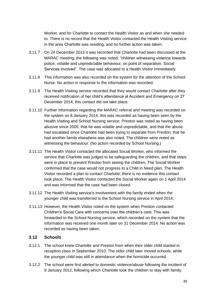Worker, and for Charlotte to contact the Health Visitor as and when she needed to. There is no record that the Health Visitor contacted the Health Visiting service in the area Charlotte was residing, and no further action was taken.

- 3.11.7 On 24 December 2013 it was recorded that Charlotte had been discussed at the MARAC meeting; the following was noted: "children witnessing violence towards police, volatile and unpredictable behaviour, on point of separation. Social Services involved". The case was allocated to a Health Visitor immediately.
- 3.11.8 This information was also recorded on the system for the attention of the School Nurse. No action in response to the information was recorded.
- 3.11.9 The Health Visiting service recorded that they would contact Charlotte after they received notification of her child's attendance at Accident and Emergency on 27 December 2014; this contact did not take place.
- 3.11.10 Further information regarding the MARAC referral and meeting was recorded on the system on 8 January 2014; this was recorded as having been seen by the Health Visiting and School Nursing service. Preston was noted as having been abusive since 2005; that he was volatile and unpredictable, and that the abuse had escalated since Charlotte had been trying to separate from Preston; that he had another family elsewhere was also noted. The children were noted as witnessing the behaviour. (No action recorded by School Nursing.)
- 3.11.11 The Health Visitor contacted the allocated Social Worker, who informed the service that Charlotte was judged to be safeguarding the children, and that steps were in place to prevent Preston from seeing the children. The Social Worker confirmed that the case would not progress to a Child in Need plan. The Health Visitor recorded a plan to contact Charlotte; there is no evidence this contact took place. The Health Visitor contacted the Social Worker again on 1 April 2014 and was informed that the case had been closed.
- 3.11.12 The Health Visiting service's involvement with the family ended when the younger child was transferred to the School Nursing service in April 2014.
- 3.11.13 However, the Health Visitor noted on the system when Preston contacted Children's Social Care with concerns over the children's care. This was forwarded to the School Nursing service, which recorded on the system that the information was received one month later on 31 December 2014. No action was recorded as having been taken.

#### **3.12 Schools**

- 3.12.1 The school knew Charlotte and Preston from when their older child started in reception class in September 2010. The older child later moved schools, while the younger child was still in attendance when the homicide occurred.
- 3.12.2 The school were first alerted to domestic violence/abuse following the incident of 9 January 2012, following which Charlotte took the children to stay with family.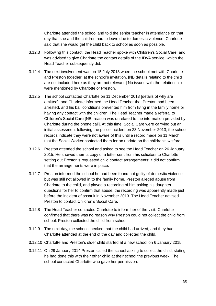Charlotte attended the school and told the senior teacher in attendance on that day that she and the children had to leave due to domestic violence. Charlotte said that she would get the child back to school as soon as possible.

- 3.12.3 Following this contact, the Head Teacher spoke with Children's Social Care, and was advised to give Charlotte the contact details of the IDVA service, which the Head Teacher subsequently did.
- 3.12.4 The next involvement was on 15 July 2013 when the school met with Charlotte and Preston together, at the school's invitation. [NB details relating to the child are not included here as they are not relevant.] No issues with the relationship were mentioned by Charlotte or Preston.
- 3.12.5 The school contacted Charlotte on 11 December 2013 [details of why are omitted], and Charlotte informed the Head Teacher that Preston had been arrested, and his bail conditions prevented him from living in the family home or having any contact with the children. The Head Teacher made a referral to Children's Social Care [NB: reason was unrelated to the information provided by Charlotte during the phone call]. At this time, Social Care were carrying out an initial assessment following the police incident on 23 November 2013; the school records indicate they were not aware of this until a record made on 11 March that the Social Worker contacted them for an update on the children's welfare.
- 3.12.6 Preston attended the school and asked to see the Head Teacher on 26 January 2015. He showed them a copy of a letter sent from his solicitors to Charlotte setting out Preston's requested child contact arrangements; it did not confirm that the arrangements were in place.
- 3.12.7 Preston informed the school he had been found not guilty of domestic violence but was still not allowed in to the family home. Preston alleged abuse from Charlotte to the child, and played a recording of him asking his daughter questions for her to confirm that abuse; the recording was apparently made just before the incident of assault in November 2013. The Head Teacher advised Preston to contact Children's Social Care.
- 3.12.8 The Head Teacher contacted Charlotte to inform her of the visit. Charlotte confirmed that there was no reason why Preston could not collect the child from school. Preston collected the child from school.
- 3.12.9 The next day, the school checked that the child had arrived, and they had. Charlotte attended at the end of the day and collected the child.
- 3.12.10 Charlotte and Preston's older child started at a new school on 6 January 2015.
- 3.12.11 On 29 January 2014 Preston called the school asking to collect the child, stating he had done this with their other child at their school the previous week. The school contacted Charlotte who gave her permission.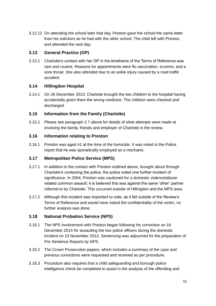3.12.12 On attending the school later that day, Preston gave the school the same letter from his solicitors as he had with the other school. The child left with Preston, and attended the next day.

## **3.13 General Practice (GP)**

3.13.1 Charlotte's contact with her GP in the timeframe of the Terms of Reference was rare and routine. Reasons for appointments were flu vaccination, eczema, and a sore throat. She also attended due to an ankle injury caused by a road traffic accident.

## **3.14 Hillingdon Hospital**

3.14.1 On 26 December 2013, Charlotte brought the two children to the hospital having accidentally given them the wrong medicine. The children were checked and discharged.

## **3.15 Information from the Family (Charlotte)**

3.15.1 Please see paragraph 2.7 above for details of what attempts were made at involving the family, friends and employer of Charlotte in the review.

## **3.16 Information relating to Preston**

3.16.1 Preston was aged 41 at the time of the homicide. It was noted in the Police report that he was sporadically employed as a mechanic.

## **3.17 Metropolitan Police Service (MPS)**

- 3.17.1 In addition to the contact with Preston outlined above, brought about through Charlotte's contacting the police, the police noted one further incident of significance. In 2004, Preston was cautioned for a domestic violence/abuse related common assault; it is believed this was against the same 'other' partner referred to by Charlotte. This occurred outside of Hillingdon and the MPS area.
- 3.17.2 Although this incident was important to note, as it fell outside of the Review's Terms of Reference and would have risked the confidentiality of the victim, no further analysis was done.

## **3.18 National Probation Service (NPS)**

- 3.18.1 The NPS involvement with Preston began following his conviction on 16 December 2014 for assaulting the two police officers during the domestic incident on 23 November 2013. Sentencing was adjourned for the preparation of Pre Sentence Reports by NPS.
- 3.18.2 The Crown Prosecution papers, which includes a summary of the case and previous convictions were requested and received as per procedure.
- 3.18.3 Procedure also requires that a child safeguarding and borough police intelligence check be completed to assist in the analysis of the offending and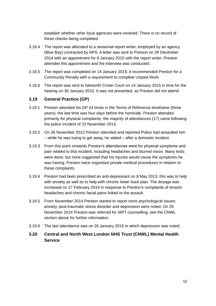establish whether other local agencies were involved. There is no record of these checks being completed.

- 3.18.4 The report was allocated to a sessional report writer, employed by an agency (Blue Bay) contracted by NPS. A letter was sent to Preston on 29 December 2014 with an appointment for 8 January 2015 with the report writer. Preston attended this appointment and the interview was conducted.
- 3.18.5 The report was completed on 14 January 2015; it recommended Preston for a Community Penalty with a requirement to complete Unpaid Work.
- 3.18.6 The report was sent to Isleworth Crown Court on 14 January 2015 in time for the hearing on 30 January 2015. It was not presented, as Preston did not attend.

#### **3.19 General Practice (GP)**

- 3.19.1 Preston attended his GP 24 times in the Terms of Reference timeframe (three years); the last time was four days before the homicide. Preston attended primarily for physical complaints; the majority of attendances (17) came following the police incident of 23 November 2013.
- 3.19.2 On 26 November 2013 Preston attended and reported Police had assaulted him – while he was trying to get away, he stated – after a domestic incident.
- 3.19.3 From this point onwards Preston's attendances were for physical symptoms and pain related to this incident, including headaches and blurred vision. Many tests were done, but none suggested that his injuries would cause the symptoms he was having. Preston twice organised private medical procedures in relation to these complaints.
- 3.19.4 Preston had been prescribed an anti-depressant on 8 May 2013; this was to help with anxiety as well as to help with chronic lower back pain. The dosage was increased on 27 February 2014 in response to Preston's complaints of tension headaches and chronic facial pains linked to the assault.
- 3.19.5 From November 2014 Preston started to report more psychological issues: anxiety, post-traumatic stress disorder and depression were noted. On 26 November 2014 Preston was referred for IAPT counselling; see the CNWL section above for further information.
- 3.19.6 The last attendance was on 26 January 2015 in which depression was noted.

## **3.20 Central and North West London NHS Trust (CNWL) Mental Health Service**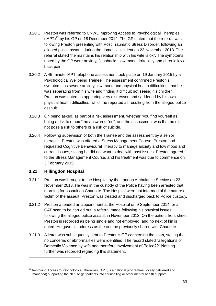- 3.20.1 Preston was referred to CNWL Improving Access to Psychological Therapies  $(IAPT)^{27}$  by his GP on 18 December 2014. The GP stated that the referral was following Preston presenting with Post Traumatic Stress Disorder, following an alleged police assault during the domestic incident on 23 November 2013. The referral stated "he maintains his relationship with his wife is ok". The symptoms noted by the GP were anxiety, flashbacks, low mood, irritability and chronic lower back pain.
- 3.20.2 A 45-minute IAPT telephone assessment took place on 19 January 2015 by a Psychological Wellbeing Trainee. The assessment confirmed Preston's symptoms as severe anxiety, low mood and physical health difficulties; that he was separating from his wife and finding it difficult not seeing his children. Preston was noted as appearing very distressed and saddened by his own physical health difficulties, which he reported as resulting from the alleged police assault.
- 3.20.3 On being asked, as part of a risk assessment, whether "you find yourself as being a risk to others" he answered "no", and the assessment was that he did not pose a risk to others or a risk of suicide.
- 3.20.4 Following supervision of both the Trainee and the assessment by a senior therapist, Preston was offered a Stress Management Course. Preston had requested Cognitive Behavioural Therapy to manage anxiety and low mood and current issues, stating he did not want to deal with past issues. Preston agreed to the Stress Management Course, and his treatment was due to commence on 3 February 2015.

#### **3.21 Hillingdon Hospital**

1

- 3.21.1 Preston was brought to the Hospital by the London Ambulance Service on 23 November 2013. He was in the custody of the Police having been arrested that morning for assault on Charlotte. The Hospital were not informed of the nature or victim of the assault. Preston was treated and discharged back to Police custody.
- 3.21.2 Preston attended an appointment at the Hospital on 9 September 2014 for a CAT scan to be carried out, a referral made following his physical issues following the alleged police assault in November 2013. On the patient front sheet Preston is recorded as being single and not employed, and no next of kin is noted. He gave his address as the one he previously shared with Charlotte.
- 3.21.3 A letter was subsequently sent to Preston's GP concerning the scan, stating that no concerns or abnormalities were identified. The record stated "allegations of Domestic Violence by wife and therefore involvement of Police??" Nothing further was recorded regarding this statement.

<sup>&</sup>lt;sup>27</sup> Improving Access to Psychological Therapies, IAPT, is a national programme (locally delivered and managed) supporting the NHS to get patients into counselling or other mental health support.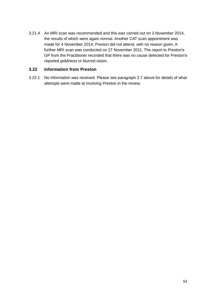3.21.4 An MRI scan was recommended and this was carried out on 3 November 2014, the results of which were again normal. Another CAT scan appointment was made for 4 November 2014; Preston did not attend, with no reason given. A further MRI scan was conducted on 27 November 2011. The report to Preston's GP from the Practitioner recorded that there was no cause detected for Preston's reported giddiness or blurred vision.

#### **3.22 Information from Preston**

3.22.1 No information was received. Please see paragraph 2.7 above for details of what attempts were made at involving Preston in the review.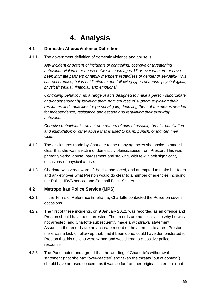# **4. Analysis**

## **4.1 Domestic Abuse/Violence Definition**

4.1.1 The government definition of domestic violence and abuse is:

*Any incident or pattern of incidents of controlling, coercive or threatening behaviour, violence or abuse between those aged 16 or over who are or have been intimate partners or family members regardless of gender or sexuality. This can encompass, but is not limited to, the following types of abuse: psychological; physical; sexual; financial; and emotional.*

*Controlling behaviour is: a range of acts designed to make a person subordinate and/or dependent by isolating them from sources of support, exploiting their resources and capacities for personal gain, depriving them of the means needed for independence, resistance and escape and regulating their everyday behaviour.*

*Coercive behaviour is: an act or a pattern of acts of assault, threats, humiliation and intimidation or other abuse that is used to harm, punish, or frighten their victim.*

- 4.1.2 The disclosures made by Charlotte to the many agencies she spoke to made it clear that she was a victim of domestic violence/abuse from Preston. This was primarily verbal abuse, harassment and stalking, with few, albeit significant, occasions of physical abuse.
- 4.1.3 Charlotte was very aware of the risk she faced, and attempted to make her fears and anxiety over what Preston would do clear to a number of agencies including the Police, IDVA service and Southall Black Sisters.

## **4.2 Metropolitan Police Service (MPS)**

- 4.2.1 In the Terms of Reference timeframe, Charlotte contacted the Police on seven occasions.
- 4.2.2 The first of these incidents, on 9 January 2012, was recorded as an offence and Preston should have been arrested. The records are not clear as to why he was not arrested, and Charlotte subsequently made a withdrawal statement. Assuming the records are an accurate record of the attempts to arrest Preston, there was a lack of follow up that, had it been done, could have demonstrated to Preston that his actions were wrong and would lead to a positive police response.
- 4.2.3 The Panel noted and agreed that the wording of Charlotte's withdrawal statement (that she had "over-reacted" and taken the threats "out of context") should have aroused concern, as it was so far from her original statement (that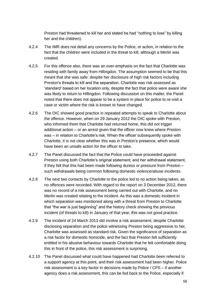Preston had threatened to kill her and stated he had "nothing to lose" by killing her and the children).

- 4.2.4 The IMR does not detail any concerns by the Police, or action, in relation to the fact that the children were included in the threat to kill, although a Merlin was created.
- 4.2.5 For this offence also, there was an over-emphasis on the fact that Charlotte was residing with family away from Hillingdon. The assumption seemed to be that this meant that she was safe: despite her disclosure of high risk factors including Preston's threats to kill and the separation. Charlotte was risk assessed as 'standard' based on her location only, despite the fact that police were aware she was likely to return to Hillingdon. Following discussion on this matter, the Panel noted that there does not appear to be a system in place for police to re-visit a case or victim where the risk is known to have changed.
- 4.2.6 The OIC showed good practice in repeated attempts to speak to Charlotte about the offence. However, when on 29 January 2012 the OIC spoke with Preston, who informed them that Charlotte had returned home, this did not trigger additional action – or an arrest given that the officer now knew where Preston was – in relation to Charlotte's risk. When the officer subsequently spoke with Charlotte, it is not clear whether this was in Preston's presence, which would have been an unsafe action for the officer to take.
- 4.2.7 The Panel discussed the fact that the Police could have proceeded against Preston using both Charlotte's original statement, and her withdrawal statement, if they felt that this had been made following duress or pressure from Preston – such withdrawals being common following domestic violence/abuse incidents.
- 4.2.8 The next two contacts by Charlotte to the police led to no action being taken, as no offences were recorded. With regard to the report on 3 December 2012, there was no record of a risk assessment being carried out with Charlotte, and no Merlin was created relating to the incident. As this was a domestic incident in which separation was mentioned along with a threat from Preston to Charlotte that "the war is just beginning" and the history check showing the previous incident (of threats to kill) in January of that year, this was not good practice.
- 4.2.9 The incident of 24 March 2013 did involve a risk assessment; despite Charlotte disclosing separation and the police witnessing Preston being aggressive to her, Charlotte was assessed as standard risk. Given the significance of separation as a risk factor for domestic homicide, and the fact that Preston felt sufficiently entitled in his abusive behaviour towards Charlotte that he felt comfortable doing this in front of the police, this risk assessment is surprising.
- 4.2.10 The Panel discussed what could have happened had Charlotte been referred to a support agency at this point, and their risk assessment had been higher. Police risk assessment is a key factor in decisions made by Police / CPS – if another agency does a risk assessment, this can be fed back to the Police, especially if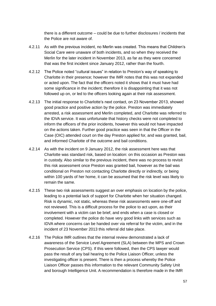there is a different outcome – could be due to further disclosures / incidents that the Police are not aware of.

- 4.2.11 As with the previous incident, no Merlin was created. This means that Children's Social Care were unaware of both incidents, and so when they received the Merlin for the later incident in November 2013, as far as they were concerned that was the first incident since January 2012, rather than the fourth.
- 4.2.12 The Police noted "cultural issues" in relation to Preston's way of speaking to Charlotte in their presence; however the IMR notes that this was not expanded or acted upon. The fact that the officers noted it shows that it must have had some significance in the incident; therefore it is disappointing that it was not followed up on, or led to the officers looking again at their risk assessment.
- 4.2.13 The initial response to Charlotte's next contact, on 23 November 2013, showed good practice and positive action by the police. Preston was immediately arrested, a risk assessment and Merlin completed, and Charlotte was referred to the IDVA service. It was unfortunate that history checks were not completed to inform the officers of the prior incidents, however this would not have impacted on the actions taken. Further good practice was seen in that the Officer in the Case (OIC) attended court on the day Preston applied for, and was granted, bail, and informed Charlotte of the outcome and bail conditions.
- 4.2.14 As with the incident on 9 January 2012, the risk assessment here was that Charlotte was standard risk, based on location: on this occasion as Preston was in custody. Also similar to the previous incident, there was no process to revisit this risk assessment once Preston was granted bail, however as the bail was conditional on Preston not contacting Charlotte directly or indirectly, or being within 100 yards of her home, it can be assumed that the risk level was likely to remain the same.
- 4.2.15 These two risk assessments suggest an over emphasis on location by the police, leading to a potential lack of support for Charlotte when her situation changed. Risk is dynamic, not static, whereas these risk assessments were one-off and not reviewed. This is a difficult process for the police to act upon, as their involvement with a victim can be brief, and ends when a case is closed or completed. However the police do have very good links with services such as IDVA where concerns can be handed over via referral for the victim, and in the incident of 23 November 2013 this referral did take place.
- 4.2.16 The Police IMR outlines that the internal review demonstrated a lack of awareness of the Service Level Agreement (SLA) between the MPS and Crown Prosecution Service (CPS). If this were followed, then the CPS lawyer would pass the result of any bail hearing to the Police Liaison Officer, unless the investigating officer is present. There is then a process whereby the Police Liaison Officer passes this information to the relevant Community Safety Unit and borough Intelligence Unit. A recommendation is therefore made in the IMR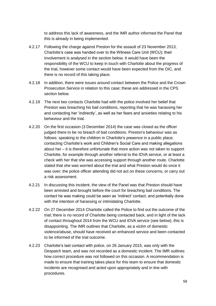to address this lack of awareness, and the IMR author informed the Panel that this is already in being implemented.

- 4.2.17 Following the charge against Preston for the assault of 23 November 2013, Charlotte's case was handed over to the Witness Care Unit (WCU); their involvement is analysed in the section below. It would have been the responsibility of the WCU to keep in touch with Charlotte about the progress of the trial, however some contact would have been expected from the OIC, and there is no record of this taking place.
- 4.2.18 In addition, there were issues around contact between the Police and the Crown Prosecution Service in relation to this case; these are addressed in the CPS section below.
- 4.2.19 The next two contacts Charlotte had with the police involved her belief that Preston was breaching his bail conditions, reporting that he was harassing her and contacting her 'indirectly', as well as her fears and anxieties relating to his behaviour and the trial.
- 4.2.20 On the first occasion (3 December 2014) the case was closed as the officer judged there to be no breach of bail conditions. Preston's behaviour was as follows: speaking to the children in Charlotte's presence in a public place; contacting Charlotte's work and Children's Social Care and making allegations about her – it is therefore unfortunate that more action was not taken to support Charlotte, for example through another referral to the IDVA service, or at least a check with her that she was accessing support through another route. Charlotte stated that she was worried about the trial and what Preston would do once it was over; the police officer attending did not act on these concerns, or carry out a risk assessment.
- 4.2.21 In discussing this incident, the view of the Panel was that Preston should have been arrested and brought before the court for breaching bail conditions. The contact he was making could be seen as 'indirect' contact, and potentially done with the intention of harassing or intimidating Charlotte.
- 4.2.22 On 27 December 2014 Charlotte called the Police to find out the outcome of the trial; there is no record of Charlotte being contacted back, and in light of the lack of contact throughout 2014 from the WCU and IDVA service (see below), this is disappointing. The IMR outlines that Charlotte, as a victim of domestic violence/abuse, should have received an enhanced service and been contacted to be informed of the trial outcome.
- 4.2.23 Charlotte's last contact with police, on 26 January 2015, was only with the Despatch team, and was not recorded as a domestic incident. The IMR outlines how correct procedure was not followed on this occasion. A recommendation is made to ensure that training takes place for this team to ensure that domestic incidents are recognised and acted upon appropriately and in line with procedures.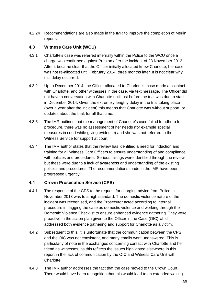4.2.24 Recommendations are also made in the IMR to improve the completion of Merlin reports.

## **4.3 Witness Care Unit (WCU)**

- 4.3.1 Charlotte's case was referred internally within the Police to the WCU once a charge was confirmed against Preston after the incident of 23 November 2013. After it became clear that the Officer initially allocated knew Charlotte, her case was not re-allocated until February 2014, three months later. It is not clear why this delay occurred.
- 4.3.2 Up to December 2014, the Officer allocated to Charlotte's case made all contact with Charlotte, and other witnesses in the case, via text message. The Officer did not have a conversation with Charlotte until just before the trial was due to start in December 2014. Given the extremely lengthy delay in the trial taking place (over a year after the incident) this means that Charlotte was without support, or updates about the trial, for all that time.
- 4.3.3 The IMR outlines that the management of Charlotte's case failed to adhere to procedure, there was no assessment of her needs (for example special measures in court while giving evidence) and she was not referred to the Witness Service for support at court.
- 4.3.4 The IMR author states that the review has identified a need for induction and training for all Witness Care Officers to ensure understanding of and compliance with policies and procedures. Serious failings were identified through the review, but these were due to a lack of awareness and understanding of the existing policies and procedures. The recommendations made in the IMR have been progressed urgently.

## **4.4 Crown Prosecution Service (CPS)**

- 4.4.1 The response of the CPS to the request for charging advice from Police in November 2013 was to a high standard. The domestic violence nature of the incident was recognised, and the Prosecutor acted according to internal procedure in flagging the case as domestic violence and working through the Domestic Violence Checklist to ensure enhanced evidence gathering. They were proactive in the action plan given to the Officer in the Case (OIC) which addressed both evidence gathering and support for Charlotte as a victim.
- 4.4.2 Subsequent to this, it is unfortunate that the communication between the CPS and the OIC was not consistent, and many emails went unanswered. This is particularly of note in the exchanges concerning contact with Charlotte and her friend as witnesses, as this reflects the issues highlighted elsewhere in this report in the lack of communication by the OIC and Witness Care Unit with Charlotte.
- 4.4.3 The IMR author addresses the fact that the case moved to the Crown Court. There would have been recognition that this would lead to an extended waiting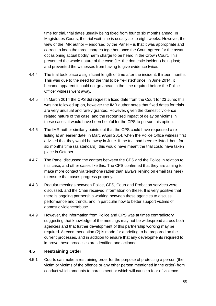time for trial, trial dates usually being fixed from four to six months ahead. In Magistrates Courts, the trial wait time is usually six to eight weeks. However, the view of the IMR author – endorsed by the Panel – is that it was appropriate and correct to keep the three charges together, once the Court agreed for the assault occasioning actual bodily harm charge to be heard in the Crown Court. This prevented the whole nature of the case (i.e. the domestic incident) being lost; and prevented the witnesses from having to give evidence twice.

- 4.4.4 The trial took place a significant length of time after the incident: thirteen months. This was due to the need for the trial to be 're-listed' once, in June 2014, it became apparent it could not go ahead in the time required before the Police Officer witness went away.
- 4.4.5 In March 2014 the CPS did request a fixed date from the Court for 23 June; this was not followed up on, however the IMR author notes that fixed dates for trials are very unusual and rarely granted. However, given the domestic violence related nature of the case, and the recognised impact of delay on victims in these cases, it would have been helpful for the CPS to pursue this option.
- 4.4.6 The IMR author similarly points out that the CPS could have requested a relisting at an earlier date: in March/April 2014, when the Police Office witness first advised that they would be away in June. If the trial had been re-listed then, for six months time (as standard), this would have meant the trial could have taken place in October.
- 4.4.7 The Panel discussed the contact between the CPS and the Police in relation to this case, and other cases like this. The CPS confirmed that they are aiming to make more contact via telephone rather than always relying on email (as here) to ensure that cases progress properly.
- 4.4.8 Regular meetings between Police, CPS, Court and Probation services were discussed, and the Chair received information on these. It is very positive that there is ongoing partnership working between these agencies to discuss performance and trends, and in particular how to better support victims of domestic violence/abuse.
- 4.4.9 However, the information from Police and CPS was at times contradictory, suggesting that knowledge of the meetings may not be widespread across both agencies and that further development of this partnership working may be required. A recommendation (2) is made for a briefing to be prepared on the current processes, and in addition to ensure that any developments required to improve these processes are identified and actioned.

#### **4.5 Restraining Order**

4.5.1 Courts can make a restraining order for the purpose of protecting a person (the victim or victims of the offence or any other person mentioned in the order) from conduct which amounts to harassment or which will cause a fear of violence.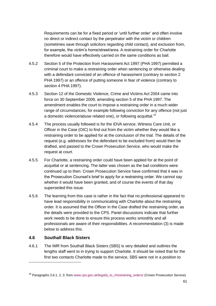Requirements can be for a fixed period or 'until further order' and often involve no direct or indirect contact by the perpetrator with the victim or children (sometimes save through solicitors regarding child contact), and exclusion from, for example, the victim's home/street/area. A restraining order for Charlotte therefore would have effectively carried on the same conditions as bail.

- 4.5.2 Section 5 of the Protection from Harassment Act 1997 (PHA 1997) permitted a criminal court to make a restraining order when sentencing or otherwise dealing with a defendant convicted of an offence of harassment (contrary to section 2 PHA 1997) or an offence of putting someone in fear of violence (contrary to section 4 PHA 1997).
- 4.5.3 Section 12 of the Domestic Violence, Crime and Victims Act 2004 came into force on 30 September 2009, amending section 5 of the PHA 1997. The amendment enables the court to impose a restraining order in a much wider range of circumstances, for example following conviction for any offence (not just a domestic violence/abuse related one), or following acquittal.<sup>28</sup>
- 4.5.4 The process usually followed is for the IDVA service, Witness Care Unit, or Officer in the Case (OIC) to find out from the victim whether they would like a restraining order to be applied for at the conclusion of the trial. The details of the request (e.g. addresses for the defendant to be excluded from) would then be drafted, and passed to the Crown Prosecution Service, who would make the request at court.
- 4.5.5 For Charlotte, a restraining order could have been applied for at the point of acquittal or at sentencing. The latter was chosen as the bail conditions were continued up to then. Crown Prosecution Service have confirmed that it was in the Prosecution Counsel's brief to apply for a restraining order. We cannot say whether it would have been granted, and of course the events of that day superseded this issue.
- 4.5.6 The learning from this case is rather in the fact that no professional appeared to have lead responsibility in communicating with Charlotte about the restraining order. It is assumed that the Officer in the Case drafted the restraining order, as the details were provided to the CPS. Panel discussions indicate that further work needs to be done to ensure this process works smoothly and all professionals are aware of their responsibilities. A recommendation (3) is made below to address this.

#### **4.6 Southall Black Sisters**

1

4.6.1 The IMR from Southall Black Sisters (SBS) is very detailed and outlines the lengths staff went to in trying to support Charlotte. It should be noted that for the first two contacts Charlotte made to the service, SBS were not in a position to

<sup>&</sup>lt;sup>28</sup> Paragraphs 3.6.1, 2, 3: from [www.cps.gov.uk/legal/p\\_to\\_r/restraining\\_orders/](http://www.cps.gov.uk/legal/p_to_r/restraining_orders/) (Crown Prosecution Service)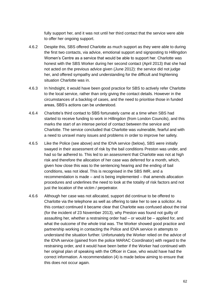fully support her, and it was not until her third contact that the service were able to offer her ongoing support.

- 4.6.2 Despite this, SBS offered Charlotte as much support as they were able to during the first two contacts, via advice, emotional support and signposting to Hillingdon Women's Centre as a service that would be able to support her. Charlotte was honest with the SBS Worker during her second contact (April 2013) that she had not acted on the previous advice given (June 2012): the service did not judge her, and offered sympathy and understanding for the difficult and frightening situation Charlotte was in.
- 4.6.3 In hindsight, it would have been good practice for SBS to actively refer Charlotte to the local service, rather than only giving the contact details. However in the circumstances of a backlog of cases, and the need to prioritise those in funded areas, SBS's actions can be understood.
- 4.6.4 Charlotte's third contact to SBS fortunately came at a time when SBS had started to receive funding to work in Hillingdon (from London Councils), and this marks the start of an intense period of contact between the service and Charlotte. The service concluded that Charlotte was vulnerable, fearful and with a need to unravel many issues and problems in order to improve her safety.
- 4.6.5 Like the Police (see above) and the IDVA service (below), SBS were initially swayed in their assessment of risk by the bail conditions Preston was under, and had so far adhered to. This led to an assessment that Charlotte was not at high risk and therefore the allocation of her case was deferred for a month, which, given how close this was to the sentencing hearing and the ending of bail conditions, was not ideal. This is recognised in the SBS IMR, and a recommendation is made – and is being implemented – that amends allocation procedures and underlines the need to look at the totality of risk factors and not just the location of the victim / perpetrator.
- 4.6.6 Although her case was not allocated, support did continue to be offered to Charlotte via the telephone as well as offering to take her to see a solicitor. As this contact continued it became clear that Charlotte was confused about the trial (for the incident of 23 November 2013), why Preston was found not guilty of assaulting her, whether a restraining order had – or would be – applied for, and what the outcome of the whole trial was. The Worker showed good practice and partnership working in contacting the Police and IDVA service in attempts to understand the situation further. Unfortunately the Worker relied on the advice of the IDVA service (gained from the police MARAC Coordinator) with regard to the restraining order, and it would have been better if the Worker had continued with her original plan of speaking with the Officer in Case, who would have had the correct information. A recommendation (4) is made below aiming to ensure that this does not occur again.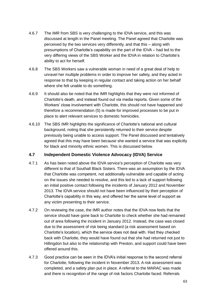- 4.6.7 The IMR from SBS is very challenging to the IDVA service, and this was discussed at length in the Panel meeting. The Panel agreed that Charlotte was perceived by the two services very differently, and that this – along with presumptions of Charlotte's capability on the part of the IDVA – had led to the very differing views of the SBS Worker and the IDVA in relation to Charlotte's ability to act for herself.
- 4.6.8 The SBS Workers saw a vulnerable woman in need of a great deal of help to unravel her multiple problems in order to improve her safety, and they acted in response to that by keeping in regular contact and taking action on her behalf where she felt unable to do something.
- 4.6.9 It should also be noted that the IMR highlights that they were not informed of Charlotte's death, and instead found out via media reports. Given some of the Workers' close involvement with Charlotte, this should not have happened and therefore a recommendation (5) is made for improved processes to be put in place to alert relevant services to domestic homicides.
- 4.6.10 The SBS IMR highlights the significance of Charlotte's national and cultural background, noting that she persistently returned to their service despite previously being unable to access support. The Panel discussed and tentatively agreed that this may have been because she wanted a service that was explicitly for black and minority ethnic women. This is discussed below.

## **4.7 Independent Domestic Violence Advocacy (IDVA) Service**

- 4.7.1 As has been noted above the IDVA service's perception of Charlotte was very different to that of Southall Black Sisters. There was an assumption by the IDVA that Charlotte was competent, not additionally vulnerable and capable of acting on the issues she needed to resolve, and this led to a lack of support following an initial positive contact following the incidents of January 2012 and November 2013. The IDVA service should not have been influenced by their perception of Charlotte's capability in this way, and offered her the same level of support as any victim presenting to their service.
- 4.7.2 On reviewing the case, the IMR author notes that the IDVA now feels that the service should have gone back to Charlotte to check whether she had remained out of area following the incident in January 2012. Instead, the case was closed due to the assessment of risk being standard (a risk assessment based on Charlotte's location), which the service does not deal with. Had they checked back with Charlotte, they would have found out that she had returned not just to Hillingdon but also to the relationship with Preston, and support could have been offered around this.
- 4.7.3 Good practice can be seen in the IDVA's initial response to the second referral for Charlotte, following the incident in November 2013. A risk assessment was completed, and a safety plan put in place. A referral to the MARAC was made and there is recognition of the range of risk factors Charlotte faced. Referrals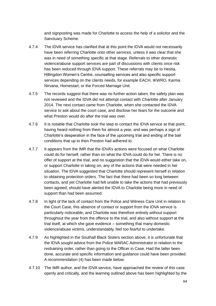and signposting was made for Charlotte to access the help of a solicitor and the Sanctuary Scheme.

- 4.7.4 The IDVA service has clarified that at this point the IDVA would not necessarily have been referring Charlotte onto other services, unless it was clear that she was in need of something specific at that stage. Referrals to other domestic violence/abuse support services are part of discussions with clients once risk has been reduced through IDVA support. These referrals may be to Hestia, Hillingdon Women's Centre, counselling services and also specific support services depending on the clients needs, for example EACH, IKWRO, Karma Nirvana, Homestart, or the Forced Marriage Unit.
- 4.7.5 The records suggest that there was no further action taken; the safety plan was not reviewed and the IDVA did not attempt contact with Charlotte after January 2014. The next contact came from Charlotte, when she contacted the IDVA service to ask about the court case, and disclose her fears for the outcome and what Preston would do after the trial was over.
- 4.7.6 It is notable that Charlotte took the step to contact the IDVA service at that point, having heard nothing from them for almost a year, and was perhaps a sign of Charlotte's desperation in the face of the upcoming trial and ending of the bail conditions that up to then Preston had adhered to.
- 4.7.7 It appears from the IMR that the IDVA's actions were focused on what Charlotte could do for herself, rather than on what the IDVA could do for her. There is no offer of support at the trial, and no suggestion that the IDVA would either take on, or support Charlotte in taking on, any of the actions that were needed in her situation. The IDVA suggested that Charlotte should represent herself in relation to obtaining protection orders. The fact that there had been so long between contacts, and yet Charlotte had felt unable to take the actions that had previously been agreed, should have alerted the IDVA to Charlotte being more in need of support than had been assumed.
- 4.7.8 In light of the lack of contact from the Police and Witness Care Unit in relation to the Court Case, this absence of contact or support from the IDVA service is particularly noticeable, and Charlotte was therefore entirely without support throughout the year from the offence to the trial, and also without support at the trial itself, at which she gave evidence – something that many domestic violence/abuse victims, understandably, feel too fearful to undertake.
- 4.7.9 As highlighted in the Southall Black Sisters section above, it is unfortunate that the IDVA sought advice from the Police MARAC Administrator in relation to the restraining order, rather than going to the Officer in Case. Had the latter been done, accurate and specific information and guidance could have been provided. A recommendation (4) has been made below.
- 4.7.10 The IMR author, and the IDVA service, have approached the review of this case openly and critically, and the learning outlined above has been highlighted by the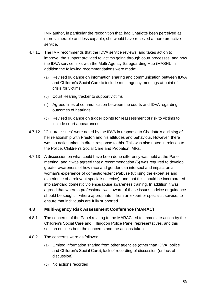IMR author, in particular the recognition that, had Charlotte been perceived as more vulnerable and less capable, she would have received a more proactive service.

- 4.7.11 The IMR recommends that the IDVA service reviews, and takes action to improve, the support provided to victims going through court processes, and how the IDVA service links with the Multi-Agency Safeguarding Hub (MASH). In addition the following recommendations were made:
	- (a) Revised guidance on information sharing and communication between IDVA and Children's Social Care to include multi-agency meetings at point of crisis for victims
	- (b) Court Hearing tracker to support victims
	- (c) Agreed lines of communication between the courts and IDVA regarding outcomes of hearings
	- (d) Revised guidance on trigger points for reassessment of risk to victims to include court appearances
- 4.7.12 "Cultural issues" were noted by the IDVA in response to Charlotte's outlining of her relationship with Preston and his attitudes and behaviour. However, there was no action taken in direct response to this. This was also noted in relation to the Police, Children's Social Care and Probation IMRs.
- 4.7.13 A discussion on what could have been done differently was held at the Panel meeting, and it was agreed that a recommendation (6) was required to develop greater awareness of how race and gender can intersect and impact on a woman's experience of domestic violence/abuse (utilising the expertise and experience of a relevant specialist service), and that this should be incorporated into standard domestic violence/abuse awareness training. In addition it was agreed that where a professional was aware of these issues, advice or guidance should be sought – where appropriate – from an expert or specialist service, to ensure that individuals are fully supported.

## **4.8 Multi-Agency Risk Assessment Conference (MARAC)**

- 4.8.1 The concerns of the Panel relating to the MARAC led to immediate action by the Children's Social Care and Hillingdon Police Panel representatives, and this section outlines both the concerns and the actions taken.
- 4.8.2 The concerns were as follows:
	- (a) Limited information sharing from other agencies (other than IDVA, police and Children's Social Care); lack of recording of discussion (or lack of discussion)
	- (b) No actions recorded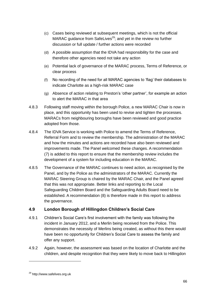- (c) Cases being reviewed at subsequent meetings, which is not the official MARAC guidance from SafeLives<sup>29</sup>; and yet in the review no further discussion or full update / further actions were recorded
- (d) A possible assumption that the IDVA had responsibility for the case and therefore other agencies need not take any action
- (e) Potential lack of governance of the MARAC process, Terms of Reference, or clear process
- (f) No recording of the need for all MARAC agencies to 'flag' their databases to indicate Charlotte as a high-risk MARAC case
- (g) Absence of action relating to Preston's 'other partner', for example an action to alert the MARAC in that area
- 4.8.3 Following staff moving within the borough Police, a new MARAC Chair is now in place, and this opportunity has been used to revise and tighten the processes. MARACs from neighbouring boroughs have been reviewed and good practice adopted from those.
- 4.8.4 The IDVA Service is working with Police to amend the Terms of Reference, Referral Form and to review the membership. The administration of the MARAC and how the minutes and actions are recorded have also been reviewed and improvements made. The Panel welcomed these changes. A recommendation (7) is added to this report to ensure that the membership review includes the development of a system for including education in the MARAC.
- 4.8.5 The Governance of the MARAC continues to need action, as recognised by the Panel, and by the Police as the administrators of the MARAC. Currently the MARAC Steering Group is chaired by the MARAC Chair, and the Panel agreed that this was not appropriate. Better links and reporting to the Local Safeguarding Children Board and the Safeguarding Adults Board need to be established. A recommendation (8) is therefore made in this report to address the governance.

## **4.9 London Borough of Hillingdon Children's Social Care**

- 4.9.1 Children's Social Care's first involvement with the family was following the incident in January 2012, and a Merlin being received from the Police. This demonstrates the necessity of Merlins being created, as without this there would have been no opportunity for Children's Social Care to assess the family and offer any support.
- 4.9.2 Again, however, the assessment was based on the location of Charlotte and the children, and despite recognition that they were likely to move back to Hillingdon

1

<sup>29</sup> http://www.safelives.org.uk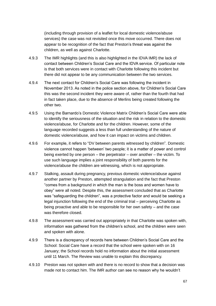(including through provision of a leaflet for local domestic violence/abuse services) the case was not revisited once this move occurred. There does not appear to be recognition of the fact that Preston's threat was against the children, as well as against Charlotte.

- 4.9.3 The IMR highlights (and this is also highlighted in the IDVA IMR) the lack of contact between Children's Social Care and the IDVA service. Of particular note is that both services were in contact with Charlotte following this incident but there did not appear to be any communication between the two services.
- 4.9.4 The next contact for Children's Social Care was following the incident in November 2013. As noted in the police section above, for Children's Social Care this was the second incident they were aware of, rather than the fourth that had in fact taken place, due to the absence of Merlins being created following the other two.
- 4.9.5 Using the Barnardo's Domestic Violence Matrix Children's Social Care were able to identify the seriousness of the situation and the risk in relation to the domestic violence/abuse, for Charlotte and for the children. However, some of the language recorded suggests a less than full understanding of the nature of domestic violence/abuse, and how it can impact on victims and children.
- 4.9.6 For example, it refers to "DV between parents witnessed by children". Domestic violence cannot happen 'between' two people; it is a matter of power and control being exerted by one person – the perpetrator – over another – the victim. To use such language implies a joint responsibility of both parents for the violence/abuse the children are witnessing, which is not appropriate.
- 4.9.7 Stalking, assault during pregnancy, previous domestic violence/abuse against another partner by Preston, attempted strangulation and the fact that Preston "comes from a background in which the man is the boss and women have to obey" were all noted. Despite this, the assessment concluded that as Charlotte was "safeguarding the children", was a protective factor and would be seeking a legal injunction following the end of the criminal trial – perceiving Charlotte as being proactive and able to be responsible for her own safety – and the case was therefore closed.
- 4.9.8 The assessment was carried out appropriately in that Charlotte was spoken with, information was gathered from the children's school, and the children were seen and spoken with alone.
- 4.9.9 There is a discrepancy of records here between Children's Social Care and the School: Social Care have a record that the school were spoken with on 16 January; the School records hold no information about the initial assessment until 11 March. The Review was unable to explain this discrepancy.
- 4.9.10 Preston was not spoken with and there is no record to show that a decision was made not to contact him. The IMR author can see no reason why he wouldn't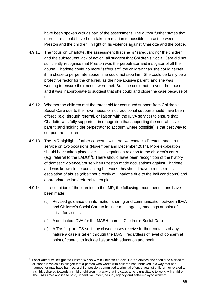have been spoken with as part of the assessment. The author further states that more care should have been taken in relation to possible contact between Preston and the children, in light of his violence against Charlotte and the police.

- 4.9.11 The focus on Charlotte, the assessment that she is "safeguarding" the children and the subsequent lack of action, all suggest that Children's Social Care did not sufficiently recognise that Preston was the perpetrator and instigator of all the abuse. Charlotte could no more "safeguard" the children than she could herself, if he chose to perpetrate abuse: she could not stop him. She could certainly be a protective factor for the children, as the non-abusive parent, and she was working to ensure their needs were met. But, she could not prevent the abuse and it was inappropriate to suggest that she could and close the case because of this.
- 4.9.12 Whether the children met the threshold for continued support from Children's Social Care due to their own needs or not, additional support should have been offered (e.g. through referral, or liaison with the IDVA service) to ensure that Charlotte was fully supported, in recognition that supporting the non-abusive parent (and holding the perpetrator to account where possible) is the best way to support the children.
- 4.9.13 The IMR highlights further concerns with the two contacts Preston made to the service on two occasions (November and December 2014). More exploration should have taken place over his allegation in relation to the children's carer (e.g. referral to the  $LADO^{30}$ ). There should have been recognition of the history of domestic violence/abuse when Preston made accusations against Charlotte and was known to be contacting her work; this should have been seen as escalation of abuse (albeit not directly at Charlotte due to the bail conditions) and appropriate action / referral taken place.
- 4.9.14 In recognition of the learning in the IMR, the following recommendations have been made:
	- (a) Revised guidance on information sharing and communication between IDVA and Children's Social Care to include multi-agency meetings at point of crisis for victims.
	- (b) A dedicated IDVA for the MASH team in Children's Social Care.

-

(c) A 'DV flag' on ICS so if any closed cases receive further contacts of any nature a case is taken through the MASH regardless of level of concern at point of contact to include liaison with education and health.

<sup>&</sup>lt;sup>30</sup> Local Authority Designated Officer: Works within Children's Social Care Services and should be alerted to all cases in which it is alleged that a person who works with children has: behaved in a way that has harmed, or may have harmed, a child; possibly committed a criminal offence against children, or related to a child; behaved towards a child or children in a way that indicates s/he is unsuitable to work with children. The LADO role applies to paid, unpaid, volunteer, casual, agency and self-employed workers.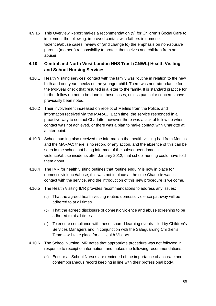4.9.15 This Overview Report makes a recommendation (9) for Children's Social Care to implement the following: improved contact with fathers in domestic violence/abuse cases; review of (and change to) the emphasis on non-abusive parents (mothers) responsibility to protect themselves and children from an abuser.

# **4.10 Central and North West London NHS Trust (CNWL) Health Visiting and School Nursing Services**

- 4.10.1 Health Visiting services' contact with the family was routine in relation to the new birth and one year checks on the younger child. There was non-attendance for the two-year check that resulted in a letter to the family. It is standard practice for further follow up not to be done in these cases, unless particular concerns have previously been noted.
- 4.10.2 Their involvement increased on receipt of Merlins from the Police, and information received via the MARAC. Each time, the service responded in a proactive way to contact Charlotte, however there was a lack of follow up when contact was not achieved, or there was a plan to make contact with Charlotte at a later point.
- 4.10.3 School nursing also received the information that health visiting had from Merlins and the MARAC; there is no record of any action, and the absence of this can be seen in the school not being informed of the subsequent domestic violence/abuse incidents after January 2012, that school nursing could have told them about.
- 4.10.4 The IMR for health visiting outlines that routine enquiry is now in place for domestic violence/abuse; this was not in place at the time Charlotte was in contact with the service, and the introduction of this new procedure is welcome.
- 4.10.5 The Health Visiting IMR provides recommendations to address any issues:
	- (a) That the agreed health visiting routine domestic violence pathway will be adhered to at all times
	- (b) That the agreed disclosure of domestic violence and abuse screening to be adhered to at all times
	- (c) To ensure compliance with these: shared learning events led by Children's Services Managers and in conjunction with the Safeguarding Children's Team – will take place for all Health Visitors
- 4.10.6 The School Nursing IMR notes that appropriate procedure was not followed in response to receipt of information, and makes the following recommendations:
	- (a) Ensure all School Nurses are reminded of the importance of accurate and contemporaneous record keeping in line with their professional body.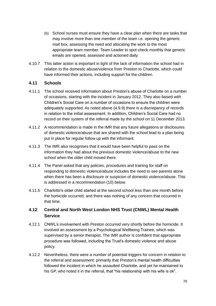- (b) School nurses must ensure they have a clear plan when there are tasks that may involve more than one member of the team i.e. opening the generic mail box, assessing the need and allocating the work to the most appropriate team member. Team Leader to spot check monthly that generic emails are opened, assessed and actioned daily.
- 4.10.7 This latter action is important in light of the lack of information the school had in relation to the domestic abuse/violence from Preston to Charlotte, which could have informed their actions, including support for the children.

#### **4.11 Schools**

- 4.11.1 The school received information about Preston's abuse of Charlotte on a number of occasions, starting with the incident in January 2012. They also liaised with Children's Social Care on a number of occasions to ensure the children were adequately supported. As noted above (4.9.9) there is a discrepancy of records in relation to the initial assessment. In addition, Children's Social Care had no record on their system of the referral made by the school on 11 December 2013.
- 4.11.2 A recommendation is made in the IMR that any future allegations or disclosures of domestic violence/abuse that are shared with the school lead to a plan being put in place for regular follow up with the informant.
- 4.11.3 The IMR also recognises that it would have been helpful to pass on the information they had about the previous domestic violence/abuse to the new school when the older child moved there.
- 4.11.4 The Panel asked that any policies, procedures and training for staff on responding to domestic violence/abuse includes the need to see parents alone when there has been a disclosure or suspicion of domestic violence/abuse. This is addressed in a recommendation (10) below.
- 4.11.5 Charlotte's older child started at the second school less than one month before the homicide occurred, and there was nothing of any concern that occurred in that time.

## **4.12 Central and North West London NHS Trust (CNWL) Mental Health Service**

- 4.12.1 CNWL's involvement with Preston occurred very shortly before the homicide. It involved an assessment by a Psychological Wellbeing Trainee, which was supervised by a senior therapist. The IMR author is confident that appropriate procedure was followed, including the Trust's domestic violence and abuse policy.
- 4.12.2 Nevertheless, there were a number of potential triggers for concern in relation to the referral and assessment: primarily that Preston's mental health difficulties followed the incident in which he assaulted Charlotte, and yet he maintained to his GP, who noted it in the referral, that "his relationship with his wife is ok".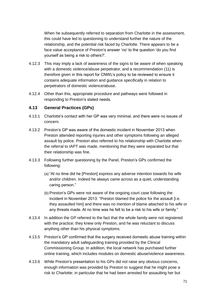When he subsequently referred to separation from Charlotte in the assessment, this could have led to questioning to understand further the nature of the relationship, and the potential risk faced by Charlotte. There appears to be a face value acceptance of Preston's answer 'no' to the question 'do you find yourself as being a risk to others?'.

- 4.12.3 This may imply a lack of awareness of the signs to be aware of when speaking with a domestic violence/abuse perpetrator, and a recommendation (11) is therefore given in this report for CNWL's policy to be reviewed to ensure it contains adequate information and guidance specifically in relation to perpetrators of domestic violence/abuse.
- 4.12.4 Other than this, appropriate procedure and pathways were followed in responding to Preston's stated needs.

#### **4.13 General Practices (GPs)**

- 4.13.1 Charlotte's contact with her GP was very minimal, and there were no issues of concern.
- 4.13.2 Preston's GP was aware of the domestic incident in November 2013 when Preston attended reporting injuries and other symptoms following an alleged assault by police. Preston also referred to his relationship with Charlotte when the referral to IAPT was made, mentioning that they were separated but that their relationship was fine.
- 4.13.3 Following further questioning by the Panel, Preston's GPs confirmed the following:
	- (a) "At no time did he [Preston] express any adverse intention towards his wife and/or children. Indeed he always came across as a quiet, understanding caring person."
	- (b) Preston's GPs were not aware of the ongoing court case following the incident in November 2013: "Preston blamed the police for the assault [i.e. they assaulted him] and there was no mention of blame attached to his wife or any threats made. At no time was he felt to be a risk to his wife or family."
- 4.13.4 In addition the GP referred to the fact that the whole family were not registered with the practice; they knew only Preston, and he was reluctant to discuss anything other than his physical symptoms.
- 4.13.5 Preston's GP confirmed that the surgery received domestic abuse training within the mandatory adult safeguarding training provided by the Clinical Commissioning Group. In addition, the local network has purchased further online training, which includes modules on domestic abuse/violence awareness.
- 4.13.6 While Preston's presentation to his GPs did not raise any obvious concerns, enough information was provided by Preston to suggest that he might pose a risk to Charlotte: in particular that he had been arrested for assaulting her but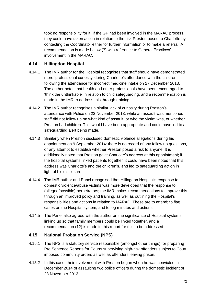took no responsibility for it. If the GP had been involved in the MARAC process, they could have taken action in relation to the risk Preston posed to Charlotte by contacting the Coordinator either for further information or to make a referral. A recommendation is made below (7) with reference to General Practices' involvement in the MARAC.

## **4.14 Hillingdon Hospital**

- 4.14.1 The IMR author for the Hospital recognises that staff should have demonstrated more 'professional curiosity' during Charlotte's attendance with the children following the attendance for incorrect medicine intake on 27 December 2013. The author notes that health and other professionals have been encouraged to 'think the unthinkable' in relation to child safeguarding, and a recommendation is made in the IMR to address this through training.
- 4.14.2 The IMR author recognises a similar lack of curiosity during Preston's attendance with Police on 23 November 2013: while an assault was mentioned, staff did not follow up on what kind of assault, or who the victim was, or whether Preston had children. This would have been appropriate and could have led to a safeguarding alert being made.
- 4.14.3 Similarly when Preston disclosed domestic violence allegations during his appointment on 9 September 2014: there is no record of any follow up questions, or any attempt to establish whether Preston posed a risk to anyone. It is additionally noted that Preston gave Charlotte's address at this appointment; if the hospital systems linked patients together, it could have been noted that this address was Charlotte's and the children's, and led to safeguarding action in light of his disclosure.
- 4.14.4 The IMR author and Panel recognised that Hillingdon Hospital's response to domestic violence/abuse victims was more developed that the response to (alleged/possible) perpetrators; the IMR makes recommendations to improve this through an improved policy and training, as well as outlining the Hospital's responsibilities and actions in relation to MARAC. These are to attend; to flag cases on the Hospital system, and to log minutes and actions.
- 4.14.5 The Panel also agreed with the author on the significance of Hospital systems linking up so that family members could be linked together, and a recommendation (12) is made in this report for this to be addressed.

## **4.15 National Probation Service (NPS)**

- 4.15.1 The NPS is a statutory service responsible (amongst other things) for preparing Pre Sentence Reports for Courts supervising high-risk offenders subject to Court imposed community orders as well as offenders leaving prison.
- 4.15.2 In this case, their involvement with Preston began when he was convicted in December 2014 of assaulting two police officers during the domestic incident of 23 November 2013.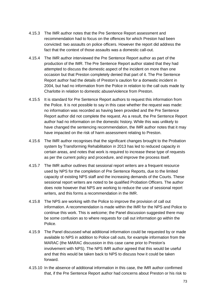- 4.15.3 The IMR author notes that the Pre Sentence Report assessment and recommendation had to focus on the offences for which Preston had been convicted: two assaults on police officers. However the report did address the fact that the context of those assaults was a domestic call-out.
- 4.15.4 The IMR author interviewed the Pre Sentence Report author as part of the production of the IMR. The Pre Sentence Report author stated that they had attempted to discuss the domestic aspect of the incident on more than one occasion but that Preston completely denied that part of it. The Pre Sentence Report author had the details of Preston's caution for a domestic incident in 2004, but had no information from the Police in relation to the call outs made by Charlotte in relation to domestic abuse/violence from Preston.
- 4.15.5 It is standard for Pre Sentence Report authors to request this information from the Police. It is not possible to say in this case whether the request was made: no information was recorded as having been provided and the Pre Sentence Report author did not complete the request. As a result, the Pre Sentence Report author had no information on the domestic history. While this was unlikely to have changed the sentencing recommendation, the IMR author notes that it may have impacted on the risk of harm assessment relating to Preston.
- 4.15.6 The IMR author recognises that the significant changes brought to the Probation system by Transforming Rehabilitation in 2013 has led to reduced capacity in certain areas, and notes that work is required to increase these type of requests as per the current policy and procedure, and improve the process itself.
- 4.15.7 The IMR author outlines that sessional report writers are a frequent resource used by NPS for the completion of Pre Sentence Reports, due to the limited capacity of existing NPS staff and the increasing demands of the Courts. These sessional report writers are noted to be qualified Probation Officers. The author does note however that NPS are working to reduce the use of sessional report writers, and this forms a recommendation in the IMR.
- 4.15.8 The NPS are working with the Police to improve the provision of call out information. A recommendation is made within the IMR for the NPS and Police to continue this work. This is welcome; the Panel discussion suggested there may be some confusion as to where requests for call out information go within the Police.
- 4.15.9 The Panel discussed what additional information could be requested by or made available to NPS in addition to Police call outs, for example information from the MARAC (the MARAC discussion in this case came prior to Preston's involvement with NPS). The NPS IMR author agreed that this would be useful and that this would be taken back to NPS to discuss how it could be taken forward.
- 4.15.10 In the absence of additional information in this case, the IMR author confirmed that, if the Pre Sentence Report author had concerns about Preston or his risk to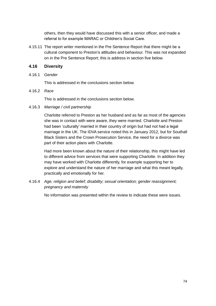others, then they would have discussed this with a senior officer, and made a referral to for example MARAC or Children's Social Care.

4.15.11 The report writer mentioned in the Pre Sentence Report that there might be a cultural component to Preston's attitudes and behaviour. This was not expanded on in the Pre Sentence Report; this is address in section five below.

# **4.16 Diversity**

4.16.1 *Gender*

This is addressed in the conclusions section below.

4.16.2 *Race*

This is addressed in the conclusions section below.

4.16.3 *Marriage / civil partnership*

Charlotte referred to Preston as her husband and as far as most of the agencies she was in contact with were aware, they were married. Charlotte and Preston had been 'culturally' married in their country of origin but had not had a legal marriage in the UK. The IDVA service noted this in January 2012, but for Southall Black Sisters and the Crown Prosecution Service, the need for a divorce was part of their action plans with Charlotte.

Had more been known about the nature of their relationship, this might have led to different advice from services that were supporting Charlotte. In addition they may have worked with Charlotte differently, for example supporting her to explore and understand the nature of her marriage and what this meant legally, practically and emotionally for her.

4.16.4 *Age; religion and belief; disability; sexual orientation; gender reassignment; pregnancy and maternity*

No information was presented within the review to indicate these were issues.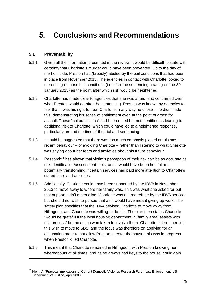# **5. Conclusions and Recommendations**

# **5.1 Preventability**

1

- 5.1.1 Given all the information presented in the review, it would be difficult to state with certainty that Charlotte's murder could have been prevented. Up to the day of the homicide, Preston had (broadly) abided by the bail conditions that had been in place from November 2013. The agencies in contact with Charlotte looked to the ending of those bail conditions (i.e. after the sentencing hearing on the 30 January 2015) as the point after which risk would be heightened.
- 5.1.2 Charlotte had made clear to agencies that she was afraid, and concerned over what Preston would do after the sentencing. Preston was known by agencies to feel that it was his right to treat Charlotte in any way he chose – he didn't hide this, demonstrating his sense of entitlement even at the point of arrest for assault. These "cultural issues" had been noted but not identified as leading to additional risk to Charlotte, which could have led to a heightened response, particularly around the time of the trial and sentencing.
- 5.1.3 It could be suggested that there was too much emphasis placed on his most recent behaviour – of avoiding Charlotte – rather than listening to what Charlotte was saying about her fears and anxieties about his future behaviour.
- 5.1.4 Research<sup>31</sup> has shown that victim's perception of their risk can be as accurate as risk identification/assessment tools, and it would have been helpful and potentially transforming if certain services had paid more attention to Charlotte's stated fears and anxieties.
- 5.1.5 Additionally, Charlotte could have been supported by the IDVA in November 2013 to move away to where her family was. This was what she asked for but that support didn't materialise. Charlotte was offered refuge by the IDVA service but she did not wish to pursue that as it would have meant giving up work. The safety plan specifies that the IDVA advised Charlotte to move away from Hillingdon, and Charlotte was willing to do this. The plan then states Charlotte "would be grateful if the local housing department in [family area] assists with this process" but no action was taken to involve them. Charlotte did not mention this wish to move to SBS, and the focus was therefore on applying for an occupation order to not allow Preston to enter the house; this was in progress when Preston killed Charlotte.
- 5.1.6 This meant that Charlotte remained in Hillingdon, with Preston knowing her whereabouts at all times; and as he always had keys to the house, could gain

<sup>&</sup>lt;sup>31</sup> Klein, A. 'Practical Implications of Current Domestic Violence Research Part I: Law Enforcement' US Department of Justice, April 2008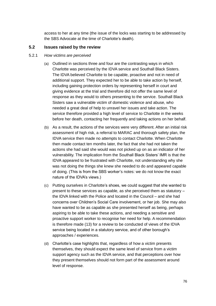access to her at any time (the issue of the locks was starting to be addressed by the SBS Advocate at the time of Charlotte's death).

# **5.2 Issues raised by the review**

#### 5.2.1 *How victims are perceived*

- (a) Outlined in sections three and four are the contrasting ways in which Charlotte was perceived by the IDVA service and Southall Black Sisters. The IDVA believed Charlotte to be capable, proactive and not in need of additional support. They expected her to be able to take action by herself, including gaining protection orders by representing herself in court and giving evidence at the trial and therefore did not offer the same level of response as they would to others presenting to the service. Southall Black Sisters saw a vulnerable victim of domestic violence and abuse, who needed a great deal of help to unravel her issues and take action. The service therefore provided a high level of service to Charlotte in the weeks before her death, contacting her frequently and taking actions on her behalf.
- (b) As a result, the actions of the services were very different. After an initial risk assessment of high risk, a referral to MARAC and thorough safety plan, the IDVA service then made no attempts to contact Charlotte. When Charlotte then made contact ten months later, the fact that she had not taken the actions she had said she would was not picked up on as an indicator of her vulnerability. The implication from the Southall Black Sisters' IMR is that the IDVA appeared to be frustrated with Charlotte, not understanding why she was not doing the things she knew she needed to do and appeared capable of doing. (This is from the SBS worker's notes: we do not know the exact nature of the IDVA's views.)
- (c) Putting ourselves in Charlotte's shoes, we could suggest that she wanted to present to these services as capable, as she perceived them as statutory – the IDVA linked with the Police and located in the Council – and she had concerns over Children's Social Care involvement, or her job. She may also have wanted to be as capable as she presented herself as being, perhaps aspiring to be able to take these actions, and needing a sensitive and proactive support worker to recognise her need for help. A recommendation is therefore made (13) for a review to be conducted of views of the IDVA service being located in a statutory service, and of other borough's approaches / experiences.
- (d) Charlotte's case highlights that, regardless of how a victim presents themselves, they should expect the same level of service from a victim support agency such as the IDVA service, and that perceptions over how they present themselves should not form part of the assessment around level of response.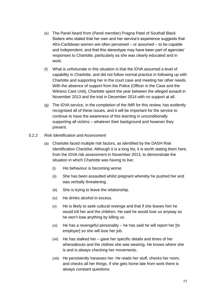- (e) The Panel heard from (Panel member) Pragna Patel of Southall Black Sisters who stated that her own and her service's experience suggests that Afro-Caribbean women are often perceived – or assumed – to be capable and independent, and that this stereotype may have been part of agencies' responses to Charlotte, particularly as she was clearly educated and in work.
- (f) What is unfortunate in this situation is that the IDVA assumed a level of capability in Charlotte, and did not follow normal practice in following up with Charlotte and supporting her in the court case and meeting her other needs. With the absence of support from the Police (Officer in the Case and the Witness Care Unit), Charlotte spent the year between the alleged assault in November 2013 and the trial in December 2014 with no support at all.
- (g) The IDVA service, in the completion of the IMR for this review, has evidently recognised all of these issues, and it will be important for the service to continue to have the awareness of this learning in unconditionally supporting all victims – whatever their background and however they present.

# 5.2.2 *Risk Identification and Assessment*

- (a) Charlotte faced multiple risk factors, as identified by the DASH Risk Identification Checklist. Although it is a long list, it is worth stating them here, from the IDVA risk assessment in November 2013, to demonstrate the situation in which Charlotte was having to live:
	- (i) His behaviour is becoming worse.
	- (ii) She has been assaulted whilst pregnant whereby he pushed her and was verbally threatening.
	- (iii) She is trying to leave the relationship.
	- (iv) He drinks alcohol in excess.
	- (v) He is likely to seek cultural revenge and that if she leaves him he would kill her and the children. He said he would lose us anyway so he won't lose anything by killing us.
	- (vi) He has a revengeful personality he has said he will report her [to employer] so she will lose her job.
	- (vii) He has stalked her gave her specific details and times of her whereabouts and the clothes she was wearing. He knows where she is and is always checking her movements.
	- (viii) He persistently harasses her. He reads her stuff, checks her room, and checks all her things. If she gets home late from work there is always constant questions.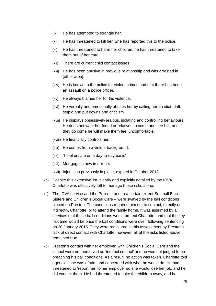- (ix) He has attempted to strangle her.
- (x) He has threatened to kill her. She has reported this to the police.
- (xi) He has threatened to harm her children; he has threatened to take them out of her care.
- (xii) There are current child contact issues.
- (xiii) He has been abusive in previous relationship and was arrested in [other area].
- (xiv) He is known to the police for violent crimes and that there has been an assault on a police officer.
- (xv) He always blames her for his violence.
- (xvi) He verbally and emotionally abuses her by calling her an idiot, daft, stupid and put downs and criticism.
- (xvii) He displays obsessively jealous, isolating and controlling behaviours. He does not want her friend or relatives to come and see her, and if they do come he will make them feel uncomfortable.
- (xviii) He financially controls her.
- (xix) He comes from a violent background.
- (xx) "I feel unsafe on a day-to-day basis".
- (xxi) Mortgage is now in arrears.
- (xxii) Injunction previously in place, expired in October 2013.
- (b) Despite this extensive list, clearly and explicitly detailed by the IDVA, Charlotte was effectively left to manage these risks alone.
- (c) The IDVA service and the Police and to a certain extent Southall Black Sisters and Children's Social Care – were swayed by the bail conditions placed on Preston. The conditions required him not to contact, directly or indirectly, Charlotte, or to attend the family home. It was assumed by all services that these bail conditions would protect Charlotte, and that the key risk time would be once the bail conditions were over, following sentencing on 30 January 2015. They were reassured in this assessment by Preston's lack of direct contact with Charlotte; however, all of the risks listed above remained true.
- (d) Preston's contact with her employer, with Children's Social Care and the school were not perceived as 'indirect contact' and he was not judged to be breaching his bail conditions. As a result, no action was taken. Charlotte told agencies she was afraid, and concerned with what he would do. He had threatened to 'report her' to her employer so she would lose her job, and he did contact them. He had threatened to take the children away, and he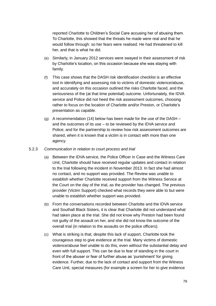reported Charlotte to Children's Social Care accusing her of abusing them. To Charlotte, this showed that the threats he made were real and that he would follow through: so her fears were realised. He had threatened to kill her, and that is what he did.

- (e) Similarly, in January 2012 services were swayed in their assessment of risk by Charlotte's location, on this occasion because she was staying with family.
- (f) This case shows that the DASH risk identification checklist is an effective tool in identifying and assessing risk to victims of domestic violence/abuse, and accurately on this occasion outlined the risks Charlotte faced, and the seriousness of the (at that time potential) outcome. Unfortunately, the IDVA service and Police did not heed the risk assessment outcomes, choosing rather to focus on the location of Charlotte and/or Preston, or Charlotte's presentation as capable.
- (g) A recommendation (14) below has been made for the use of the DASH and the outcomes of its use – to be reviewed by the IDVA service and Police; and for the partnership to review how risk assessment outcomes are shared, when it is known that a victim is in contact with more than one agency.

# 5.2.3 *Communication in relation to court process and trial*

- (a) Between the IDVA service, the Police Officer in Case and the Witness Care Unit, Charlotte should have received regular updates and contact in relation to the trial following the incident in November 2013. In fact she had almost no contact, and no support was provided. The Review was unable to establish whether Charlotte received support from the Witness Service at the Court on the day of the trial, as the provider has changed. The previous provider (Victim Support) checked what records they were able to but were unable to establish whether support was provided.
- (b) From the conversations recorded between Charlotte and the IDVA service and Southall Black Sisters, it is clear that Charlotte did not understand what had taken place at the trial. She did not know why Preston had been found not guilty of the assault on her, and she did not know the outcome of the overall trial (in relation to the assaults on the police officers).
- (c) What is striking is that, despite this lack of support, Charlotte took the courageous step to give evidence at the trial. Many victims of domestic violence/abuse feel unable to do this, even without the substantial delay and even with full support. This can be due to fear of standing in the court in front of the abuser or fear of further abuse as 'punishment' for giving evidence. Further, due to the lack of contact and support from the Witness Care Unit, special measures (for example a screen for her to give evidence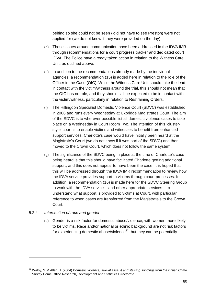behind so she could not be seen / did not have to see Preston) were not applied for (we do not know if they were provided on the day).

- (d) These issues around communication have been addressed in the IDVA IMR through recommendations for a court progress tracker and dedicated court IDVA. The Police have already taken action in relation to the Witness Care Unit, as outlined above.
- (e) In addition to the recommendations already made by the individual agencies, a recommendation (15) is added here in relation to the role of the Officer in the Case (OIC). While the Witness Care Unit should take the lead in contact with the victim/witness around the trial, this should not mean that the OIC has no role, and they should still be expected to be in contact with the victim/witness, particularly in relation to Restraining Orders.
- (f) The Hillingdon Specialist Domestic Violence Court (SDVC) was established in 2008 and runs every Wednesday at Uxbridge Magistrates Court. The aim of the SDVC is to wherever possible list all domestic violence cases to take place on a Wednesday in Court Room Two. The intention of this 'clusterstyle' court is to enable victims and witnesses to benefit from enhanced support services. Charlotte's case would have initially been heard at the Magistrate's Court (we do not know if it was part of the SDVC) and then moved to the Crown Court, which does not follow the same system.
- (g) The significance of the SDVC being in place at the time of Charlotte's case being heard is that this should have facilitated Charlotte getting additional support, and this does not appear to have been the case. It is hoped that this will be addressed through the IDVA IMR recommendation to review how the IDVA service provides support to victims through court processes. In addition, a recommendation (16) is made here for the SDVC Steering Group to work with the IDVA service – and other appropriate services – to understand what support is provided to victims at Court, with particular reference to when cases are transferred from the Magistrate's to the Crown Court.

# 5.2.4 *Intersection of race and gender*

1

(a) Gender is a risk factor for domestic abuse/violence, with women more likely to be victims. Race and/or national or ethnic background are not risk factors for experiencing domestic abuse/violence $32$ , but they can be potentially

<sup>32</sup> Walby, S. & Allen, J. (2004) *Domestic violence, sexual assault and stalking: Findings from the British Crime Survey* Home Office Research, Development and Statistics Directorate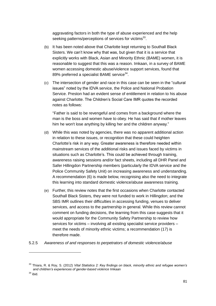aggravating factors in both the type of abuse experienced and the help seeking patterns/perceptions of services for victims<sup>33</sup>.

- (b) It has been noted above that Charlotte kept returning to Southall Black Sisters. We can't know why that was, but given that it is a service that explicitly works with Black, Asian and Minority Ethnic (BAME) women, it is reasonable to suggest that this was a reason. Imkaan, in a survey of BAME women accessing domestic abuse/violence support services, found that 89% preferred a specialist BAME service<sup>34</sup>.
- (c) The intersection of gender and race in this case can be seen in the "cultural issues" noted by the IDVA service, the Police and National Probation Service. Preston had an evident sense of entitlement in relation to his abuse against Charlotte. The Children's Social Care IMR quotes the recorded notes as follows:

"Father is said to be revengeful and comes from a background where the man is the boss and women have to obey. He has said that if mother leaves him he won't lose anything by killing her and the children anyway."

- (d) While this was noted by agencies, there was no apparent additional action in relation to these issues, or recognition that these could heighten Charlotte's risk in any way. Greater awareness is therefore needed within mainstream services of the additional risks and issues faced by victims in situations such as Charlotte's. This could be achieved through training, awareness raising sessions and/or fact sheets, including all DHR Panel and Safer Hillingdon Partnership members (particularly the IDVA service and the Police Community Safety Unit) on increasing awareness and understanding. A recommendation (6) is made below, recognising also the need to integrate this learning into standard domestic violence/abuse awareness training.
- (e) Further, this review notes that the first occasions when Charlotte contacted Southall Black Sisters, they were not funded to work in Hillingdon; and the SBS IMR outlines their difficulties in accessing funding, venues to deliver services, and access to the partnership in general. While this review cannot comment on funding decisions, the learning from this case suggests that it would appropriate for the Community Safety Partnership to review how services for victims – involving all existing specialist service providers – meet the needs of minority ethnic victims; a recommendation (17) is therefore made.
- 5.2.5 *Awareness of and responses to perpetrators of domestic violence/abuse*

-

<sup>33</sup> Thiara, R. & Roy, S. (2012) *Vital Statistics 2: Key findings on black, minority ethnic and refugee women's and children's experiences of gender-based violence* Imkaan

 $34$  ibid.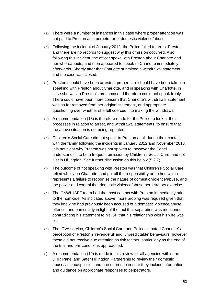- (a) There were a number of instances in this case where proper attention was not paid to Preston as a perpetrator of domestic violence/abuse.
- (b) Following the incident of January 2012, the Police failed to arrest Preston, and there are no records to suggest why this omission occurred. Also following this incident, the officer spoke with Preston about Charlotte and her whereabouts, and then appeared to speak to Charlotte immediately afterwards. Shortly after that Charlotte submitted a withdrawal statement and the case was closed.
- (c) Preston should have been arrested; proper care should have been taken in speaking with Preston about Charlotte, and in speaking with Charlotte, in case she was in Preston's presence and therefore could not speak freely. There could have been more concern that Charlotte's withdrawal statement was so far removed from her original statement, and appropriate questioning over whether she felt coerced into making the withdrawal.
- (d) A recommendation (18) is therefore made for the Police to look at their processes in relation to arrest, and withdrawal statements, to ensure that the above situation is not being repeated.
- (e) Children's Social Care did not speak to Preston at all during their contact with the family following the incidents in January 2012 and November 2013. It is not clear why Preston was not spoken to, however the Panel understands it to be a frequent omission by Children's Social Care, and not just in Hillingdon. See further discussion on this below (5.2.7).
- (f) The outcome of not speaking with Preston was that Children's Social Care relied wholly on Charlotte, and put all the responsibility on to her, which represents a failure to recognise the nature of domestic violence/abuse, and the power and control that domestic violence/abuse perpetrators exercise.
- (g) The CNWL IAPT team had the most contact with Preston immediately prior to the homicide. As indicated above, more probing was required given that they knew he had previously been accused of a domestic violence/abuse offence; and particularly in light of the fact that separation was mentioned, contradicting his statement to his GP that his relationship with his wife was ok.
- (h) The IDVA service, Children's Social Care and Police all noted Charlotte's perception of Preston's 'revengeful' and 'unpredictable' behaviours, however these did not receive due attention as risk factors, particularly as the end of the trial and bail conditions approached.
- (i) A recommendation (19) is made in this review for all agencies within the DHR Panel and Safer Hillingdon Partnership to review their domestic abuse/violence policies and procedures to ensure they include information and guidance on appropriate responses to perpetrators.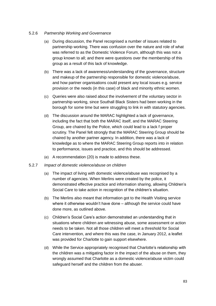# 5.2.6 *Partnership Working and Governance*

- (a) During discussion, the Panel recognised a number of issues related to partnership working. There was confusion over the nature and role of what was referred to as the Domestic Violence Forum, although this was not a group known to all; and there were questions over the membership of this group as a result of this lack of knowledge.
- (b) There was a lack of awareness/understanding of the governance, structure and makeup of the partnership responsible for domestic violence/abuse, and how partner organisations could present any local issues e.g. service provision or the needs (in this case) of black and minority ethnic women.
- (c) Queries were also raised about the involvement of the voluntary sector in partnership working, since Southall Black Sisters had been working in the borough for some time but were struggling to link in with statutory agencies.
- (d) The discussion around the MARAC highlighted a lack of governance, including the fact that both the MARAC itself, and the MARAC Steering Group, are chaired by the Police, which could lead to a lack f proper scrutiny. The Panel felt strongly that the MARAC Steering Group should be chaired by another partner agency. In addition, there was a lack of knowledge as to where the MARAC Steering Group reports into in relation to performance, issues and practice, and this should be addressed.
- (e) A recommendation (20) is made to address these.
- 5.2.7 *Impact of domestic violence/abuse on children*
	- (a) The impact of living with domestic violence/abuse was recognised by a number of agencies. When Merlins were created by the police, it demonstrated effective practice and information sharing, allowing Children's Social Care to take action in recognition of the children's situation.
	- (b) The Merlins also meant that information got to the Health Visiting service where it otherwise wouldn't have done – although the service could have done more, as outlined above.
	- (c) Children's Social Care's action demonstrated an understanding that in situations where children are witnessing abuse, some assessment or action needs to be taken. Not all those children will meet a threshold for Social Care intervention, and where this was the case, in January 2012, a leaflet was provided for Charlotte to gain support elsewhere.
	- (d) While the Service appropriately recognised that Charlotte's relationship with the children was a mitigating factor in the impact of the abuse on them, they wrongly assumed that Charlotte as a domestic violence/abuse victim could safeguard herself and the children from the abuser.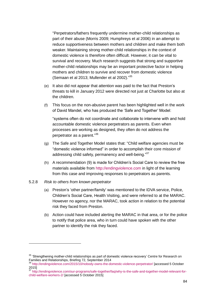"Perpetrators/fathers frequently undermine mother-child relationships as part of their abuse (Morris 2009; Humphreys et al 2006) in an attempt to reduce supportiveness between mothers and children and make them both weaker. Maintaining strong mother-child relationships in the context of domestic violence is therefore often difficult. However, it can be vital to survival and recovery. Much research suggests that strong and supportive mother-child relationships may be an important protective factor in helping mothers and children to survive and recover from domestic violence (Semaan et al 2013; Mullender et al 2002)." 35

- (e) It also did not appear that attention was paid to the fact that Preston's threats to kill in January 2012 were directed not just at Charlotte but also at the children.
- (f) This focus on the non-abusive parent has been highlighted well in the work of David Mandel, who has produced the 'Safe and Together' Model:

"systems often do not coordinate and collaborate to intervene with and hold accountable domestic violence perpetrators as parents. Even when processes are working as designed, they often do not address the perpetrator as a parent." 36

- (g) The Safe and Together Model states that: "Child welfare agencies must be "domestic violence informed" in order to accomplish their core mission of addressing child safety, permanency and well-being."<sup>37</sup>
- (h) A recommendation (9) is made for Children's Social Care to review the free materials available from [http://endingviolence.com](http://endingviolence.com/) in light of the learning from this case and improving responses to perpetrators as parents.
- 5.2.8 *Risk to others from known perpetrator*

-

- (a) Preston's 'other partner/family' was mentioned to the IDVA service, Police, Children's Social Care, Health Visiting, and were referred to at the MARAC. However no agency, nor the MARAC, took action in relation to the potential risk they faced from Preston.
- (b) Action could have included alerting the MARAC in that area, or for the police to notify that police area, who in turn could have spoken with the other partner to identify the risk they faced.

<sup>&</sup>lt;sup>35</sup> 'Strenathening mother-child relationships as part of domestic violence recovery' Centre for Research on Families and Relationships, Briefing 72, September 2014

<sup>36</sup> <http://endingviolence.com/2015/10/nobody-owns-the-domestic-violence-perpetrator/> [accessed 5 October 2015]

<sup>&</sup>lt;sup>37</sup> [http://endingviolence.com/our-programs/safe-together/faq/why-is-the-safe-and-together-model-relevant-for](http://endingviolence.com/our-programs/safe-together/faq/why-is-the-safe-and-together-model-relevant-for-child-welfare-workers-2/)[child-welfare-workers-2/](http://endingviolence.com/our-programs/safe-together/faq/why-is-the-safe-and-together-model-relevant-for-child-welfare-workers-2/) [accessed 5 October 2015]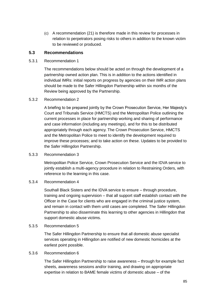(c) A recommendation (21) is therefore made in this review for processes in relation to perpetrators posing risks to others in addition to the known victim to be reviewed or produced.

# **5.3 Recommendations**

# 5.3.1 Recommendation 1

The recommendations below should be acted on through the development of a partnership owned action plan. This is in addition to the actions identified in individual IMRs: initial reports on progress by agencies on their IMR action plans should be made to the Safer Hillingdon Partnership within six months of the Review being approved by the Partnership.

# 5.3.2 Recommendation 2

A briefing to be prepared jointly by the Crown Prosecution Service, Her Majesty's Court and Tribunals Service (HMCTS) and the Metropolitan Police outlining the current processes in place for partnership working and sharing of performance and case information (including any meetings), and for this to be distributed appropriately through each agency. The Crown Prosecution Service, HMCTS and the Metropolitan Police to meet to identify the development required to improve these processes; and to take action on these. Updates to be provided to the Safer Hillingdon Partnership.

# 5.3.3 Recommendation 3

Metropolitan Police Service, Crown Prosecution Service and the IDVA service to jointly establish a multi-agency procedure in relation to Restraining Orders, with reference to the learning in this case.

# 5.3.4 Recommendation 4

Southall Black Sisters and the IDVA service to ensure – through procedure, training and ongoing supervision – that all support staff establish contact with the Officer in the Case for clients who are engaged in the criminal justice system, and remain in contact with them until cases are completed. The Safer Hillingdon Partnership to also disseminate this learning to other agencies in Hillingdon that support domestic abuse victims.

# 5.3.5 Recommendation 5

The Safer Hillingdon Partnership to ensure that all domestic abuse specialist services operating in Hillingdon are notified of new domestic homicides at the earliest point possible.

# 5.3.6 Recommendation 6

The Safer Hillingdon Partnership to raise awareness – through for example fact sheets, awareness sessions and/or training, and drawing on appropriate expertise in relation to BAME female victims of domestic abuse – of the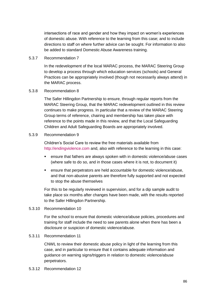intersections of race and gender and how they impact on women's experiences of domestic abuse. With reference to the learning from this case; and to include directions to staff on where further advice can be sought. For information to also be added to standard Domestic Abuse Awareness training.

#### 5.3.7 Recommendation 7

In the redevelopment of the local MARAC process, the MARAC Steering Group to develop a process through which education services (schools) and General Practices can be appropriately involved (though not necessarily always attend) in the MARAC process.

# 5.3.8 Recommendation 8

The Safer Hillingdon Partnership to ensure, through regular reports from the MARAC Steering Group, that the MARAC redevelopment outlined in this review continues to make progress. In particular that a review of the MARAC Steering Group terms of reference, chairing and membership has taken place with reference to the points made in this review, and that the Local Safeguarding Children and Adult Safeguarding Boards are appropriately involved.

#### 5.3.9 Recommendation 9

Children's Social Care to review the free materials available from [http://endingviolence.com](http://endingviolence.com/) and, also with reference to the learning in this case:

- ensure that fathers are always spoken with in domestic violence/abuse cases (where safe to do so, and in those cases where it is not, to document it)
- ensure that perpetrators are held accountable for domestic violence/abuse, and that non-abusive parents are therefore fully supported and not expected to stop the abuse themselves

For this to be regularly reviewed in supervision, and for a dip sample audit to take place six months after changes have been made, with the results reported to the Safer Hillingdon Partnership.

#### 5.3.10 Recommendation 10

For the school to ensure that domestic violence/abuse policies, procedures and training for staff include the need to see parents alone when there has been a disclosure or suspicion of domestic violence/abuse.

#### 5.3.11 Recommendation 11

CNWL to review their domestic abuse policy in light of the learning from this case, and in particular to ensure that it contains adequate information and guidance on warning signs/triggers in relation to domestic violence/abuse perpetrators.

#### 5.3.12 Recommendation 12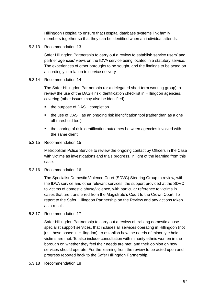Hillingdon Hospital to ensure that Hospital database systems link family members together so that they can be identified when an individual attends.

5.3.13 Recommendation 13

Safer Hillingdon Partnership to carry out a review to establish service users' and partner agencies' views on the IDVA service being located in a statutory service. The experiences of other boroughs to be sought, and the findings to be acted on accordingly in relation to service delivery.

#### 5.3.14 Recommendation 14

The Safer Hillingdon Partnership (or a delegated short term working group) to review the use of the DASH risk identification checklist in Hillingdon agencies, covering (other issues may also be identified):

- the purpose of DASH completion
- the use of DASH as an ongoing risk identification tool (rather than as a one off threshold tool)
- the sharing of risk identification outcomes between agencies involved with the same client

#### 5.3.15 Recommendation 15

Metropolitan Police Service to review the ongoing contact by Officers in the Case with victims as investigations and trials progress, in light of the learning from this case.

5.3.16 Recommendation 16

The Specialist Domestic Violence Court (SDVC) Steering Group to review, with the IDVA service and other relevant services, the support provided at the SDVC to victims of domestic abuse/violence, with particular reference to victims in cases that are transferred from the Magistrate's Court to the Crown Court. To report to the Safer Hillingdon Partnership on the Review and any actions taken as a result.

5.3.17 Recommendation 17

Safer Hillingdon Partnership to carry out a review of existing domestic abuse specialist support services, that includes all services operating in Hillingdon (not just those based in Hillingdon), to establish how the needs of minority ethnic victims are met. To also include consultation with minority ethnic women in the borough on whether they feel their needs are met, and their opinion on how services should operate. For the learning from the review to be acted upon and progress reported back to the Safer Hillingdon Partnership.

5.3.18 Recommendation 18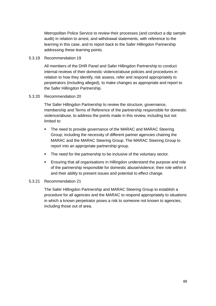Metropolitan Police Service to review their processes (and conduct a dip sample audit) in relation to arrest, and withdrawal statements, with reference to the learning in this case, and to report back to the Safer Hillingdon Partnership addressing these learning points.

#### 5.3.19 Recommendation 19

All members of the DHR Panel and Safer Hillingdon Partnership to conduct internal reviews of their domestic violence/abuse policies and procedures in relation to how they identify, risk assess, refer and respond appropriately to perpetrators (including alleged), to make changes as appropriate and report to the Safer Hillingdon Partnership.

#### 5.3.20 Recommendation 20

The Safer Hillingdon Partnership to review the structure, governance, membership and Terms of Reference of the partnership responsible for domestic violence/abuse, to address the points made in this review, including but not limited to:

- The need to provide governance of the MARAC and MARAC Steering Group; including the necessity of different partner agencies chairing the MARAC and the MARAC Steering Group. The MARAC Steering Group to report into an appropriate partnership group.
- The need for the partnership to be inclusive of the voluntary sector.
- Ensuring that all organisations in Hillingdon understand the purpose and role of the partnership responsible for domestic abuse/violence; their role within it and their ability to present issues and potential to effect change.

# 5.3.21 Recommendation 21

The Safer Hillingdon Partnership and MARAC Steering Group to establish a procedure for all agencies and the MARAC to respond appropriately to situations in which a known perpetrator poses a risk to someone not known to agencies, including those out of area.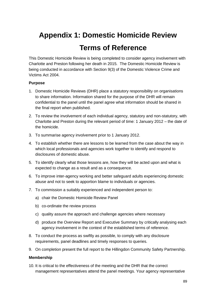# **Appendix 1: Domestic Homicide Review Terms of Reference**

This Domestic Homicide Review is being completed to consider agency involvement with Charlotte and Preston following her death in 2015. The Domestic Homicide Review is being conducted in accordance with Section 9(3) of the Domestic Violence Crime and Victims Act 2004.

# **Purpose**

- 1. Domestic Homicide Reviews (DHR) place a statutory responsibility on organisations to share information. Information shared for the purpose of the DHR will remain confidential to the panel until the panel agree what information should be shared in the final report when published.
- 2. To review the involvement of each individual agency, statutory and non-statutory, with Charlotte and Preston during the relevant period of time: 1 January 2012 – the date of the homicide.
- 3. To summarise agency involvement prior to 1 January 2012.
- 4. To establish whether there are lessons to be learned from the case about the way in which local professionals and agencies work together to identify and respond to disclosures of domestic abuse.
- 5. To identify clearly what those lessons are, how they will be acted upon and what is expected to change as a result and as a consequence.
- 6. To improve inter-agency working and better safeguard adults experiencing domestic abuse and not to seek to apportion blame to individuals or agencies.
- 7. To commission a suitably experienced and independent person to:
	- a) chair the Domestic Homicide Review Panel
	- b) co-ordinate the review process
	- c) quality assure the approach and challenge agencies where necessary
	- d) produce the Overview Report and Executive Summary by critically analysing each agency involvement in the context of the established terms of reference.
- 8. To conduct the process as swiftly as possible, to comply with any disclosure requirements, panel deadlines and timely responses to queries.
- 9. On completion present the full report to the Hillingdon Community Safety Partnership.

# **Membership**

10. It is critical to the effectiveness of the meeting and the DHR that the correct management representatives attend the panel meetings. Your agency representative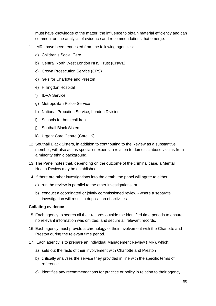must have knowledge of the matter, the influence to obtain material efficiently and can comment on the analysis of evidence and recommendations that emerge.

- 11. IMRs have been requested from the following agencies:
	- a) Children's Social Care
	- b) Central North West London NHS Trust (CNWL)
	- c) Crown Prosecution Service (CPS)
	- d) GPs for Charlotte and Preston
	- e) Hillingdon Hospital
	- f) IDVA Service
	- g) Metropolitan Police Service
	- h) National Probation Service, London Division
	- i) Schools for both children
	- j) Southall Black Sisters
	- k) Urgent Care Centre (CareUK)
- 12. Southall Black Sisters, in addition to contributing to the Review as a substantive member, will also act as specialist experts in relation to domestic abuse victims from a minority ethnic background.
- 13. The Panel notes that, depending on the outcome of the criminal case, a Mental Health Review may be established.
- 14. If there are other investigations into the death, the panel will agree to either:
	- a) run the review in parallel to the other investigations, or
	- b) conduct a coordinated or jointly commissioned review where a separate investigation will result in duplication of activities.

#### **Collating evidence**

- 15. Each agency to search all their records outside the identified time periods to ensure no relevant information was omitted, and secure all relevant records.
- 16. Each agency must provide a chronology of their involvement with the Charlotte and Preston during the relevant time period.
- 17. Each agency is to prepare an Individual Management Review (IMR), which:
	- a) sets out the facts of their involvement with Charlotte and Preston
	- b) critically analyses the service they provided in line with the specific terms of reference
	- c) identifies any recommendations for practice or policy in relation to their agency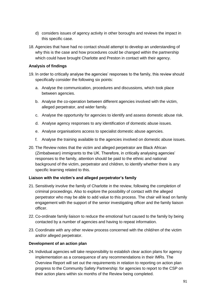- d) considers issues of agency activity in other boroughs and reviews the impact in this specific case.
- 18. Agencies that have had no contact should attempt to develop an understanding of why this is the case and how procedures could be changed within the partnership which could have brought Charlotte and Preston in contact with their agency.

# **Analysis of findings**

- 19. In order to critically analyse the agencies' responses to the family, this review should specifically consider the following six points:
	- a. Analyse the communication, procedures and discussions, which took place between agencies.
	- b. Analyse the co-operation between different agencies involved with the victim, alleged perpetrator, and wider family.
	- c. Analyse the opportunity for agencies to identify and assess domestic abuse risk.
	- d. Analyse agency responses to any identification of domestic abuse issues.
	- e. Analyse organisations access to specialist domestic abuse agencies.
	- f. Analyse the training available to the agencies involved on domestic abuse issues.
- 20. The Review notes that the victim and alleged perpetrator are Black African (Zimbabwean) immigrants to the UK. Therefore, in critically analysing agencies' responses to the family, attention should be paid to the ethnic and national background of the victim, perpetrator and children, to identify whether there is any specific learning related to this.

# **Liaison with the victim's and alleged perpetrator's family**

- 21. Sensitively involve the family of Charlotte in the review, following the completion of criminal proceedings. Also to explore the possibility of contact with the alleged perpetrator who may be able to add value to this process. The chair will lead on family engagement with the support of the senior investigating officer and the family liaison officer.
- 22. Co-ordinate family liaison to reduce the emotional hurt caused to the family by being contacted by a number of agencies and having to repeat information.
- 23. Coordinate with any other review process concerned with the child/ren of the victim and/or alleged perpetrator.

# **Development of an action plan**

24. Individual agencies will take responsibility to establish clear action plans for agency implementation as a consequence of any recommendations in their IMRs. The Overview Report will set out the requirements in relation to reporting on action plan progress to the Community Safety Partnership: for agencies to report to the CSP on their action plans within six months of the Review being completed.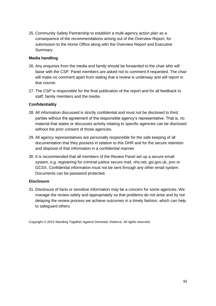25. Community Safety Partnership to establish a multi-agency action plan as a consequence of the recommendations arising out of the Overview Report, for submission to the Home Office along with the Overview Report and Executive Summary.

# **Media handling**

- 26. Any enquiries from the media and family should be forwarded to the chair who will liaise with the CSP. Panel members are asked not to comment if requested. The chair will make no comment apart from stating that a review is underway and will report in due course.
- 27. The CSP is responsible for the final publication of the report and for all feedback to staff, family members and the media.

# **Confidentiality**

- 28. All information discussed is strictly confidential and must not be disclosed to third parties without the agreement of the responsible agency's representative. That is, no material that states or discusses activity relating to specific agencies can be disclosed without the prior consent of those agencies.
- 29. All agency representatives are personally responsible for the safe keeping of all documentation that they possess in relation to this DHR and for the secure retention and disposal of that information in a confidential manner.
- 30. It is recommended that all members of the Review Panel set up a secure email system, e.g. registering for criminal justice secure mail, nhs.net, gsi.gov.uk, pnn or GCSX. Confidential information must not be sent through any other email system. Documents can be password protected.

# **Disclosure**

31. Disclosure of facts or sensitive information may be a concern for some agencies. We manage the review safely and appropriately so that problems do not arise and by not delaying the review process we achieve outcomes in a timely fashion, which can help to safeguard others.

Copyright © 2015 Standing Together Against Domestic Violence. All rights reserved.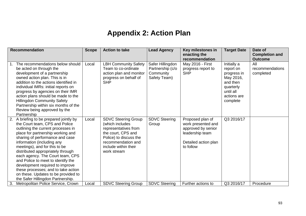# **Appendix 2: Action Plan**

|    | <b>Recommendation</b>                                                                                                                                                                                                                                                                                                                                                                                                                                                                                                       | <b>Scope</b> | <b>Action to take</b>                                                                                                                                                              | <b>Lead Agency</b>                                                | Key milestones in<br>enacting the<br>recommendation                                                                  | <b>Target Date</b>                                                                                                    | Date of<br><b>Completion and</b><br><b>Outcome</b> |
|----|-----------------------------------------------------------------------------------------------------------------------------------------------------------------------------------------------------------------------------------------------------------------------------------------------------------------------------------------------------------------------------------------------------------------------------------------------------------------------------------------------------------------------------|--------------|------------------------------------------------------------------------------------------------------------------------------------------------------------------------------------|-------------------------------------------------------------------|----------------------------------------------------------------------------------------------------------------------|-----------------------------------------------------------------------------------------------------------------------|----------------------------------------------------|
|    | The recommendations below should<br>be acted on through the<br>development of a partnership<br>owned action plan. This is in<br>addition to the actions identified in<br>individual IMRs: initial reports on<br>progress by agencies on their IMR<br>action plans should be made to the<br><b>Hillingdon Community Safety</b><br>Partnership within six months of the<br>Review being approved by the<br>Partnership                                                                                                        | Local        | <b>LBH Community Safety</b><br>Team to co-ordinate<br>action plan and monitor<br>progress on behalf of<br><b>SHP</b>                                                               | Safer Hillingdon<br>Partnership (c/o<br>Community<br>Safety Team) | May 2016 - First<br>progress report to<br><b>SHP</b>                                                                 | Initially a<br>report on<br>progress in<br>May 2016,<br>and then<br>quarterly<br>until all<br>actions are<br>complete | All<br>recommendations<br>completed                |
|    | 2. A briefing to be prepared jointly by<br>the Court team, CPS and Police<br>outlining the current processes in<br>place for partnership working and<br>sharing of performance and case<br>information (including any<br>meetings), and for this to be<br>distributed appropriately through<br>each agency. The Court team, CPS<br>and Police to meet to identify the<br>development required to improve<br>these processes; and to take action<br>on these. Updates to be provided to<br>the Safer Hillingdon Partnership. | Local        | <b>SDVC Steering Group</b><br>(which includes<br>representatives from<br>the court, CPS and<br>Police) to discuss the<br>recommendation and<br>include within their<br>work stream | <b>SDVC Steering</b><br>Group                                     | Proposed plan of<br>work presented and<br>approved by senior<br>leadership team<br>Detailed action plan<br>to follow | Q3 2016/17                                                                                                            |                                                    |
| 3. | Metropolitan Police Service, Crown                                                                                                                                                                                                                                                                                                                                                                                                                                                                                          | Local        | <b>SDVC Steering Group</b>                                                                                                                                                         | <b>SDVC Steering</b>                                              | Further actions to                                                                                                   | Q3 2016/17                                                                                                            | Procedure                                          |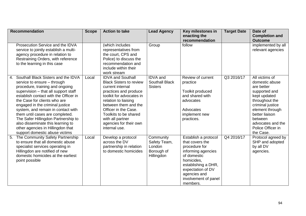| <b>Recommendation</b>                                                         | <b>Scope</b> | <b>Action to take</b>                             | <b>Lead Agency</b> | Key milestones in                   | <b>Target Date</b> | Date of                       |
|-------------------------------------------------------------------------------|--------------|---------------------------------------------------|--------------------|-------------------------------------|--------------------|-------------------------------|
|                                                                               |              |                                                   |                    | enacting the                        |                    | <b>Completion and</b>         |
|                                                                               |              |                                                   |                    | recommendation                      |                    | <b>Outcome</b>                |
| Prosecution Service and the IDVA                                              |              | (which includes                                   | Group              | follow                              |                    | implemented by all            |
| service to jointly establish a multi-                                         |              | representatives from                              |                    |                                     |                    | relevant agencies             |
| agency procedure in relation to                                               |              | the court, CPS and                                |                    |                                     |                    |                               |
| Restraining Orders, with reference                                            |              | Police) to discuss the                            |                    |                                     |                    |                               |
| to the learning in this case                                                  |              | recommendation and                                |                    |                                     |                    |                               |
|                                                                               |              | include within their                              |                    |                                     |                    |                               |
|                                                                               |              | work stream                                       |                    |                                     |                    |                               |
| 4. Southall Black Sisters and the IDVA                                        | Local        | <b>IDVA and Southall</b>                          | <b>IDVA</b> and    | Review of current                   | Q3 2016/17         | All victims of                |
| service to ensure - through                                                   |              | <b>Black Sisters to review</b>                    | Southall Black     | practice                            |                    | domestic abuse                |
| procedure, training and ongoing                                               |              | current internal                                  | <b>Sisters</b>     |                                     |                    | are better                    |
| supervision - that all support staff<br>establish contact with the Officer in |              | practices and produce<br>toolkit for advocates in |                    | Toolkit produced<br>and shared with |                    | supported and<br>kept updated |
| the Case for clients who are                                                  |              | relation to liaising                              |                    | advocates                           |                    | throughout the                |
| engaged in the criminal justice                                               |              | between them and the                              |                    |                                     |                    | criminal justice              |
| system, and remain in contact with                                            |              | Officer in the Case.                              |                    | Advocates                           |                    | element through               |
| them until cases are completed.                                               |              | Toolkits to be shared                             |                    | implement new                       |                    | better liaison                |
| The Safer Hillingdon Partnership to                                           |              | with all partner                                  |                    | practices.                          |                    | between                       |
| also disseminate this learning to                                             |              | agencies for their own                            |                    |                                     |                    | advocates and the             |
| other agencies in Hillingdon that                                             |              | internal use.                                     |                    |                                     |                    | Police Officer in             |
| support domestic abuse victims                                                |              |                                                   |                    |                                     |                    | the Case.                     |
| 5. The Community Safety Partnership                                           | Local        | Develop a protocol                                | Community          | Establish a protocol                | Q4 2016/17         | Protocol agreed by            |
| to ensure that all domestic abuse                                             |              | across the DV                                     | Safety Team,       | that covers the                     |                    | SHP and adopted               |
| specialist services operating in                                              |              | partnership in relation                           | London             | procedure for                       |                    | by all DV                     |
| Hillingdon are notified of new                                                |              | to domestic homicides                             | Borough of         | informing agencies                  |                    | agencies.                     |
| domestic homicides at the earliest                                            |              |                                                   | Hillingdon         | of domestic                         |                    |                               |
| point possible                                                                |              |                                                   |                    | homicides,                          |                    |                               |
|                                                                               |              |                                                   |                    | establishing a DHR,                 |                    |                               |
|                                                                               |              |                                                   |                    | expectation of DV                   |                    |                               |
|                                                                               |              |                                                   |                    | agencies and                        |                    |                               |
|                                                                               |              |                                                   |                    | involvement of panel                |                    |                               |
|                                                                               |              |                                                   |                    | members.                            |                    |                               |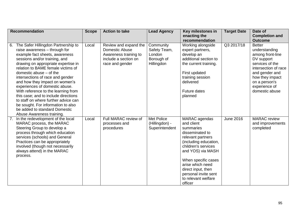| <b>Recommendation</b>                                                                                                                                                                                                                                                                                                                                                                                                                                                                                                                                                                    | <b>Scope</b> | <b>Action to take</b>                                                                                       | <b>Lead Agency</b>                                              | Key milestones in                                                                                                                                                                                                                                                                | <b>Target Date</b> | Date of                                                                                                                                                                                              |
|------------------------------------------------------------------------------------------------------------------------------------------------------------------------------------------------------------------------------------------------------------------------------------------------------------------------------------------------------------------------------------------------------------------------------------------------------------------------------------------------------------------------------------------------------------------------------------------|--------------|-------------------------------------------------------------------------------------------------------------|-----------------------------------------------------------------|----------------------------------------------------------------------------------------------------------------------------------------------------------------------------------------------------------------------------------------------------------------------------------|--------------------|------------------------------------------------------------------------------------------------------------------------------------------------------------------------------------------------------|
|                                                                                                                                                                                                                                                                                                                                                                                                                                                                                                                                                                                          |              |                                                                                                             |                                                                 | enacting the<br>recommendation                                                                                                                                                                                                                                                   |                    | <b>Completion and</b><br><b>Outcome</b>                                                                                                                                                              |
| The Safer Hillingdon Partnership to<br>6.<br>raise awareness - through for<br>example fact sheets, awareness<br>sessions and/or training, and<br>drawing on appropriate expertise in<br>relation to BAME female victims of<br>domestic abuse - of the<br>intersections of race and gender<br>and how they impact on women's<br>experiences of domestic abuse.<br>With reference to the learning from<br>this case; and to include directions<br>to staff on where further advice can<br>be sought. For information to also<br>be added to standard Domestic<br>Abuse Awareness training. | Local        | Review and expand the<br>Domestic Abuse<br>Awareness training to<br>include a section on<br>race and gender | Community<br>Safety Team,<br>London<br>Borough of<br>Hillingdon | Working alongside<br>expert partners,<br>develop an<br>additional section to<br>the current training.<br>First updated<br>training session<br>delivered<br><b>Future dates</b><br>planned                                                                                        | Q3 2017/18         | <b>Better</b><br>understanding<br>among front-line<br>DV support<br>services of the<br>intersection of race<br>and gender and<br>how they impact<br>on a person's<br>experience of<br>domestic abuse |
| 7. In the redevelopment of the local<br>MARAC process, the MARAC<br>Steering Group to develop a<br>process through which education<br>services (schools) and General<br>Practices can be appropriately<br>involved (though not necessarily<br>always attend) in the MARAC<br>process.                                                                                                                                                                                                                                                                                                    | Local        | Full MARAC review of<br>processes and<br>procedures                                                         | <b>Met Police</b><br>(Hillingdon) -<br>Superintendent           | MARAC agendas<br>and client<br>summaries<br>disseminated to<br>relevant partners<br>(including education,<br>children's services<br>and YOS) via MASH<br>When specific cases<br>arise which need<br>direct input, then<br>personal invite sent<br>to relevant welfare<br>officer | <b>June 2016</b>   | <b>MARAC</b> review<br>and improvements<br>completed                                                                                                                                                 |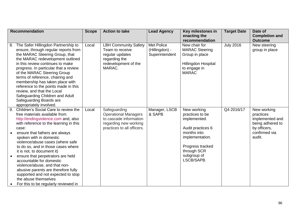|    | <b>Recommendation</b>                                              | <b>Scope</b> | <b>Action to take</b>            | <b>Lead Agency</b> | Key milestones in     | <b>Target Date</b> | Date of               |
|----|--------------------------------------------------------------------|--------------|----------------------------------|--------------------|-----------------------|--------------------|-----------------------|
|    |                                                                    |              |                                  |                    | enacting the          |                    | <b>Completion and</b> |
|    |                                                                    |              |                                  |                    | recommendation        |                    | <b>Outcome</b>        |
| 8. | The Safer Hillingdon Partnership to                                | Local        | <b>LBH Community Safety</b>      | <b>Met Police</b>  | New chair for         | <b>July 2016</b>   | New steering          |
|    | ensure, through regular reports from                               |              | Team to receive                  | (Hillingdon) -     | <b>MARAC Steering</b> |                    | group in place        |
|    | the MARAC Steering Group, that<br>the MARAC redevelopment outlined |              | regular updates<br>regarding the | Superintendent     | Group in place        |                    |                       |
|    | in this review continues to make                                   |              | redevelopment of the             |                    | Hillingdon Hospital   |                    |                       |
|    | progress. In particular that a review                              |              | MARAC.                           |                    | to engage in          |                    |                       |
|    | of the MARAC Steering Group                                        |              |                                  |                    | <b>MARAC</b>          |                    |                       |
|    | terms of reference, chairing and                                   |              |                                  |                    |                       |                    |                       |
|    | membership has taken place with                                    |              |                                  |                    |                       |                    |                       |
|    | reference to the points made in this                               |              |                                  |                    |                       |                    |                       |
|    | review, and that the Local                                         |              |                                  |                    |                       |                    |                       |
|    | Safeguarding Children and Adult<br>Safeguarding Boards are         |              |                                  |                    |                       |                    |                       |
|    | appropriately involved.                                            |              |                                  |                    |                       |                    |                       |
|    | 9. Children's Social Care to review the                            | Local        | Safeguarding                     | Manager, LSCB      | New working           | Q4 2016/17         | New working           |
|    | free materials available from                                      |              | <b>Operational Managers</b>      | & SAPB             | practices to be       |                    | practices             |
|    | http://endingviolence.com and, also                                |              | to cascade information           |                    | implemented.          |                    | implemented and       |
|    | with reference to the learning in this                             |              | regarding new working            |                    |                       |                    | being adhered to      |
|    | case:                                                              |              | practices to all officers.       |                    | Audit practices 6     |                    | by officers,          |
|    | ensure that fathers are always                                     |              |                                  |                    | months into           |                    | confirmed via         |
|    | spoken with in domestic<br>violence/abuse cases (where safe        |              |                                  |                    | implementation.       |                    | audit.                |
|    | to do so, and in those cases where                                 |              |                                  |                    | Progress tracked      |                    |                       |
|    | it is not, to document it)                                         |              |                                  |                    | through SCR           |                    |                       |
|    | ensure that perpetrators are held                                  |              |                                  |                    | subgroup of           |                    |                       |
|    | accountable for domestic                                           |              |                                  |                    | LSCB/SAPB.            |                    |                       |
|    | violence/abuse, and that non-                                      |              |                                  |                    |                       |                    |                       |
|    | abusive parents are therefore fully                                |              |                                  |                    |                       |                    |                       |
|    | supported and not expected to stop                                 |              |                                  |                    |                       |                    |                       |
|    | the abuse themselves                                               |              |                                  |                    |                       |                    |                       |
|    | For this to be regularly reviewed in                               |              |                                  |                    |                       |                    |                       |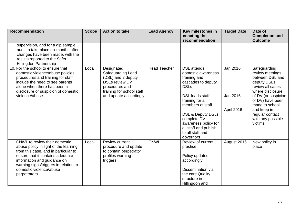| <b>Recommendation</b>                                                                                                                                                                                                                                                     | <b>Scope</b> | <b>Action to take</b>                                                                                                                                   | <b>Lead Agency</b>  | Key milestones in<br>enacting the                                                                                                                                                                                                                                                                | <b>Target Date</b>                 | Date of<br><b>Completion and</b>                                                                                                                                                                                                         |
|---------------------------------------------------------------------------------------------------------------------------------------------------------------------------------------------------------------------------------------------------------------------------|--------------|---------------------------------------------------------------------------------------------------------------------------------------------------------|---------------------|--------------------------------------------------------------------------------------------------------------------------------------------------------------------------------------------------------------------------------------------------------------------------------------------------|------------------------------------|------------------------------------------------------------------------------------------------------------------------------------------------------------------------------------------------------------------------------------------|
|                                                                                                                                                                                                                                                                           |              |                                                                                                                                                         |                     | recommendation                                                                                                                                                                                                                                                                                   |                                    | <b>Outcome</b>                                                                                                                                                                                                                           |
| supervision, and for a dip sample<br>audit to take place six months after<br>changes have been made, with the<br>results reported to the Safer<br>Hillingdon Partnership                                                                                                  |              |                                                                                                                                                         |                     |                                                                                                                                                                                                                                                                                                  |                                    |                                                                                                                                                                                                                                          |
| 10. For the school to ensure that<br>domestic violence/abuse policies,<br>procedures and training for staff<br>include the need to see parents<br>alone when there has been a<br>disclosure or suspicion of domestic<br>violence/abuse.                                   | Local        | Designated<br>Safeguarding Lead<br>(DSL) and 2 deputy<br><b>DSLs review DV</b><br>procedures and<br>training for school staff<br>and update accordingly | <b>Head Teacher</b> | <b>DSL</b> attends<br>domestic awareness<br>training and<br>cascades to deputy<br><b>DSLs</b><br><b>DSL leads staff</b><br>training for all<br>members of staff<br><b>DSL &amp; Deputy DSLs</b><br>complete DV<br>awareness policy for<br>all staff and publish<br>to all staff and<br>governors | Jan 2016<br>Jan 2016<br>April 2016 | Safeguarding<br>review meetings<br>between DSL and<br>deputy DSLs<br>review all cases<br>where disclosure<br>of DV (or suspicion<br>of DV) have been<br>made to school<br>and keep in<br>regular contact<br>with any possible<br>victims |
| 11. CNWL to review their domestic<br>abuse policy in light of the learning<br>from this case, and in particular to<br>ensure that it contains adequate<br>information and guidance on<br>warning signs/triggers in relation to<br>domestic violence/abuse<br>perpetrators | Local        | <b>Review current</b><br>procedure and update<br>to contain perpetrator<br>profiles warning<br>triggers                                                 | <b>CNWL</b>         | Review of current<br>practice<br>Policy updated<br>accordingly<br>Dissemination via<br>the care Quality<br>structure in<br>Hillingdon and                                                                                                                                                        | August 2016                        | New policy in<br>place                                                                                                                                                                                                                   |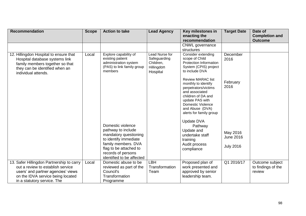| <b>Recommendation</b>                                                                                                                                                                    | <b>Scope</b> | <b>Action to take</b>                                                                                                                                                                         | <b>Lead Agency</b>                                                           | Key milestones in<br>enacting the                                                                                                                                                                            | <b>Target Date</b>                               | Date of<br><b>Completion and</b>                |
|------------------------------------------------------------------------------------------------------------------------------------------------------------------------------------------|--------------|-----------------------------------------------------------------------------------------------------------------------------------------------------------------------------------------------|------------------------------------------------------------------------------|--------------------------------------------------------------------------------------------------------------------------------------------------------------------------------------------------------------|--------------------------------------------------|-------------------------------------------------|
|                                                                                                                                                                                          |              |                                                                                                                                                                                               |                                                                              | recommendation                                                                                                                                                                                               |                                                  | <b>Outcome</b>                                  |
|                                                                                                                                                                                          |              |                                                                                                                                                                                               |                                                                              | CNWL governance<br>structures                                                                                                                                                                                |                                                  |                                                 |
| 12. Hillingdon Hospital to ensure that<br>Hospital database systems link<br>family members together so that<br>they can be identified when an<br>individual attends.                     | Local        | Explore capability of<br>existing patient<br>administration system<br>(PAS) to link family group<br>members                                                                                   | <b>Lead Nurse for</b><br>Safeguarding<br>Children,<br>Hillingdon<br>Hospital | Consider extending<br>scope of Child<br>Protection Information<br>System (CPIS) project<br>to include DVA                                                                                                    | December<br>2016                                 |                                                 |
|                                                                                                                                                                                          |              |                                                                                                                                                                                               |                                                                              | <b>Review MARAC list</b><br>monthly to identify<br>perpetrators/victims<br>and associated<br>children of DA and<br>update PAS with<br><b>Domestic Violence</b><br>and Abuse (DVA)<br>alerts for family group | February<br>2016                                 |                                                 |
|                                                                                                                                                                                          |              | Domestic violence<br>pathway to include<br>mandatory questioning<br>to identify immediate<br>family members. DVA<br>flag to be attached to<br>records of persons<br>identified to be affected |                                                                              | <b>Update DVA</b><br>Pathway<br>Update and<br>undertake staff<br>training<br>Audit process<br>compliance                                                                                                     | May 2016<br><b>June 2016</b><br><b>July 2016</b> |                                                 |
| 13. Safer Hillingdon Partnership to carry<br>out a review to establish service<br>users' and partner agencies' views<br>on the IDVA service being located<br>in a statutory service. The | Local        | Domestic abuse to be<br>reviewed as part of the<br>Council's<br>Transformation<br>Programme                                                                                                   | LBH<br>Transformation<br>Team                                                | Proposed plan of<br>work presented and<br>approved by senior<br>leadership team.                                                                                                                             | Q1 2016/17                                       | Outcome subject<br>to findings of the<br>review |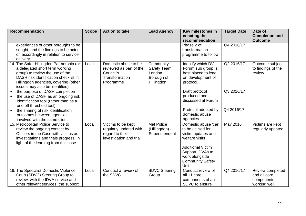| <b>Recommendation</b>                                                                                                                                                                                                             | <b>Scope</b> | <b>Action to take</b>                                                                       | <b>Lead Agency</b>                                              | Key milestones in<br>enacting the                                                                                                                                                       | <b>Target Date</b> | Date of<br><b>Completion and</b>                                |
|-----------------------------------------------------------------------------------------------------------------------------------------------------------------------------------------------------------------------------------|--------------|---------------------------------------------------------------------------------------------|-----------------------------------------------------------------|-----------------------------------------------------------------------------------------------------------------------------------------------------------------------------------------|--------------------|-----------------------------------------------------------------|
| experiences of other boroughs to be<br>sought, and the findings to be acted<br>on accordingly in relation to service<br>delivery.                                                                                                 |              |                                                                                             |                                                                 | recommendation<br>Phase 2 of<br>transformation<br>programme to follow                                                                                                                   | Q4 2016/17         | <b>Outcome</b>                                                  |
| 14. The Safer Hillingdon Partnership (or<br>a delegated short term working<br>group) to review the use of the<br>DASH risk identification checklist in<br>Hillingdon agencies, covering (other<br>issues may also be identified): | Local        | Domestic abuse to be<br>reviewed as part of the<br>Council's<br>Transformation<br>Programme | Community<br>Safety Team,<br>London<br>Borough of<br>Hillingdon | Identify which DV<br>Forum sub group is<br>best placed to lead<br>on development of<br>protocol.                                                                                        | Q2 2016/17         | Outcome subject<br>to findings of the<br>review                 |
| the purpose of DASH completion<br>the use of DASH as an ongoing risk<br>identification tool (rather than as a<br>one off threshold tool)                                                                                          |              |                                                                                             |                                                                 | Draft protocol<br>produced and<br>discussed at Forum                                                                                                                                    | Q3 2016/17         |                                                                 |
| the sharing of risk identification<br>outcomes between agencies<br>involved with the same client                                                                                                                                  |              |                                                                                             |                                                                 | Protocol adopted by<br>domestic abuse<br>agencies                                                                                                                                       | Q4 2016/17         |                                                                 |
| 15. Metropolitan Police Service to<br>review the ongoing contact by<br>Officers in the Case with victims as<br>investigations and trials progress, in<br>light of the learning from this case                                     | Local        | Victims to be kept<br>regularly updated with<br>regard to their<br>investigation and trial  | Met Police<br>(Hillingdon) -<br>Superintendent                  | Domestic abuse 'car'<br>to be utilised for<br>victim updates and<br>welfare visits<br><b>Additional Victim</b><br>Support IDVAs to<br>work alongside<br><b>Community Safety</b><br>Unit | May 2016           | Victims are kept<br>regularly updated                           |
| 16. The Specialist Domestic Violence<br>Court (SDVC) Steering Group to<br>review, with the IDVA service and<br>other relevant services, the support                                                                               | Local        | Conduct a review of<br>the SDVC.                                                            | <b>SDVC Steering</b><br>Group                                   | Conduct review of<br>all 11 core<br>components of an<br>SDVC to ensure                                                                                                                  | Q4 2016/17         | Review completed<br>and all core<br>components<br>working well. |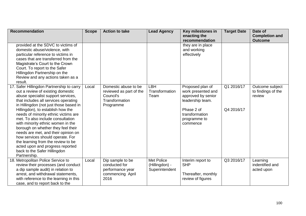| <b>Recommendation</b>                                                                                                                                                                                                                                                                                                                                                                                                                                                                                                                                                                                    | <b>Scope</b> | <b>Action to take</b>                                                                       | <b>Lead Agency</b>                                    | Key milestones in<br>enacting the                                                                                                            | <b>Target Date</b>       | Date of<br><b>Completion and</b>                |
|----------------------------------------------------------------------------------------------------------------------------------------------------------------------------------------------------------------------------------------------------------------------------------------------------------------------------------------------------------------------------------------------------------------------------------------------------------------------------------------------------------------------------------------------------------------------------------------------------------|--------------|---------------------------------------------------------------------------------------------|-------------------------------------------------------|----------------------------------------------------------------------------------------------------------------------------------------------|--------------------------|-------------------------------------------------|
| provided at the SDVC to victims of<br>domestic abuse/violence, with<br>particular reference to victims in<br>cases that are transferred from the<br>Magistrate's Court to the Crown<br>Court. To report to the Safer<br>Hillingdon Partnership on the<br>Review and any actions taken as a<br>result.                                                                                                                                                                                                                                                                                                    |              |                                                                                             |                                                       | recommendation<br>they are in place<br>and working<br>effectively                                                                            |                          | <b>Outcome</b>                                  |
| 17. Safer Hillingdon Partnership to carry<br>out a review of existing domestic<br>abuse specialist support services,<br>that includes all services operating<br>in Hillingdon (not just those based in<br>Hillingdon), to establish how the<br>needs of minority ethnic victims are<br>met. To also include consultation<br>with minority ethnic women in the<br>borough on whether they feel their<br>needs are met, and their opinion on<br>how services should operate. For<br>the learning from the review to be<br>acted upon and progress reported<br>back to the Safer Hillingdon<br>Partnership. | Local        | Domestic abuse to be<br>reviewed as part of the<br>Council's<br>Transformation<br>Programme | LBH<br>Transformation<br>Team                         | Proposed plan of<br>work presented and<br>approved by senior<br>leadership team.<br>Phase 2 of<br>transformation<br>programme to<br>commence | Q1 2016/17<br>Q4 2016/17 | Outcome subject<br>to findings of the<br>review |
| 18. Metropolitan Police Service to<br>review their processes (and conduct<br>a dip sample audit) in relation to<br>arrest, and withdrawal statements,<br>with reference to the learning in this<br>case, and to report back to the                                                                                                                                                                                                                                                                                                                                                                       | Local        | Dip sample to be<br>conducted for<br>performance year<br>commencing April<br>2016           | <b>Met Police</b><br>(Hillingdon) -<br>Superintendent | Interim report to<br><b>SHP</b><br>Thereafter, monthly<br>review of figures                                                                  | Q3 2016/17               | Learning<br>indentified and<br>acted upon       |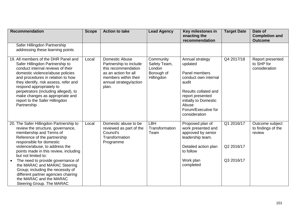| <b>Recommendation</b>                                                                                                                                                                                                                                                                                                                                                                                                                                                          | <b>Scope</b> | <b>Action to take</b>                                                                                                                                     | <b>Lead Agency</b>                                              | Key milestones in<br>enacting the                                                                                                                                                                  | <b>Target Date</b>                     | Date of<br><b>Completion and</b>                |
|--------------------------------------------------------------------------------------------------------------------------------------------------------------------------------------------------------------------------------------------------------------------------------------------------------------------------------------------------------------------------------------------------------------------------------------------------------------------------------|--------------|-----------------------------------------------------------------------------------------------------------------------------------------------------------|-----------------------------------------------------------------|----------------------------------------------------------------------------------------------------------------------------------------------------------------------------------------------------|----------------------------------------|-------------------------------------------------|
| Safer Hillingdon Partnership<br>addressing these learning points                                                                                                                                                                                                                                                                                                                                                                                                               |              |                                                                                                                                                           |                                                                 | recommendation                                                                                                                                                                                     |                                        | <b>Outcome</b>                                  |
| 19. All members of the DHR Panel and<br>Safer Hillingdon Partnership to<br>conduct internal reviews of their<br>domestic violence/abuse policies<br>and procedures in relation to how<br>they identify, risk assess, refer and<br>respond appropriately to<br>perpetrators (including alleged), to<br>make changes as appropriate and<br>report to the Safer Hillingdon<br>Partnership                                                                                         | Local        | <b>Domestic Abuse</b><br>Partnership to include<br>this recommendation<br>as an action for all<br>members within their<br>annual strategy/action<br>plan. | Community<br>Safety Team,<br>London<br>Borough of<br>Hillingdon | Annual strategy<br>updated<br>Panel members<br>conduct own internal<br>audit<br>Results collated and<br>report presented<br>initially to Domestic<br>Abuse<br>Forum/Executive for<br>consideration | Q4 2017/18                             | Report presented<br>to SHP for<br>consideration |
| 20. The Safer Hillingdon Partnership to<br>review the structure, governance,<br>membership and Terms of<br>Reference of the partnership<br>responsible for domestic<br>violence/abuse, to address the<br>points made in this review, including<br>but not limited to:<br>The need to provide governance of<br>the MARAC and MARAC Steering<br>Group; including the necessity of<br>different partner agencies chairing<br>the MARAC and the MARAC<br>Steering Group. The MARAC | Local        | Domestic abuse to be<br>reviewed as part of the<br>Council's<br>Transformation<br>Programme                                                               | LBH<br>Transformation<br>Team                                   | Proposed plan of<br>work presented and<br>approved by senior<br>leadership team.<br>Detailed action plan<br>to follow<br>Work plan<br>completed                                                    | Q1 2016/17<br>Q2 2016/17<br>Q3 2016/17 | Outcome subject<br>to findings of the<br>review |